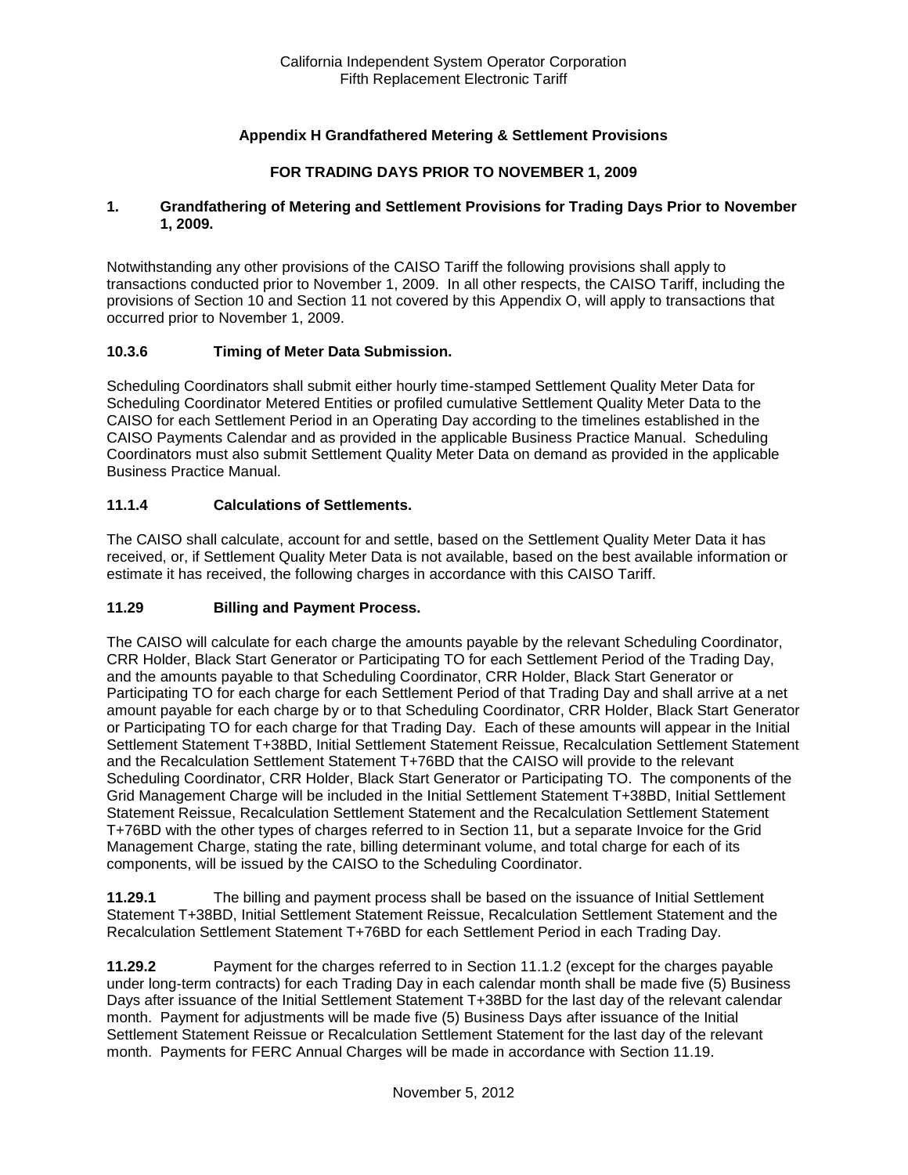## **Appendix H Grandfathered Metering & Settlement Provisions**

### **FOR TRADING DAYS PRIOR TO NOVEMBER 1, 2009**

#### **1. Grandfathering of Metering and Settlement Provisions for Trading Days Prior to November 1, 2009.**

Notwithstanding any other provisions of the CAISO Tariff the following provisions shall apply to transactions conducted prior to November 1, 2009. In all other respects, the CAISO Tariff, including the provisions of Section 10 and Section 11 not covered by this Appendix O, will apply to transactions that occurred prior to November 1, 2009.

### **10.3.6 Timing of Meter Data Submission.**

Scheduling Coordinators shall submit either hourly time-stamped Settlement Quality Meter Data for Scheduling Coordinator Metered Entities or profiled cumulative Settlement Quality Meter Data to the CAISO for each Settlement Period in an Operating Day according to the timelines established in the CAISO Payments Calendar and as provided in the applicable Business Practice Manual. Scheduling Coordinators must also submit Settlement Quality Meter Data on demand as provided in the applicable Business Practice Manual.

### **11.1.4 Calculations of Settlements.**

The CAISO shall calculate, account for and settle, based on the Settlement Quality Meter Data it has received, or, if Settlement Quality Meter Data is not available, based on the best available information or estimate it has received, the following charges in accordance with this CAISO Tariff.

### **11.29 Billing and Payment Process.**

The CAISO will calculate for each charge the amounts payable by the relevant Scheduling Coordinator, CRR Holder, Black Start Generator or Participating TO for each Settlement Period of the Trading Day, and the amounts payable to that Scheduling Coordinator, CRR Holder, Black Start Generator or Participating TO for each charge for each Settlement Period of that Trading Day and shall arrive at a net amount payable for each charge by or to that Scheduling Coordinator, CRR Holder, Black Start Generator or Participating TO for each charge for that Trading Day. Each of these amounts will appear in the Initial Settlement Statement T+38BD, Initial Settlement Statement Reissue, Recalculation Settlement Statement and the Recalculation Settlement Statement T+76BD that the CAISO will provide to the relevant Scheduling Coordinator, CRR Holder, Black Start Generator or Participating TO. The components of the Grid Management Charge will be included in the Initial Settlement Statement T+38BD, Initial Settlement Statement Reissue, Recalculation Settlement Statement and the Recalculation Settlement Statement T+76BD with the other types of charges referred to in Section 11, but a separate Invoice for the Grid Management Charge, stating the rate, billing determinant volume, and total charge for each of its components, will be issued by the CAISO to the Scheduling Coordinator.

**11.29.1** The billing and payment process shall be based on the issuance of Initial Settlement Statement T+38BD, Initial Settlement Statement Reissue, Recalculation Settlement Statement and the Recalculation Settlement Statement T+76BD for each Settlement Period in each Trading Day.

**11.29.2** Payment for the charges referred to in Section 11.1.2 (except for the charges payable under long-term contracts) for each Trading Day in each calendar month shall be made five (5) Business Days after issuance of the Initial Settlement Statement T+38BD for the last day of the relevant calendar month. Payment for adjustments will be made five (5) Business Days after issuance of the Initial Settlement Statement Reissue or Recalculation Settlement Statement for the last day of the relevant month. Payments for FERC Annual Charges will be made in accordance with Section 11.19.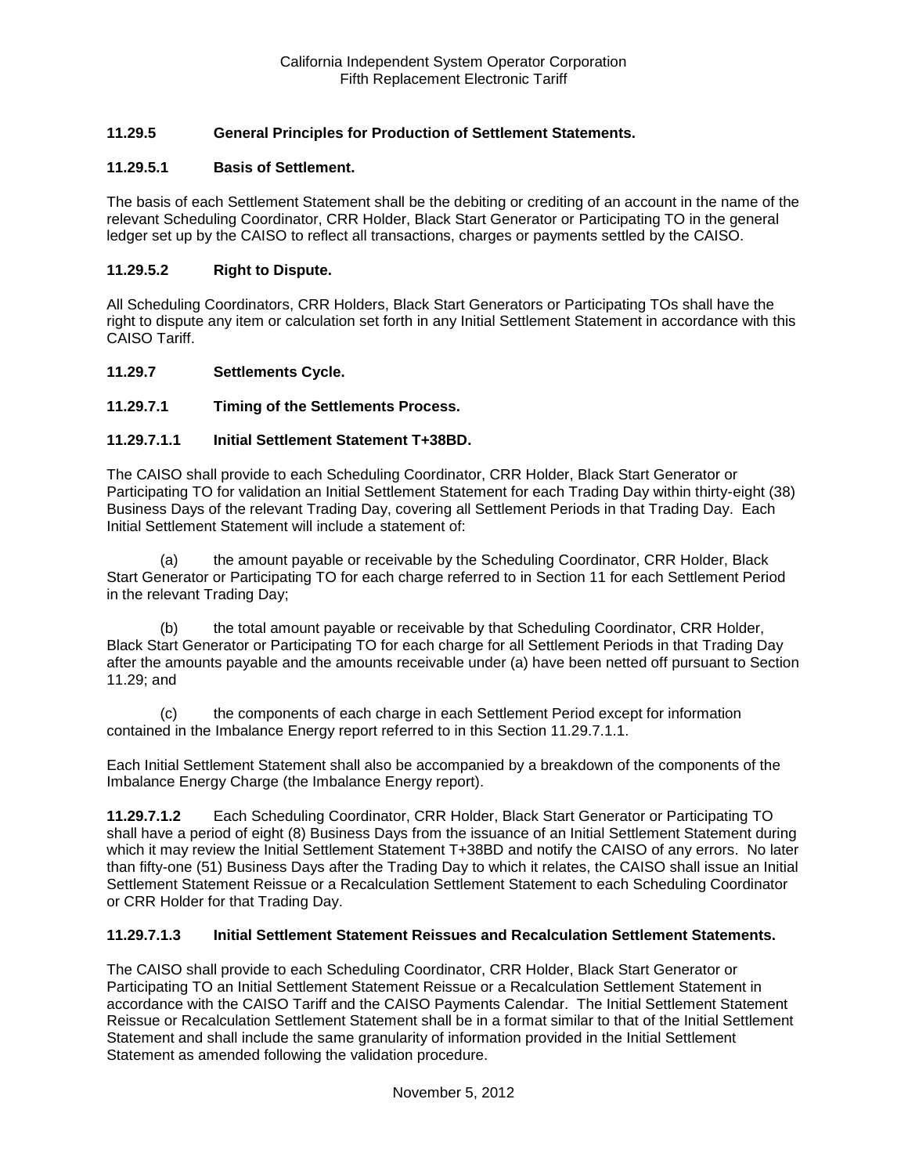# **11.29.5 General Principles for Production of Settlement Statements.**

### **11.29.5.1 Basis of Settlement.**

The basis of each Settlement Statement shall be the debiting or crediting of an account in the name of the relevant Scheduling Coordinator, CRR Holder, Black Start Generator or Participating TO in the general ledger set up by the CAISO to reflect all transactions, charges or payments settled by the CAISO.

#### **11.29.5.2 Right to Dispute.**

All Scheduling Coordinators, CRR Holders, Black Start Generators or Participating TOs shall have the right to dispute any item or calculation set forth in any Initial Settlement Statement in accordance with this CAISO Tariff.

#### **11.29.7 Settlements Cycle.**

### **11.29.7.1 Timing of the Settlements Process.**

#### **11.29.7.1.1 Initial Settlement Statement T+38BD.**

The CAISO shall provide to each Scheduling Coordinator, CRR Holder, Black Start Generator or Participating TO for validation an Initial Settlement Statement for each Trading Day within thirty-eight (38) Business Days of the relevant Trading Day, covering all Settlement Periods in that Trading Day. Each Initial Settlement Statement will include a statement of:

(a) the amount payable or receivable by the Scheduling Coordinator, CRR Holder, Black Start Generator or Participating TO for each charge referred to in Section 11 for each Settlement Period in the relevant Trading Day;

(b) the total amount payable or receivable by that Scheduling Coordinator, CRR Holder, Black Start Generator or Participating TO for each charge for all Settlement Periods in that Trading Day after the amounts payable and the amounts receivable under (a) have been netted off pursuant to Section 11.29; and

(c) the components of each charge in each Settlement Period except for information contained in the Imbalance Energy report referred to in this Section 11.29.7.1.1.

Each Initial Settlement Statement shall also be accompanied by a breakdown of the components of the Imbalance Energy Charge (the Imbalance Energy report).

**11.29.7.1.2** Each Scheduling Coordinator, CRR Holder, Black Start Generator or Participating TO shall have a period of eight (8) Business Days from the issuance of an Initial Settlement Statement during which it may review the Initial Settlement Statement T+38BD and notify the CAISO of any errors. No later than fifty-one (51) Business Days after the Trading Day to which it relates, the CAISO shall issue an Initial Settlement Statement Reissue or a Recalculation Settlement Statement to each Scheduling Coordinator or CRR Holder for that Trading Day.

#### **11.29.7.1.3 Initial Settlement Statement Reissues and Recalculation Settlement Statements.**

The CAISO shall provide to each Scheduling Coordinator, CRR Holder, Black Start Generator or Participating TO an Initial Settlement Statement Reissue or a Recalculation Settlement Statement in accordance with the CAISO Tariff and the CAISO Payments Calendar. The Initial Settlement Statement Reissue or Recalculation Settlement Statement shall be in a format similar to that of the Initial Settlement Statement and shall include the same granularity of information provided in the Initial Settlement Statement as amended following the validation procedure.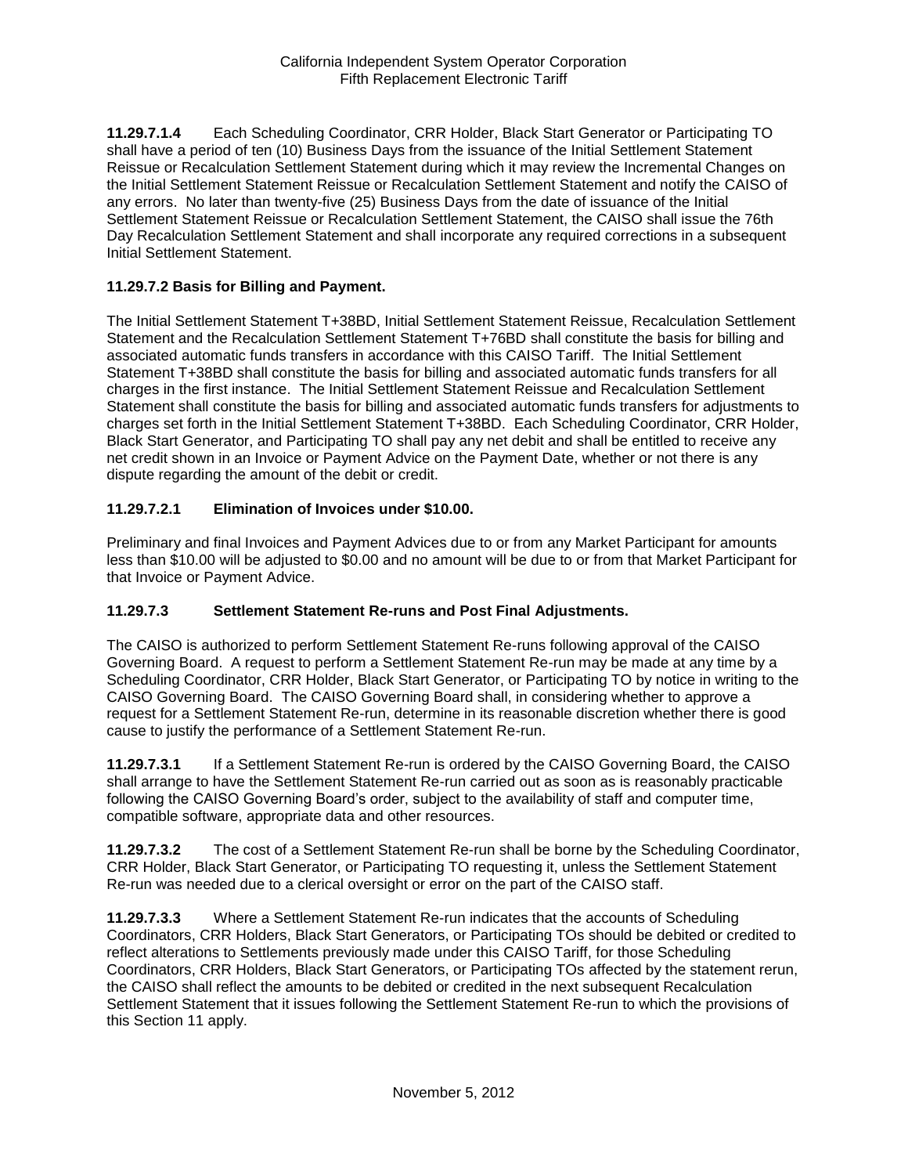**11.29.7.1.4** Each Scheduling Coordinator, CRR Holder, Black Start Generator or Participating TO shall have a period of ten (10) Business Days from the issuance of the Initial Settlement Statement Reissue or Recalculation Settlement Statement during which it may review the Incremental Changes on the Initial Settlement Statement Reissue or Recalculation Settlement Statement and notify the CAISO of any errors. No later than twenty-five (25) Business Days from the date of issuance of the Initial Settlement Statement Reissue or Recalculation Settlement Statement, the CAISO shall issue the 76th Day Recalculation Settlement Statement and shall incorporate any required corrections in a subsequent Initial Settlement Statement.

## **11.29.7.2 Basis for Billing and Payment.**

The Initial Settlement Statement T+38BD, Initial Settlement Statement Reissue, Recalculation Settlement Statement and the Recalculation Settlement Statement T+76BD shall constitute the basis for billing and associated automatic funds transfers in accordance with this CAISO Tariff. The Initial Settlement Statement T+38BD shall constitute the basis for billing and associated automatic funds transfers for all charges in the first instance. The Initial Settlement Statement Reissue and Recalculation Settlement Statement shall constitute the basis for billing and associated automatic funds transfers for adjustments to charges set forth in the Initial Settlement Statement T+38BD. Each Scheduling Coordinator, CRR Holder, Black Start Generator, and Participating TO shall pay any net debit and shall be entitled to receive any net credit shown in an Invoice or Payment Advice on the Payment Date, whether or not there is any dispute regarding the amount of the debit or credit.

## **11.29.7.2.1 Elimination of Invoices under \$10.00.**

Preliminary and final Invoices and Payment Advices due to or from any Market Participant for amounts less than \$10.00 will be adjusted to \$0.00 and no amount will be due to or from that Market Participant for that Invoice or Payment Advice.

### **11.29.7.3 Settlement Statement Re-runs and Post Final Adjustments.**

The CAISO is authorized to perform Settlement Statement Re-runs following approval of the CAISO Governing Board. A request to perform a Settlement Statement Re-run may be made at any time by a Scheduling Coordinator, CRR Holder, Black Start Generator, or Participating TO by notice in writing to the CAISO Governing Board. The CAISO Governing Board shall, in considering whether to approve a request for a Settlement Statement Re-run, determine in its reasonable discretion whether there is good cause to justify the performance of a Settlement Statement Re-run.

**11.29.7.3.1** If a Settlement Statement Re-run is ordered by the CAISO Governing Board, the CAISO shall arrange to have the Settlement Statement Re-run carried out as soon as is reasonably practicable following the CAISO Governing Board's order, subject to the availability of staff and computer time, compatible software, appropriate data and other resources.

**11.29.7.3.2** The cost of a Settlement Statement Re-run shall be borne by the Scheduling Coordinator, CRR Holder, Black Start Generator, or Participating TO requesting it, unless the Settlement Statement Re-run was needed due to a clerical oversight or error on the part of the CAISO staff.

**11.29.7.3.3** Where a Settlement Statement Re-run indicates that the accounts of Scheduling Coordinators, CRR Holders, Black Start Generators, or Participating TOs should be debited or credited to reflect alterations to Settlements previously made under this CAISO Tariff, for those Scheduling Coordinators, CRR Holders, Black Start Generators, or Participating TOs affected by the statement rerun, the CAISO shall reflect the amounts to be debited or credited in the next subsequent Recalculation Settlement Statement that it issues following the Settlement Statement Re-run to which the provisions of this Section 11 apply.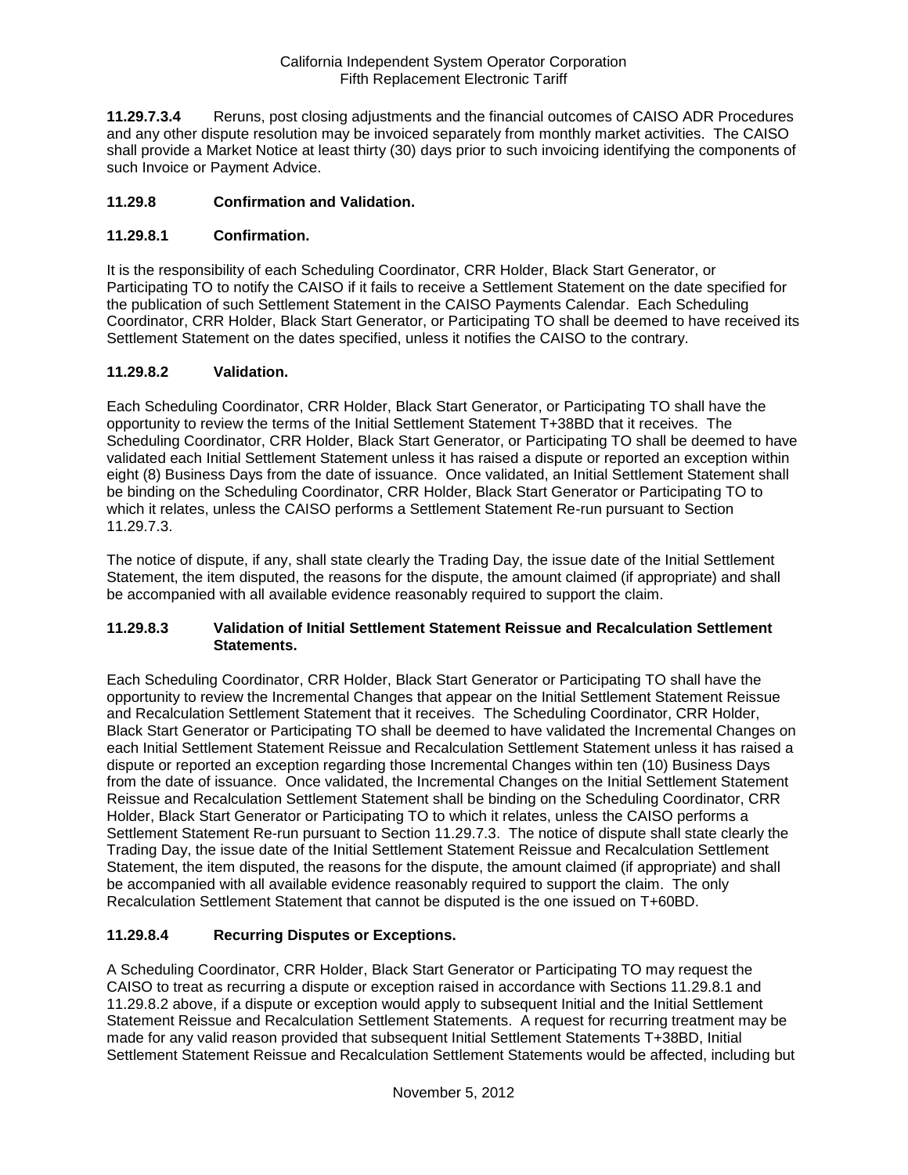**11.29.7.3.4** Reruns, post closing adjustments and the financial outcomes of CAISO ADR Procedures and any other dispute resolution may be invoiced separately from monthly market activities. The CAISO shall provide a Market Notice at least thirty (30) days prior to such invoicing identifying the components of such Invoice or Payment Advice.

## **11.29.8 Confirmation and Validation.**

## **11.29.8.1 Confirmation.**

It is the responsibility of each Scheduling Coordinator, CRR Holder, Black Start Generator, or Participating TO to notify the CAISO if it fails to receive a Settlement Statement on the date specified for the publication of such Settlement Statement in the CAISO Payments Calendar. Each Scheduling Coordinator, CRR Holder, Black Start Generator, or Participating TO shall be deemed to have received its Settlement Statement on the dates specified, unless it notifies the CAISO to the contrary.

## **11.29.8.2 Validation.**

Each Scheduling Coordinator, CRR Holder, Black Start Generator, or Participating TO shall have the opportunity to review the terms of the Initial Settlement Statement T+38BD that it receives. The Scheduling Coordinator, CRR Holder, Black Start Generator, or Participating TO shall be deemed to have validated each Initial Settlement Statement unless it has raised a dispute or reported an exception within eight (8) Business Days from the date of issuance. Once validated, an Initial Settlement Statement shall be binding on the Scheduling Coordinator, CRR Holder, Black Start Generator or Participating TO to which it relates, unless the CAISO performs a Settlement Statement Re-run pursuant to Section 11.29.7.3.

The notice of dispute, if any, shall state clearly the Trading Day, the issue date of the Initial Settlement Statement, the item disputed, the reasons for the dispute, the amount claimed (if appropriate) and shall be accompanied with all available evidence reasonably required to support the claim.

### **11.29.8.3 Validation of Initial Settlement Statement Reissue and Recalculation Settlement Statements.**

Each Scheduling Coordinator, CRR Holder, Black Start Generator or Participating TO shall have the opportunity to review the Incremental Changes that appear on the Initial Settlement Statement Reissue and Recalculation Settlement Statement that it receives. The Scheduling Coordinator, CRR Holder, Black Start Generator or Participating TO shall be deemed to have validated the Incremental Changes on each Initial Settlement Statement Reissue and Recalculation Settlement Statement unless it has raised a dispute or reported an exception regarding those Incremental Changes within ten (10) Business Days from the date of issuance. Once validated, the Incremental Changes on the Initial Settlement Statement Reissue and Recalculation Settlement Statement shall be binding on the Scheduling Coordinator, CRR Holder, Black Start Generator or Participating TO to which it relates, unless the CAISO performs a Settlement Statement Re-run pursuant to Section 11.29.7.3. The notice of dispute shall state clearly the Trading Day, the issue date of the Initial Settlement Statement Reissue and Recalculation Settlement Statement, the item disputed, the reasons for the dispute, the amount claimed (if appropriate) and shall be accompanied with all available evidence reasonably required to support the claim. The only Recalculation Settlement Statement that cannot be disputed is the one issued on T+60BD.

### **11.29.8.4 Recurring Disputes or Exceptions.**

A Scheduling Coordinator, CRR Holder, Black Start Generator or Participating TO may request the CAISO to treat as recurring a dispute or exception raised in accordance with Sections 11.29.8.1 and 11.29.8.2 above, if a dispute or exception would apply to subsequent Initial and the Initial Settlement Statement Reissue and Recalculation Settlement Statements. A request for recurring treatment may be made for any valid reason provided that subsequent Initial Settlement Statements T+38BD, Initial Settlement Statement Reissue and Recalculation Settlement Statements would be affected, including but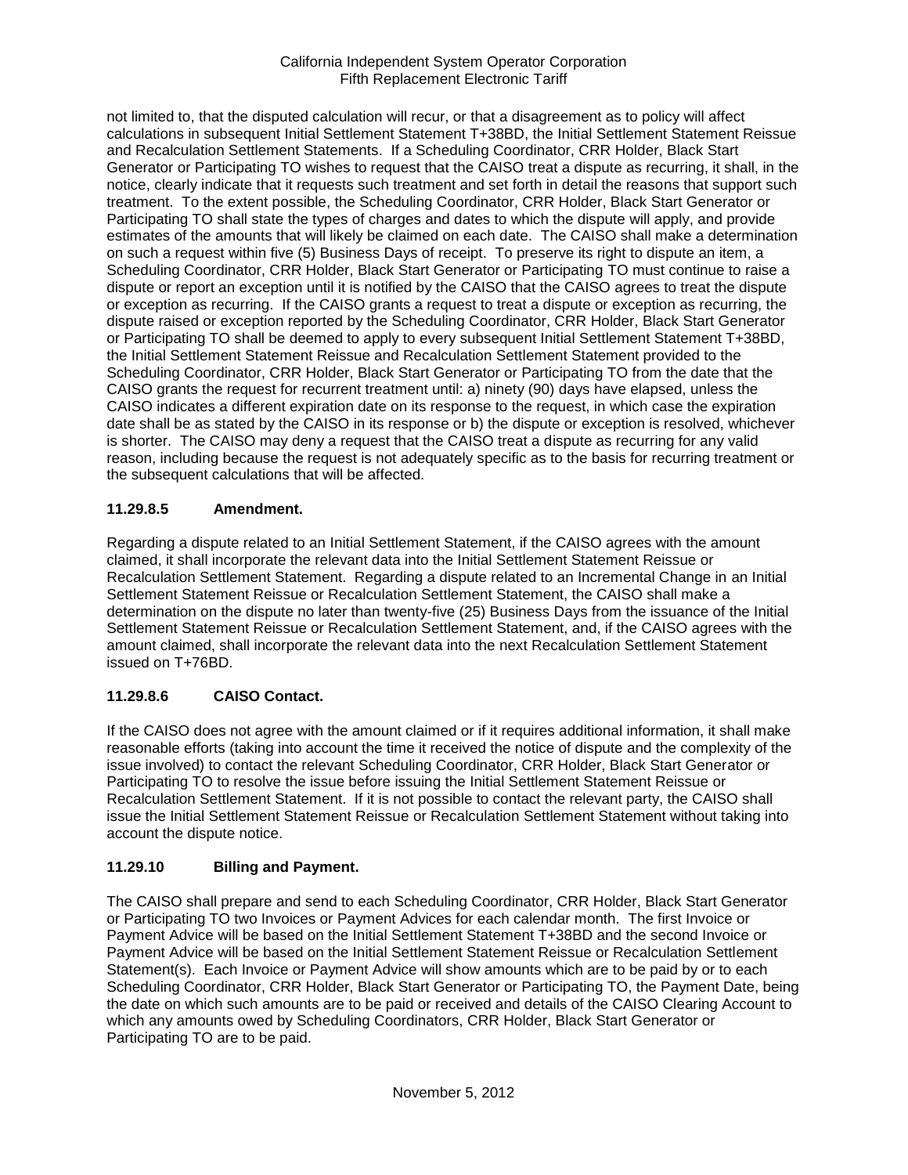not limited to, that the disputed calculation will recur, or that a disagreement as to policy will affect calculations in subsequent Initial Settlement Statement T+38BD, the Initial Settlement Statement Reissue and Recalculation Settlement Statements. If a Scheduling Coordinator, CRR Holder, Black Start Generator or Participating TO wishes to request that the CAISO treat a dispute as recurring, it shall, in the notice, clearly indicate that it requests such treatment and set forth in detail the reasons that support such treatment. To the extent possible, the Scheduling Coordinator, CRR Holder, Black Start Generator or Participating TO shall state the types of charges and dates to which the dispute will apply, and provide estimates of the amounts that will likely be claimed on each date. The CAISO shall make a determination on such a request within five (5) Business Days of receipt. To preserve its right to dispute an item, a Scheduling Coordinator, CRR Holder, Black Start Generator or Participating TO must continue to raise a dispute or report an exception until it is notified by the CAISO that the CAISO agrees to treat the dispute or exception as recurring. If the CAISO grants a request to treat a dispute or exception as recurring, the dispute raised or exception reported by the Scheduling Coordinator, CRR Holder, Black Start Generator or Participating TO shall be deemed to apply to every subsequent Initial Settlement Statement T+38BD, the Initial Settlement Statement Reissue and Recalculation Settlement Statement provided to the Scheduling Coordinator, CRR Holder, Black Start Generator or Participating TO from the date that the CAISO grants the request for recurrent treatment until: a) ninety (90) days have elapsed, unless the CAISO indicates a different expiration date on its response to the request, in which case the expiration date shall be as stated by the CAISO in its response or b) the dispute or exception is resolved, whichever is shorter. The CAISO may deny a request that the CAISO treat a dispute as recurring for any valid reason, including because the request is not adequately specific as to the basis for recurring treatment or the subsequent calculations that will be affected.

# **11.29.8.5 Amendment.**

Regarding a dispute related to an Initial Settlement Statement, if the CAISO agrees with the amount claimed, it shall incorporate the relevant data into the Initial Settlement Statement Reissue or Recalculation Settlement Statement. Regarding a dispute related to an Incremental Change in an Initial Settlement Statement Reissue or Recalculation Settlement Statement, the CAISO shall make a determination on the dispute no later than twenty-five (25) Business Days from the issuance of the Initial Settlement Statement Reissue or Recalculation Settlement Statement, and, if the CAISO agrees with the amount claimed, shall incorporate the relevant data into the next Recalculation Settlement Statement issued on T+76BD.

# **11.29.8.6 CAISO Contact.**

If the CAISO does not agree with the amount claimed or if it requires additional information, it shall make reasonable efforts (taking into account the time it received the notice of dispute and the complexity of the issue involved) to contact the relevant Scheduling Coordinator, CRR Holder, Black Start Generator or Participating TO to resolve the issue before issuing the Initial Settlement Statement Reissue or Recalculation Settlement Statement. If it is not possible to contact the relevant party, the CAISO shall issue the Initial Settlement Statement Reissue or Recalculation Settlement Statement without taking into account the dispute notice.

# **11.29.10 Billing and Payment.**

The CAISO shall prepare and send to each Scheduling Coordinator, CRR Holder, Black Start Generator or Participating TO two Invoices or Payment Advices for each calendar month. The first Invoice or Payment Advice will be based on the Initial Settlement Statement T+38BD and the second Invoice or Payment Advice will be based on the Initial Settlement Statement Reissue or Recalculation Settlement Statement(s). Each Invoice or Payment Advice will show amounts which are to be paid by or to each Scheduling Coordinator, CRR Holder, Black Start Generator or Participating TO, the Payment Date, being the date on which such amounts are to be paid or received and details of the CAISO Clearing Account to which any amounts owed by Scheduling Coordinators, CRR Holder, Black Start Generator or Participating TO are to be paid.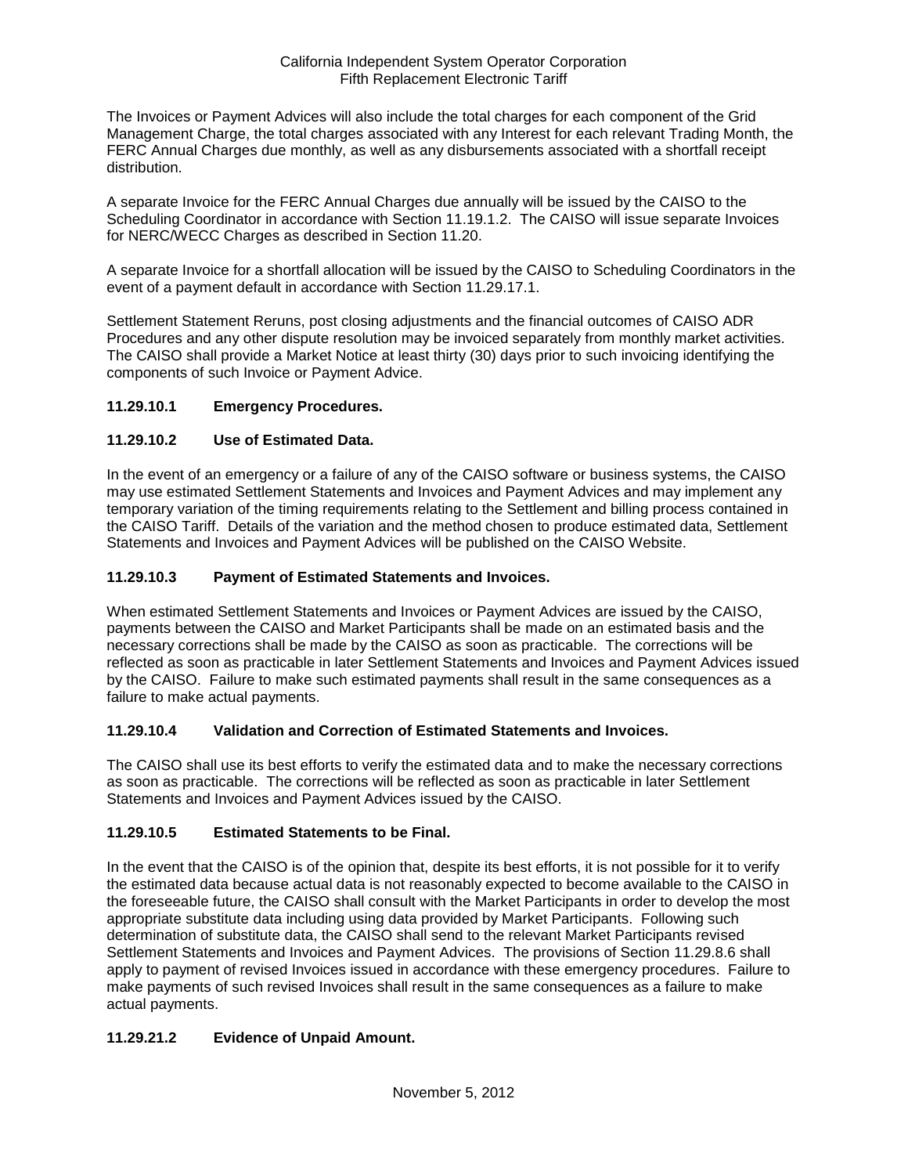The Invoices or Payment Advices will also include the total charges for each component of the Grid Management Charge, the total charges associated with any Interest for each relevant Trading Month, the FERC Annual Charges due monthly, as well as any disbursements associated with a shortfall receipt distribution.

A separate Invoice for the FERC Annual Charges due annually will be issued by the CAISO to the Scheduling Coordinator in accordance with Section 11.19.1.2. The CAISO will issue separate Invoices for NERC/WECC Charges as described in Section 11.20.

A separate Invoice for a shortfall allocation will be issued by the CAISO to Scheduling Coordinators in the event of a payment default in accordance with Section 11.29.17.1.

Settlement Statement Reruns, post closing adjustments and the financial outcomes of CAISO ADR Procedures and any other dispute resolution may be invoiced separately from monthly market activities. The CAISO shall provide a Market Notice at least thirty (30) days prior to such invoicing identifying the components of such Invoice or Payment Advice.

## **11.29.10.1 Emergency Procedures.**

## **11.29.10.2 Use of Estimated Data.**

In the event of an emergency or a failure of any of the CAISO software or business systems, the CAISO may use estimated Settlement Statements and Invoices and Payment Advices and may implement any temporary variation of the timing requirements relating to the Settlement and billing process contained in the CAISO Tariff. Details of the variation and the method chosen to produce estimated data, Settlement Statements and Invoices and Payment Advices will be published on the CAISO Website.

### **11.29.10.3 Payment of Estimated Statements and Invoices.**

When estimated Settlement Statements and Invoices or Payment Advices are issued by the CAISO, payments between the CAISO and Market Participants shall be made on an estimated basis and the necessary corrections shall be made by the CAISO as soon as practicable. The corrections will be reflected as soon as practicable in later Settlement Statements and Invoices and Payment Advices issued by the CAISO. Failure to make such estimated payments shall result in the same consequences as a failure to make actual payments.

## **11.29.10.4 Validation and Correction of Estimated Statements and Invoices.**

The CAISO shall use its best efforts to verify the estimated data and to make the necessary corrections as soon as practicable. The corrections will be reflected as soon as practicable in later Settlement Statements and Invoices and Payment Advices issued by the CAISO.

### **11.29.10.5 Estimated Statements to be Final.**

In the event that the CAISO is of the opinion that, despite its best efforts, it is not possible for it to verify the estimated data because actual data is not reasonably expected to become available to the CAISO in the foreseeable future, the CAISO shall consult with the Market Participants in order to develop the most appropriate substitute data including using data provided by Market Participants. Following such determination of substitute data, the CAISO shall send to the relevant Market Participants revised Settlement Statements and Invoices and Payment Advices. The provisions of Section 11.29.8.6 shall apply to payment of revised Invoices issued in accordance with these emergency procedures. Failure to make payments of such revised Invoices shall result in the same consequences as a failure to make actual payments.

# **11.29.21.2 Evidence of Unpaid Amount.**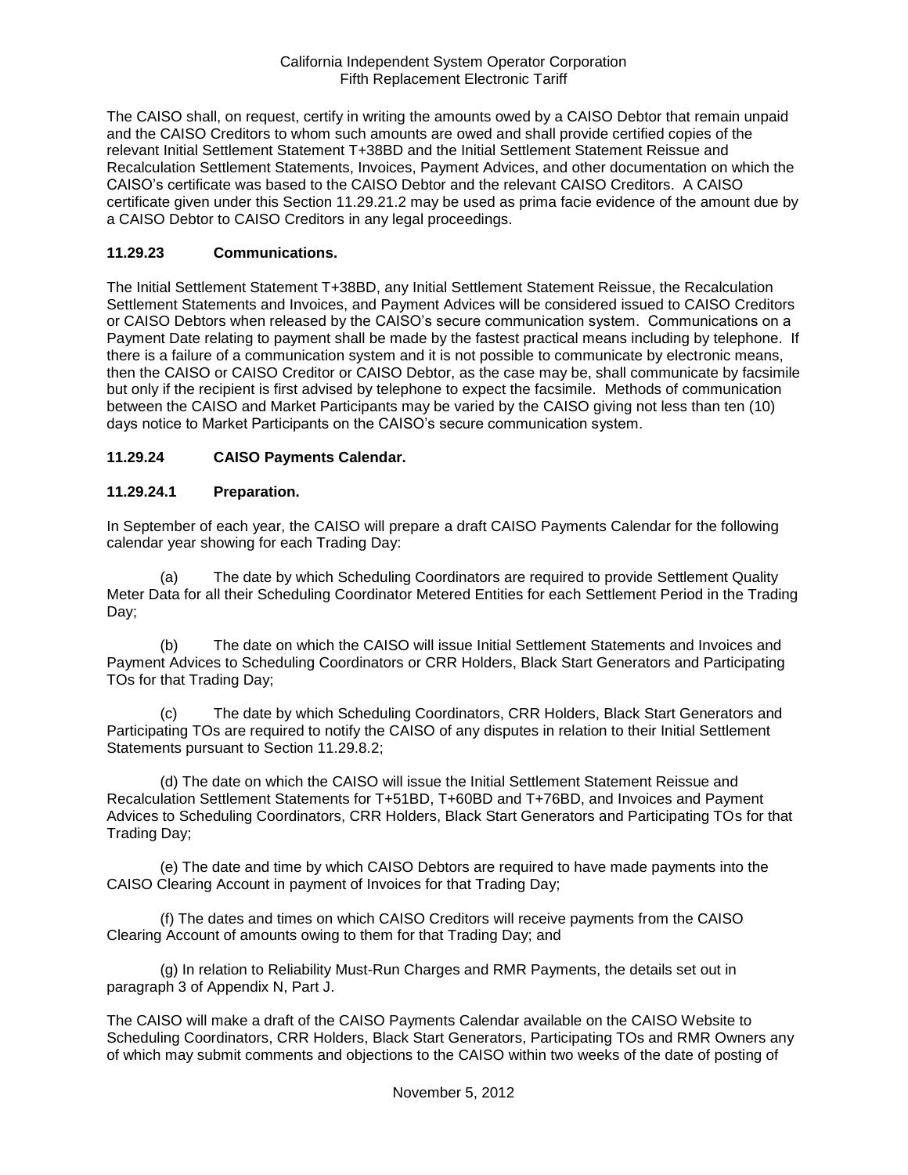The CAISO shall, on request, certify in writing the amounts owed by a CAISO Debtor that remain unpaid and the CAISO Creditors to whom such amounts are owed and shall provide certified copies of the relevant Initial Settlement Statement T+38BD and the Initial Settlement Statement Reissue and Recalculation Settlement Statements, Invoices, Payment Advices, and other documentation on which the CAISO's certificate was based to the CAISO Debtor and the relevant CAISO Creditors. A CAISO certificate given under this Section 11.29.21.2 may be used as prima facie evidence of the amount due by a CAISO Debtor to CAISO Creditors in any legal proceedings.

## **11.29.23 Communications.**

The Initial Settlement Statement T+38BD, any Initial Settlement Statement Reissue, the Recalculation Settlement Statements and Invoices, and Payment Advices will be considered issued to CAISO Creditors or CAISO Debtors when released by the CAISO's secure communication system. Communications on a Payment Date relating to payment shall be made by the fastest practical means including by telephone. If there is a failure of a communication system and it is not possible to communicate by electronic means, then the CAISO or CAISO Creditor or CAISO Debtor, as the case may be, shall communicate by facsimile but only if the recipient is first advised by telephone to expect the facsimile. Methods of communication between the CAISO and Market Participants may be varied by the CAISO giving not less than ten (10) days notice to Market Participants on the CAISO's secure communication system.

## **11.29.24 CAISO Payments Calendar.**

### **11.29.24.1 Preparation.**

In September of each year, the CAISO will prepare a draft CAISO Payments Calendar for the following calendar year showing for each Trading Day:

(a) The date by which Scheduling Coordinators are required to provide Settlement Quality Meter Data for all their Scheduling Coordinator Metered Entities for each Settlement Period in the Trading Day;

(b) The date on which the CAISO will issue Initial Settlement Statements and Invoices and Payment Advices to Scheduling Coordinators or CRR Holders, Black Start Generators and Participating TOs for that Trading Day;

(c) The date by which Scheduling Coordinators, CRR Holders, Black Start Generators and Participating TOs are required to notify the CAISO of any disputes in relation to their Initial Settlement Statements pursuant to Section 11.29.8.2;

(d) The date on which the CAISO will issue the Initial Settlement Statement Reissue and Recalculation Settlement Statements for T+51BD, T+60BD and T+76BD, and Invoices and Payment Advices to Scheduling Coordinators, CRR Holders, Black Start Generators and Participating TOs for that Trading Day;

(e) The date and time by which CAISO Debtors are required to have made payments into the CAISO Clearing Account in payment of Invoices for that Trading Day;

(f) The dates and times on which CAISO Creditors will receive payments from the CAISO Clearing Account of amounts owing to them for that Trading Day; and

(g) In relation to Reliability Must-Run Charges and RMR Payments, the details set out in paragraph 3 of Appendix N, Part J.

The CAISO will make a draft of the CAISO Payments Calendar available on the CAISO Website to Scheduling Coordinators, CRR Holders, Black Start Generators, Participating TOs and RMR Owners any of which may submit comments and objections to the CAISO within two weeks of the date of posting of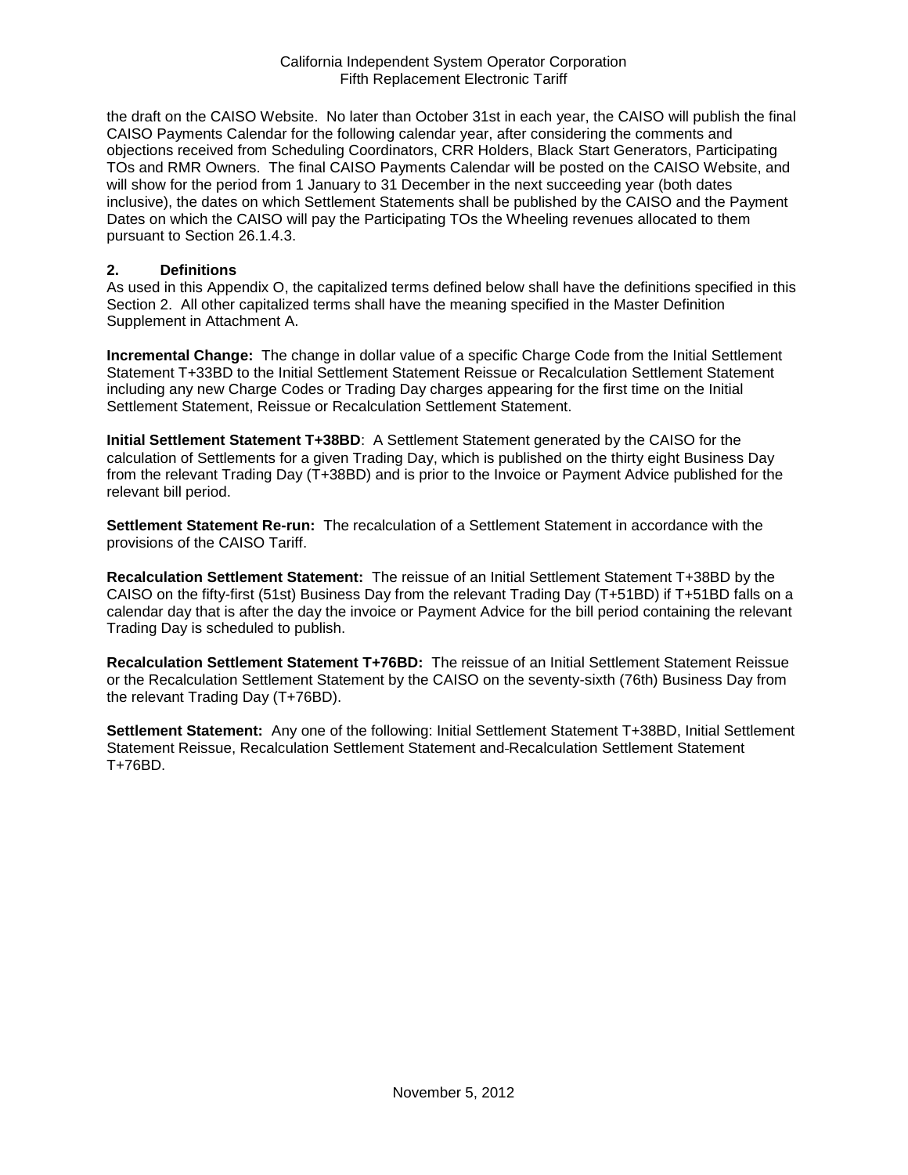the draft on the CAISO Website. No later than October 31st in each year, the CAISO will publish the final CAISO Payments Calendar for the following calendar year, after considering the comments and objections received from Scheduling Coordinators, CRR Holders, Black Start Generators, Participating TOs and RMR Owners. The final CAISO Payments Calendar will be posted on the CAISO Website, and will show for the period from 1 January to 31 December in the next succeeding year (both dates inclusive), the dates on which Settlement Statements shall be published by the CAISO and the Payment Dates on which the CAISO will pay the Participating TOs the Wheeling revenues allocated to them pursuant to Section 26.1.4.3.

#### **2. Definitions**

As used in this Appendix O, the capitalized terms defined below shall have the definitions specified in this Section 2. All other capitalized terms shall have the meaning specified in the Master Definition Supplement in Attachment A.

**Incremental Change:** The change in dollar value of a specific Charge Code from the Initial Settlement Statement T+33BD to the Initial Settlement Statement Reissue or Recalculation Settlement Statement including any new Charge Codes or Trading Day charges appearing for the first time on the Initial Settlement Statement, Reissue or Recalculation Settlement Statement.

**Initial Settlement Statement T+38BD**: A Settlement Statement generated by the CAISO for the calculation of Settlements for a given Trading Day, which is published on the thirty eight Business Day from the relevant Trading Day (T+38BD) and is prior to the Invoice or Payment Advice published for the relevant bill period.

**Settlement Statement Re-run:** The recalculation of a Settlement Statement in accordance with the provisions of the CAISO Tariff.

**Recalculation Settlement Statement:** The reissue of an Initial Settlement Statement T+38BD by the CAISO on the fifty-first (51st) Business Day from the relevant Trading Day (T+51BD) if T+51BD falls on a calendar day that is after the day the invoice or Payment Advice for the bill period containing the relevant Trading Day is scheduled to publish.

**Recalculation Settlement Statement T+76BD:** The reissue of an Initial Settlement Statement Reissue or the Recalculation Settlement Statement by the CAISO on the seventy-sixth (76th) Business Day from the relevant Trading Day (T+76BD).

**Settlement Statement:** Any one of the following: Initial Settlement Statement T+38BD, Initial Settlement Statement Reissue, Recalculation Settlement Statement and Recalculation Settlement Statement T+76BD.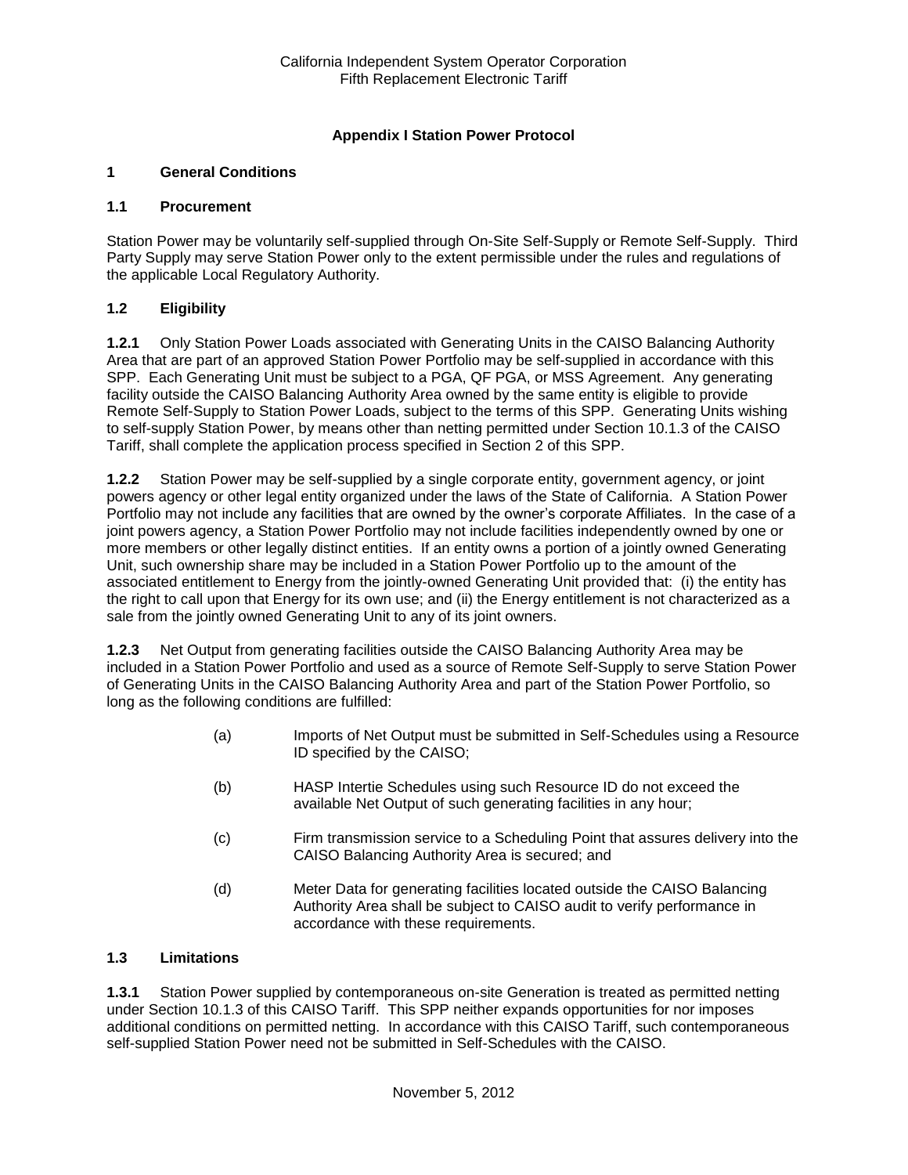## **Appendix I Station Power Protocol**

### **1 General Conditions**

#### **1.1 Procurement**

Station Power may be voluntarily self-supplied through On-Site Self-Supply or Remote Self-Supply. Third Party Supply may serve Station Power only to the extent permissible under the rules and regulations of the applicable Local Regulatory Authority.

### **1.2 Eligibility**

**1.2.1** Only Station Power Loads associated with Generating Units in the CAISO Balancing Authority Area that are part of an approved Station Power Portfolio may be self-supplied in accordance with this SPP. Each Generating Unit must be subject to a PGA, QF PGA, or MSS Agreement. Any generating facility outside the CAISO Balancing Authority Area owned by the same entity is eligible to provide Remote Self-Supply to Station Power Loads, subject to the terms of this SPP. Generating Units wishing to self-supply Station Power, by means other than netting permitted under Section 10.1.3 of the CAISO Tariff, shall complete the application process specified in Section 2 of this SPP.

**1.2.2** Station Power may be self-supplied by a single corporate entity, government agency, or joint powers agency or other legal entity organized under the laws of the State of California. A Station Power Portfolio may not include any facilities that are owned by the owner's corporate Affiliates. In the case of a joint powers agency, a Station Power Portfolio may not include facilities independently owned by one or more members or other legally distinct entities. If an entity owns a portion of a jointly owned Generating Unit, such ownership share may be included in a Station Power Portfolio up to the amount of the associated entitlement to Energy from the jointly-owned Generating Unit provided that: (i) the entity has the right to call upon that Energy for its own use; and (ii) the Energy entitlement is not characterized as a sale from the jointly owned Generating Unit to any of its joint owners.

**1.2.3** Net Output from generating facilities outside the CAISO Balancing Authority Area may be included in a Station Power Portfolio and used as a source of Remote Self-Supply to serve Station Power of Generating Units in the CAISO Balancing Authority Area and part of the Station Power Portfolio, so long as the following conditions are fulfilled:

- (a) Imports of Net Output must be submitted in Self-Schedules using a Resource ID specified by the CAISO;
- (b) HASP Intertie Schedules using such Resource ID do not exceed the available Net Output of such generating facilities in any hour;
- (c) Firm transmission service to a Scheduling Point that assures delivery into the CAISO Balancing Authority Area is secured; and
- (d) Meter Data for generating facilities located outside the CAISO Balancing Authority Area shall be subject to CAISO audit to verify performance in accordance with these requirements.

### **1.3 Limitations**

**1.3.1** Station Power supplied by contemporaneous on-site Generation is treated as permitted netting under Section 10.1.3 of this CAISO Tariff. This SPP neither expands opportunities for nor imposes additional conditions on permitted netting. In accordance with this CAISO Tariff, such contemporaneous self-supplied Station Power need not be submitted in Self-Schedules with the CAISO.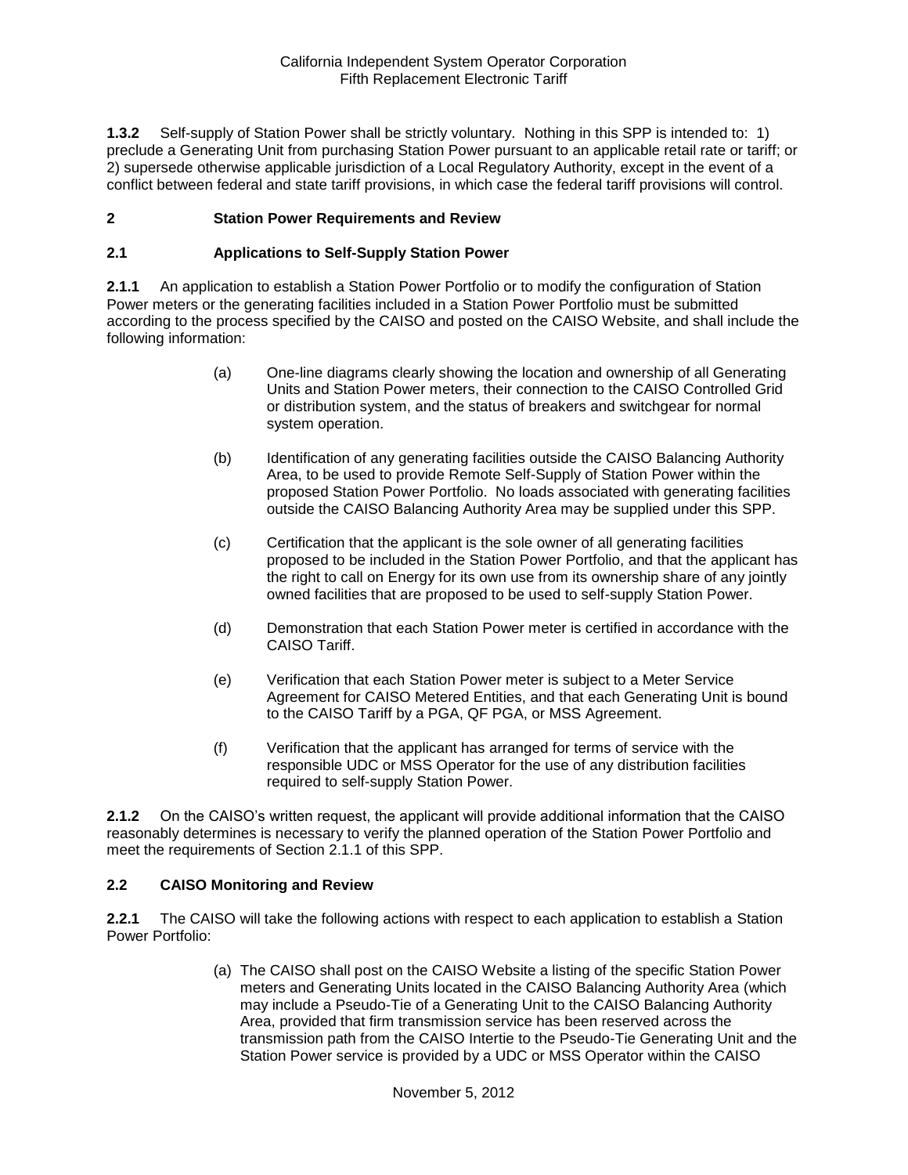**1.3.2** Self-supply of Station Power shall be strictly voluntary. Nothing in this SPP is intended to: 1) preclude a Generating Unit from purchasing Station Power pursuant to an applicable retail rate or tariff; or 2) supersede otherwise applicable jurisdiction of a Local Regulatory Authority, except in the event of a conflict between federal and state tariff provisions, in which case the federal tariff provisions will control.

### **2 Station Power Requirements and Review**

#### **2.1 Applications to Self-Supply Station Power**

**2.1.1** An application to establish a Station Power Portfolio or to modify the configuration of Station Power meters or the generating facilities included in a Station Power Portfolio must be submitted according to the process specified by the CAISO and posted on the CAISO Website, and shall include the following information:

- (a) One-line diagrams clearly showing the location and ownership of all Generating Units and Station Power meters, their connection to the CAISO Controlled Grid or distribution system, and the status of breakers and switchgear for normal system operation.
- (b) Identification of any generating facilities outside the CAISO Balancing Authority Area, to be used to provide Remote Self-Supply of Station Power within the proposed Station Power Portfolio. No loads associated with generating facilities outside the CAISO Balancing Authority Area may be supplied under this SPP.
- (c) Certification that the applicant is the sole owner of all generating facilities proposed to be included in the Station Power Portfolio, and that the applicant has the right to call on Energy for its own use from its ownership share of any jointly owned facilities that are proposed to be used to self-supply Station Power.
- (d) Demonstration that each Station Power meter is certified in accordance with the CAISO Tariff.
- (e) Verification that each Station Power meter is subject to a Meter Service Agreement for CAISO Metered Entities, and that each Generating Unit is bound to the CAISO Tariff by a PGA, QF PGA, or MSS Agreement.
- (f) Verification that the applicant has arranged for terms of service with the responsible UDC or MSS Operator for the use of any distribution facilities required to self-supply Station Power.

**2.1.2** On the CAISO's written request, the applicant will provide additional information that the CAISO reasonably determines is necessary to verify the planned operation of the Station Power Portfolio and meet the requirements of Section 2.1.1 of this SPP.

#### **2.2 CAISO Monitoring and Review**

**2.2.1** The CAISO will take the following actions with respect to each application to establish a Station Power Portfolio:

> (a) The CAISO shall post on the CAISO Website a listing of the specific Station Power meters and Generating Units located in the CAISO Balancing Authority Area (which may include a Pseudo-Tie of a Generating Unit to the CAISO Balancing Authority Area, provided that firm transmission service has been reserved across the transmission path from the CAISO Intertie to the Pseudo-Tie Generating Unit and the Station Power service is provided by a UDC or MSS Operator within the CAISO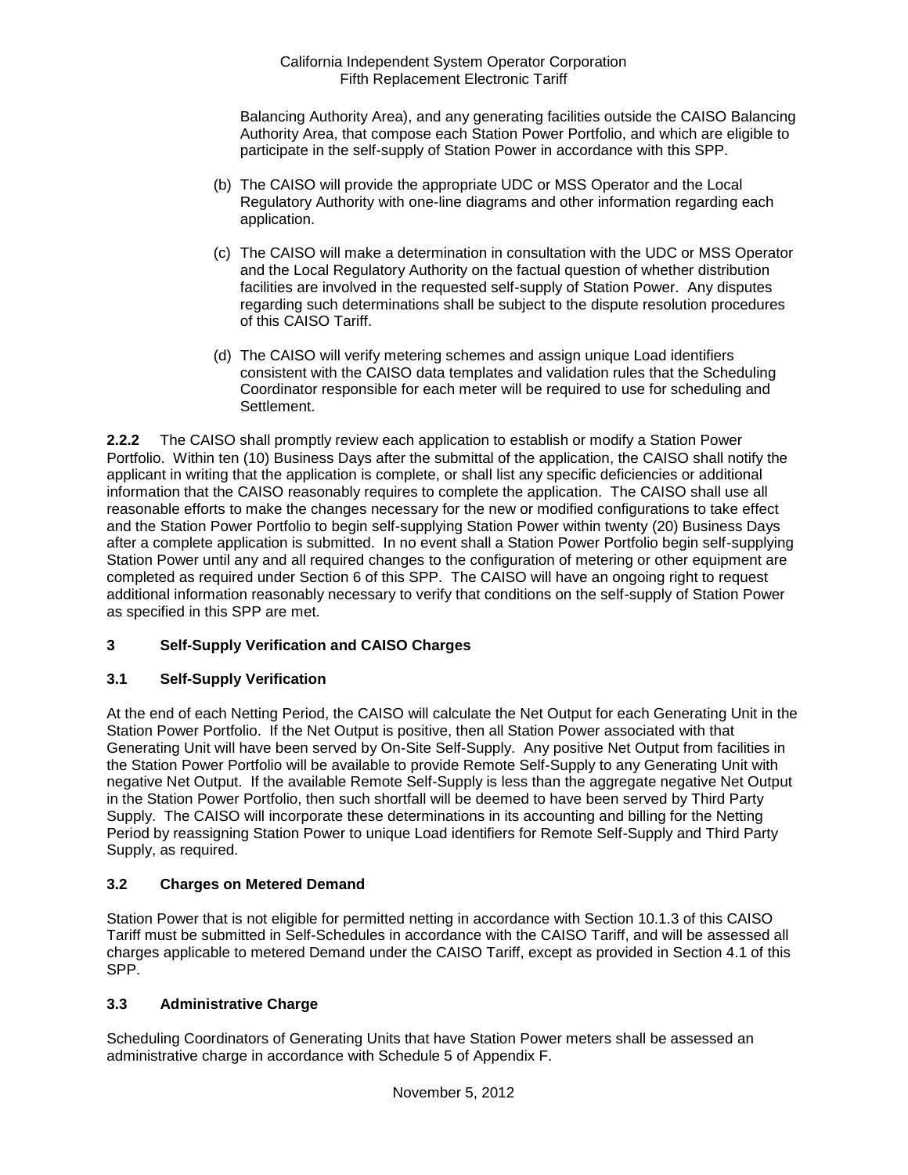Balancing Authority Area), and any generating facilities outside the CAISO Balancing Authority Area, that compose each Station Power Portfolio, and which are eligible to participate in the self-supply of Station Power in accordance with this SPP.

- (b) The CAISO will provide the appropriate UDC or MSS Operator and the Local Regulatory Authority with one-line diagrams and other information regarding each application.
- (c) The CAISO will make a determination in consultation with the UDC or MSS Operator and the Local Regulatory Authority on the factual question of whether distribution facilities are involved in the requested self-supply of Station Power. Any disputes regarding such determinations shall be subject to the dispute resolution procedures of this CAISO Tariff.
- (d) The CAISO will verify metering schemes and assign unique Load identifiers consistent with the CAISO data templates and validation rules that the Scheduling Coordinator responsible for each meter will be required to use for scheduling and Settlement.

**2.2.2** The CAISO shall promptly review each application to establish or modify a Station Power Portfolio. Within ten (10) Business Days after the submittal of the application, the CAISO shall notify the applicant in writing that the application is complete, or shall list any specific deficiencies or additional information that the CAISO reasonably requires to complete the application. The CAISO shall use all reasonable efforts to make the changes necessary for the new or modified configurations to take effect and the Station Power Portfolio to begin self-supplying Station Power within twenty (20) Business Days after a complete application is submitted. In no event shall a Station Power Portfolio begin self-supplying Station Power until any and all required changes to the configuration of metering or other equipment are completed as required under Section 6 of this SPP. The CAISO will have an ongoing right to request additional information reasonably necessary to verify that conditions on the self-supply of Station Power as specified in this SPP are met.

# **3 Self-Supply Verification and CAISO Charges**

### **3.1 Self-Supply Verification**

At the end of each Netting Period, the CAISO will calculate the Net Output for each Generating Unit in the Station Power Portfolio. If the Net Output is positive, then all Station Power associated with that Generating Unit will have been served by On-Site Self-Supply. Any positive Net Output from facilities in the Station Power Portfolio will be available to provide Remote Self-Supply to any Generating Unit with negative Net Output. If the available Remote Self-Supply is less than the aggregate negative Net Output in the Station Power Portfolio, then such shortfall will be deemed to have been served by Third Party Supply. The CAISO will incorporate these determinations in its accounting and billing for the Netting Period by reassigning Station Power to unique Load identifiers for Remote Self-Supply and Third Party Supply, as required.

### **3.2 Charges on Metered Demand**

Station Power that is not eligible for permitted netting in accordance with Section 10.1.3 of this CAISO Tariff must be submitted in Self-Schedules in accordance with the CAISO Tariff, and will be assessed all charges applicable to metered Demand under the CAISO Tariff, except as provided in Section 4.1 of this SPP.

### **3.3 Administrative Charge**

Scheduling Coordinators of Generating Units that have Station Power meters shall be assessed an administrative charge in accordance with Schedule 5 of Appendix F.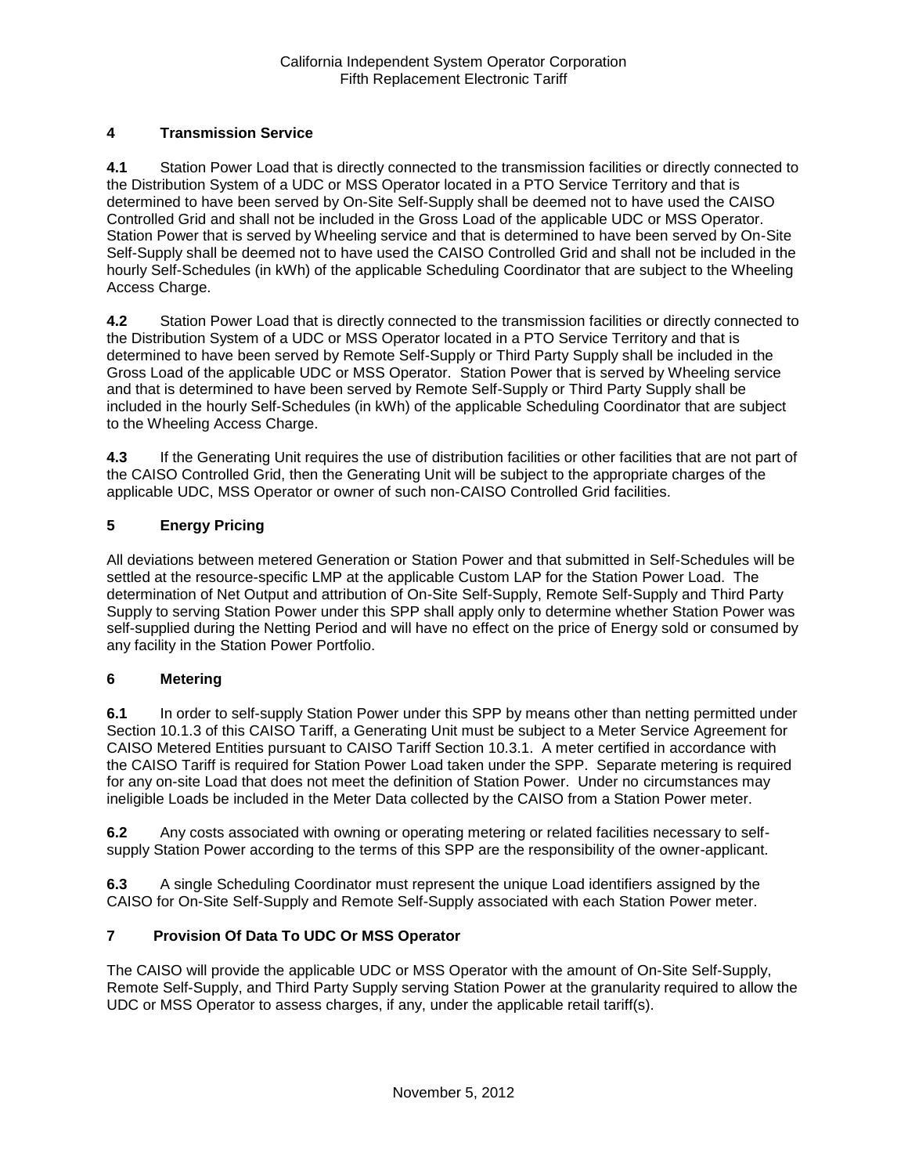# **4 Transmission Service**

**4.1** Station Power Load that is directly connected to the transmission facilities or directly connected to the Distribution System of a UDC or MSS Operator located in a PTO Service Territory and that is determined to have been served by On-Site Self-Supply shall be deemed not to have used the CAISO Controlled Grid and shall not be included in the Gross Load of the applicable UDC or MSS Operator. Station Power that is served by Wheeling service and that is determined to have been served by On-Site Self-Supply shall be deemed not to have used the CAISO Controlled Grid and shall not be included in the hourly Self-Schedules (in kWh) of the applicable Scheduling Coordinator that are subject to the Wheeling Access Charge.

**4.2** Station Power Load that is directly connected to the transmission facilities or directly connected to the Distribution System of a UDC or MSS Operator located in a PTO Service Territory and that is determined to have been served by Remote Self-Supply or Third Party Supply shall be included in the Gross Load of the applicable UDC or MSS Operator. Station Power that is served by Wheeling service and that is determined to have been served by Remote Self-Supply or Third Party Supply shall be included in the hourly Self-Schedules (in kWh) of the applicable Scheduling Coordinator that are subject to the Wheeling Access Charge.

**4.3** If the Generating Unit requires the use of distribution facilities or other facilities that are not part of the CAISO Controlled Grid, then the Generating Unit will be subject to the appropriate charges of the applicable UDC, MSS Operator or owner of such non-CAISO Controlled Grid facilities.

# **5 Energy Pricing**

All deviations between metered Generation or Station Power and that submitted in Self-Schedules will be settled at the resource-specific LMP at the applicable Custom LAP for the Station Power Load. The determination of Net Output and attribution of On-Site Self-Supply, Remote Self-Supply and Third Party Supply to serving Station Power under this SPP shall apply only to determine whether Station Power was self-supplied during the Netting Period and will have no effect on the price of Energy sold or consumed by any facility in the Station Power Portfolio.

## **6 Metering**

**6.1** In order to self-supply Station Power under this SPP by means other than netting permitted under Section 10.1.3 of this CAISO Tariff, a Generating Unit must be subject to a Meter Service Agreement for CAISO Metered Entities pursuant to CAISO Tariff Section 10.3.1. A meter certified in accordance with the CAISO Tariff is required for Station Power Load taken under the SPP. Separate metering is required for any on-site Load that does not meet the definition of Station Power. Under no circumstances may ineligible Loads be included in the Meter Data collected by the CAISO from a Station Power meter.

**6.2** Any costs associated with owning or operating metering or related facilities necessary to selfsupply Station Power according to the terms of this SPP are the responsibility of the owner-applicant.

**6.3** A single Scheduling Coordinator must represent the unique Load identifiers assigned by the CAISO for On-Site Self-Supply and Remote Self-Supply associated with each Station Power meter.

## **7 Provision Of Data To UDC Or MSS Operator**

The CAISO will provide the applicable UDC or MSS Operator with the amount of On-Site Self-Supply, Remote Self-Supply, and Third Party Supply serving Station Power at the granularity required to allow the UDC or MSS Operator to assess charges, if any, under the applicable retail tariff(s).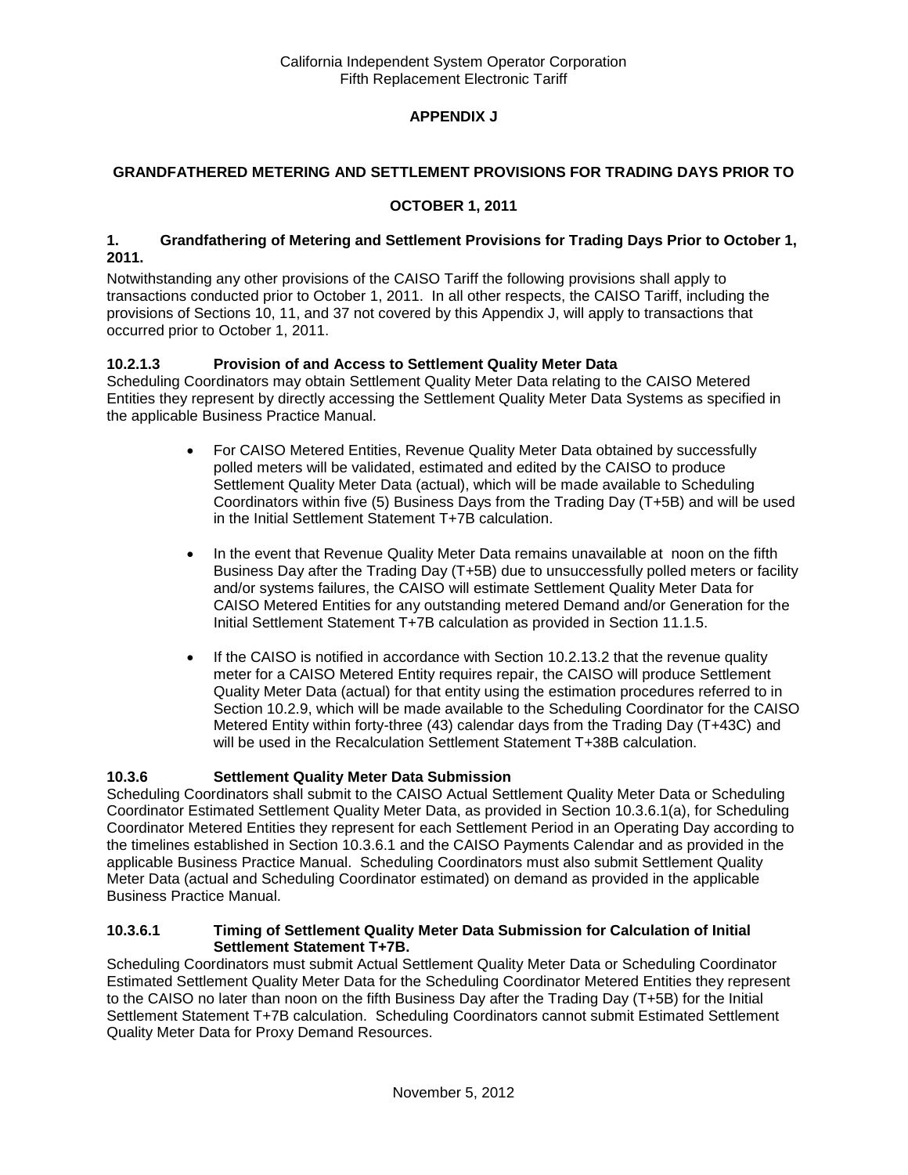# **APPENDIX J**

### **GRANDFATHERED METERING AND SETTLEMENT PROVISIONS FOR TRADING DAYS PRIOR TO**

### **OCTOBER 1, 2011**

#### **1. Grandfathering of Metering and Settlement Provisions for Trading Days Prior to October 1, 2011.**

Notwithstanding any other provisions of the CAISO Tariff the following provisions shall apply to transactions conducted prior to October 1, 2011. In all other respects, the CAISO Tariff, including the provisions of Sections 10, 11, and 37 not covered by this Appendix J, will apply to transactions that occurred prior to October 1, 2011.

## **10.2.1.3 Provision of and Access to Settlement Quality Meter Data**

Scheduling Coordinators may obtain Settlement Quality Meter Data relating to the CAISO Metered Entities they represent by directly accessing the Settlement Quality Meter Data Systems as specified in the applicable Business Practice Manual.

- For CAISO Metered Entities, Revenue Quality Meter Data obtained by successfully polled meters will be validated, estimated and edited by the CAISO to produce Settlement Quality Meter Data (actual), which will be made available to Scheduling Coordinators within five (5) Business Days from the Trading Day (T+5B) and will be used in the Initial Settlement Statement T+7B calculation.
- In the event that Revenue Quality Meter Data remains unavailable at noon on the fifth Business Day after the Trading Day (T+5B) due to unsuccessfully polled meters or facility and/or systems failures, the CAISO will estimate Settlement Quality Meter Data for CAISO Metered Entities for any outstanding metered Demand and/or Generation for the Initial Settlement Statement T+7B calculation as provided in Section 11.1.5.
- If the CAISO is notified in accordance with Section 10.2.13.2 that the revenue quality meter for a CAISO Metered Entity requires repair, the CAISO will produce Settlement Quality Meter Data (actual) for that entity using the estimation procedures referred to in Section 10.2.9, which will be made available to the Scheduling Coordinator for the CAISO Metered Entity within forty-three (43) calendar days from the Trading Day (T+43C) and will be used in the Recalculation Settlement Statement T+38B calculation.

### **10.3.6 Settlement Quality Meter Data Submission**

Scheduling Coordinators shall submit to the CAISO Actual Settlement Quality Meter Data or Scheduling Coordinator Estimated Settlement Quality Meter Data, as provided in Section 10.3.6.1(a), for Scheduling Coordinator Metered Entities they represent for each Settlement Period in an Operating Day according to the timelines established in Section 10.3.6.1 and the CAISO Payments Calendar and as provided in the applicable Business Practice Manual. Scheduling Coordinators must also submit Settlement Quality Meter Data (actual and Scheduling Coordinator estimated) on demand as provided in the applicable Business Practice Manual.

#### **10.3.6.1 Timing of Settlement Quality Meter Data Submission for Calculation of Initial Settlement Statement T+7B.**

Scheduling Coordinators must submit Actual Settlement Quality Meter Data or Scheduling Coordinator Estimated Settlement Quality Meter Data for the Scheduling Coordinator Metered Entities they represent to the CAISO no later than noon on the fifth Business Day after the Trading Day (T+5B) for the Initial Settlement Statement T+7B calculation. Scheduling Coordinators cannot submit Estimated Settlement Quality Meter Data for Proxy Demand Resources.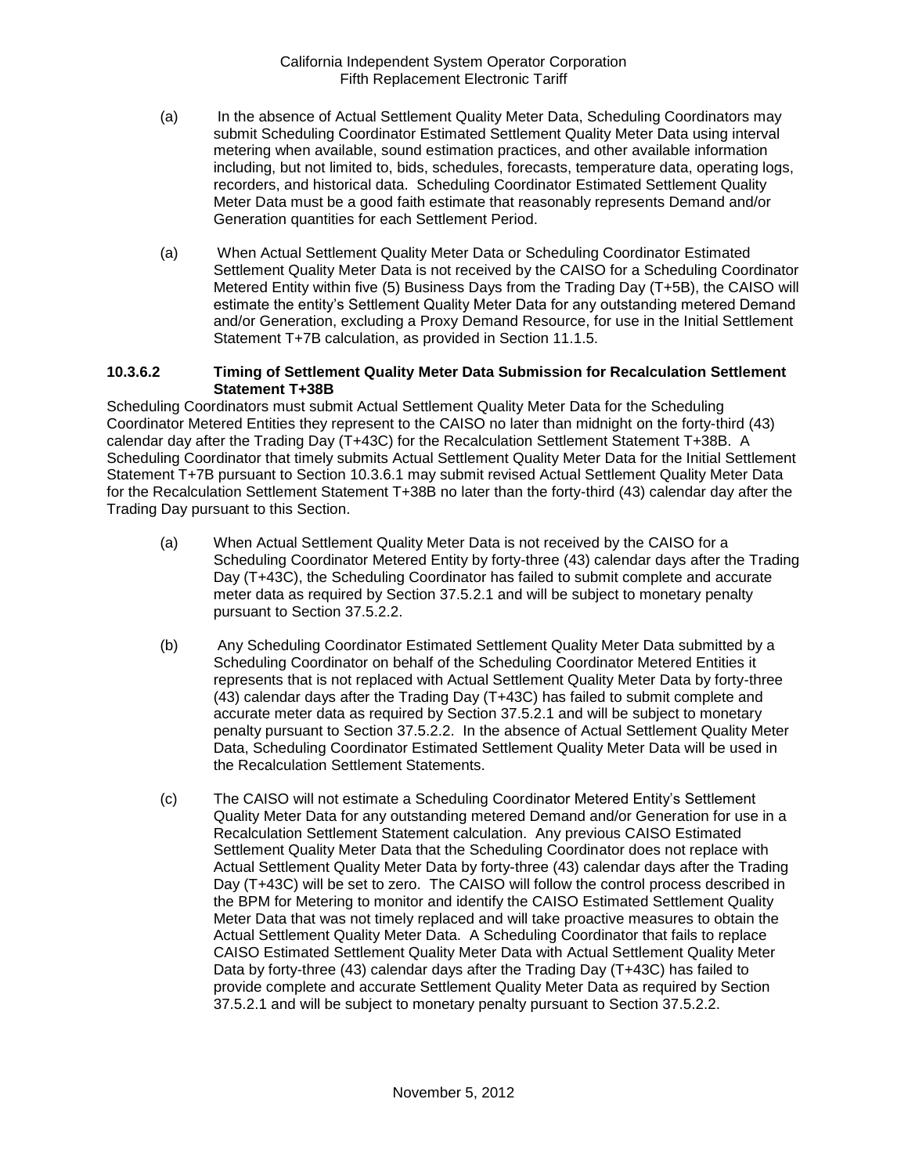- (a) In the absence of Actual Settlement Quality Meter Data, Scheduling Coordinators may submit Scheduling Coordinator Estimated Settlement Quality Meter Data using interval metering when available, sound estimation practices, and other available information including, but not limited to, bids, schedules, forecasts, temperature data, operating logs, recorders, and historical data. Scheduling Coordinator Estimated Settlement Quality Meter Data must be a good faith estimate that reasonably represents Demand and/or Generation quantities for each Settlement Period.
- (a) When Actual Settlement Quality Meter Data or Scheduling Coordinator Estimated Settlement Quality Meter Data is not received by the CAISO for a Scheduling Coordinator Metered Entity within five (5) Business Days from the Trading Day (T+5B), the CAISO will estimate the entity's Settlement Quality Meter Data for any outstanding metered Demand and/or Generation, excluding a Proxy Demand Resource, for use in the Initial Settlement Statement T+7B calculation, as provided in Section 11.1.5.

#### **10.3.6.2 Timing of Settlement Quality Meter Data Submission for Recalculation Settlement Statement T+38B**

Scheduling Coordinators must submit Actual Settlement Quality Meter Data for the Scheduling Coordinator Metered Entities they represent to the CAISO no later than midnight on the forty-third (43) calendar day after the Trading Day (T+43C) for the Recalculation Settlement Statement T+38B. A Scheduling Coordinator that timely submits Actual Settlement Quality Meter Data for the Initial Settlement Statement T+7B pursuant to Section 10.3.6.1 may submit revised Actual Settlement Quality Meter Data for the Recalculation Settlement Statement T+38B no later than the forty-third (43) calendar day after the Trading Day pursuant to this Section.

- (a) When Actual Settlement Quality Meter Data is not received by the CAISO for a Scheduling Coordinator Metered Entity by forty-three (43) calendar days after the Trading Day (T+43C), the Scheduling Coordinator has failed to submit complete and accurate meter data as required by Section 37.5.2.1 and will be subject to monetary penalty pursuant to Section 37.5.2.2.
- (b) Any Scheduling Coordinator Estimated Settlement Quality Meter Data submitted by a Scheduling Coordinator on behalf of the Scheduling Coordinator Metered Entities it represents that is not replaced with Actual Settlement Quality Meter Data by forty-three (43) calendar days after the Trading Day (T+43C) has failed to submit complete and accurate meter data as required by Section 37.5.2.1 and will be subject to monetary penalty pursuant to Section 37.5.2.2. In the absence of Actual Settlement Quality Meter Data, Scheduling Coordinator Estimated Settlement Quality Meter Data will be used in the Recalculation Settlement Statements.
- (c) The CAISO will not estimate a Scheduling Coordinator Metered Entity's Settlement Quality Meter Data for any outstanding metered Demand and/or Generation for use in a Recalculation Settlement Statement calculation. Any previous CAISO Estimated Settlement Quality Meter Data that the Scheduling Coordinator does not replace with Actual Settlement Quality Meter Data by forty-three (43) calendar days after the Trading Day (T+43C) will be set to zero. The CAISO will follow the control process described in the BPM for Metering to monitor and identify the CAISO Estimated Settlement Quality Meter Data that was not timely replaced and will take proactive measures to obtain the Actual Settlement Quality Meter Data. A Scheduling Coordinator that fails to replace CAISO Estimated Settlement Quality Meter Data with Actual Settlement Quality Meter Data by forty-three (43) calendar days after the Trading Day (T+43C) has failed to provide complete and accurate Settlement Quality Meter Data as required by Section 37.5.2.1 and will be subject to monetary penalty pursuant to Section 37.5.2.2.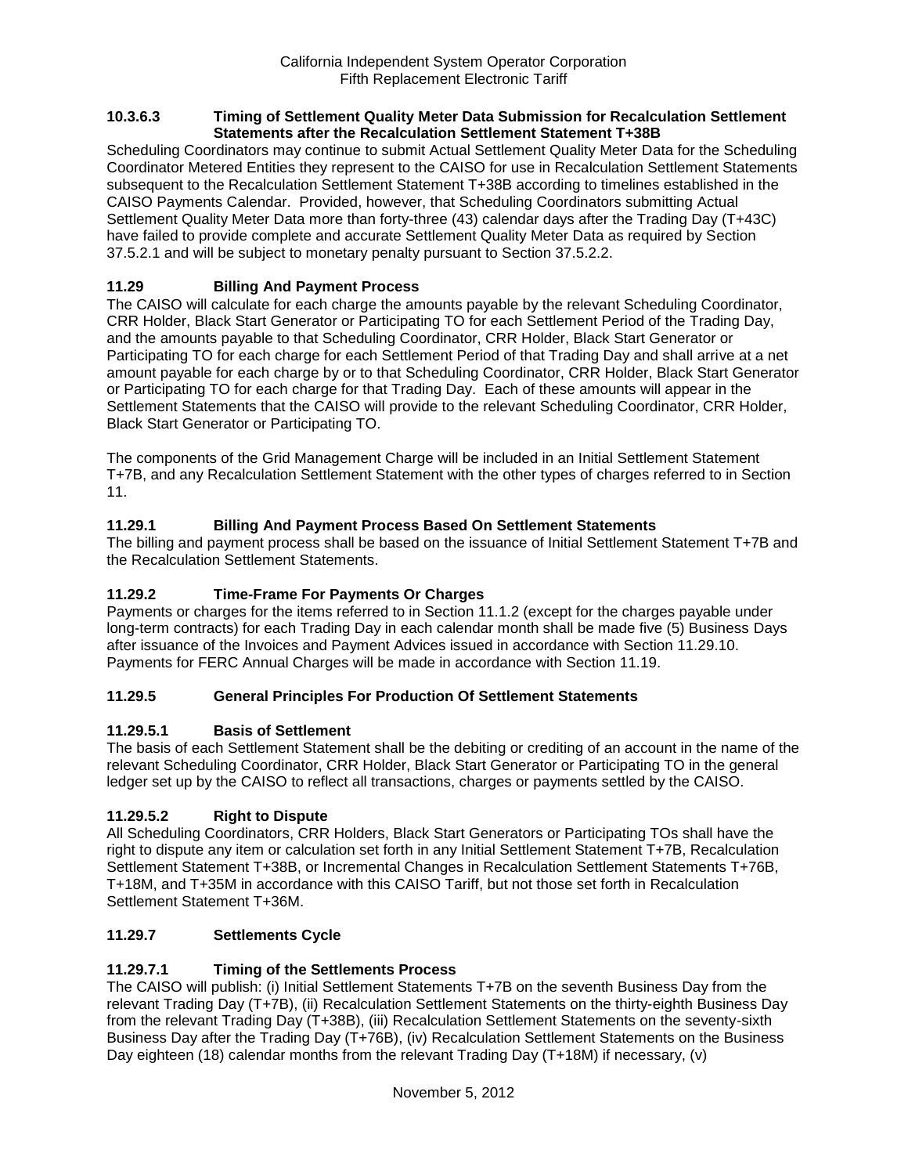#### **10.3.6.3 Timing of Settlement Quality Meter Data Submission for Recalculation Settlement Statements after the Recalculation Settlement Statement T+38B**

Scheduling Coordinators may continue to submit Actual Settlement Quality Meter Data for the Scheduling Coordinator Metered Entities they represent to the CAISO for use in Recalculation Settlement Statements subsequent to the Recalculation Settlement Statement T+38B according to timelines established in the CAISO Payments Calendar. Provided, however, that Scheduling Coordinators submitting Actual Settlement Quality Meter Data more than forty-three (43) calendar days after the Trading Day (T+43C) have failed to provide complete and accurate Settlement Quality Meter Data as required by Section 37.5.2.1 and will be subject to monetary penalty pursuant to Section 37.5.2.2.

# **11.29 Billing And Payment Process**

The CAISO will calculate for each charge the amounts payable by the relevant Scheduling Coordinator, CRR Holder, Black Start Generator or Participating TO for each Settlement Period of the Trading Day, and the amounts payable to that Scheduling Coordinator, CRR Holder, Black Start Generator or Participating TO for each charge for each Settlement Period of that Trading Day and shall arrive at a net amount payable for each charge by or to that Scheduling Coordinator, CRR Holder, Black Start Generator or Participating TO for each charge for that Trading Day. Each of these amounts will appear in the Settlement Statements that the CAISO will provide to the relevant Scheduling Coordinator, CRR Holder, Black Start Generator or Participating TO.

The components of the Grid Management Charge will be included in an Initial Settlement Statement T+7B, and any Recalculation Settlement Statement with the other types of charges referred to in Section 11.

# **11.29.1 Billing And Payment Process Based On Settlement Statements**

The billing and payment process shall be based on the issuance of Initial Settlement Statement T+7B and the Recalculation Settlement Statements.

## **11.29.2 Time-Frame For Payments Or Charges**

Payments or charges for the items referred to in Section 11.1.2 (except for the charges payable under long-term contracts) for each Trading Day in each calendar month shall be made five (5) Business Days after issuance of the Invoices and Payment Advices issued in accordance with Section 11.29.10. Payments for FERC Annual Charges will be made in accordance with Section 11.19.

### **11.29.5 General Principles For Production Of Settlement Statements**

### **11.29.5.1 Basis of Settlement**

The basis of each Settlement Statement shall be the debiting or crediting of an account in the name of the relevant Scheduling Coordinator, CRR Holder, Black Start Generator or Participating TO in the general ledger set up by the CAISO to reflect all transactions, charges or payments settled by the CAISO.

### **11.29.5.2 Right to Dispute**

All Scheduling Coordinators, CRR Holders, Black Start Generators or Participating TOs shall have the right to dispute any item or calculation set forth in any Initial Settlement Statement T+7B, Recalculation Settlement Statement T+38B, or Incremental Changes in Recalculation Settlement Statements T+76B, T+18M, and T+35M in accordance with this CAISO Tariff, but not those set forth in Recalculation Settlement Statement T+36M.

### **11.29.7 Settlements Cycle**

### **11.29.7.1 Timing of the Settlements Process**

The CAISO will publish: (i) Initial Settlement Statements T+7B on the seventh Business Day from the relevant Trading Day (T+7B), (ii) Recalculation Settlement Statements on the thirty-eighth Business Day from the relevant Trading Day (T+38B), (iii) Recalculation Settlement Statements on the seventy-sixth Business Day after the Trading Day (T+76B), (iv) Recalculation Settlement Statements on the Business Day eighteen (18) calendar months from the relevant Trading Day (T+18M) if necessary, (v)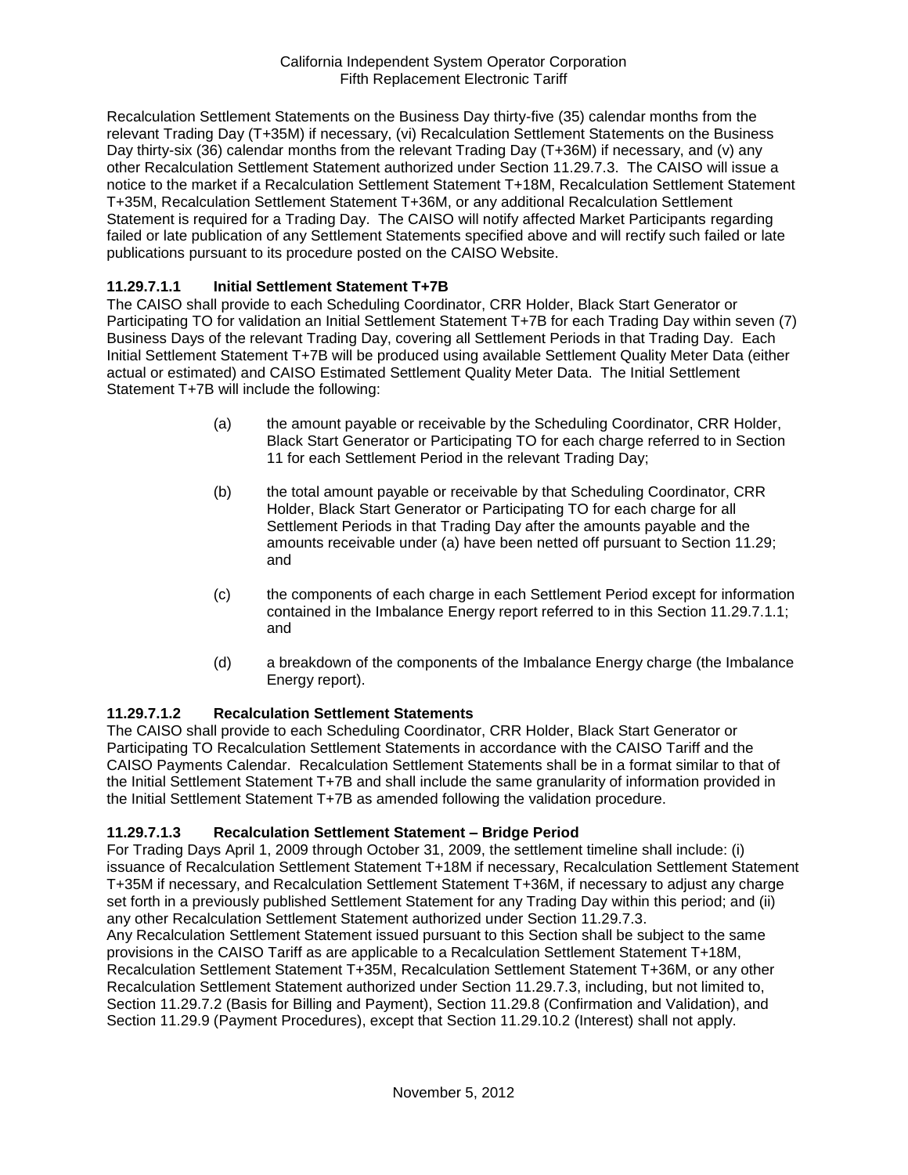Recalculation Settlement Statements on the Business Day thirty-five (35) calendar months from the relevant Trading Day (T+35M) if necessary, (vi) Recalculation Settlement Statements on the Business Day thirty-six (36) calendar months from the relevant Trading Day (T+36M) if necessary, and (v) any other Recalculation Settlement Statement authorized under Section 11.29.7.3. The CAISO will issue a notice to the market if a Recalculation Settlement Statement T+18M, Recalculation Settlement Statement T+35M, Recalculation Settlement Statement T+36M, or any additional Recalculation Settlement Statement is required for a Trading Day. The CAISO will notify affected Market Participants regarding failed or late publication of any Settlement Statements specified above and will rectify such failed or late publications pursuant to its procedure posted on the CAISO Website.

### **11.29.7.1.1 Initial Settlement Statement T+7B**

The CAISO shall provide to each Scheduling Coordinator, CRR Holder, Black Start Generator or Participating TO for validation an Initial Settlement Statement T+7B for each Trading Day within seven (7) Business Days of the relevant Trading Day, covering all Settlement Periods in that Trading Day. Each Initial Settlement Statement T+7B will be produced using available Settlement Quality Meter Data (either actual or estimated) and CAISO Estimated Settlement Quality Meter Data. The Initial Settlement Statement T+7B will include the following:

- (a) the amount payable or receivable by the Scheduling Coordinator, CRR Holder, Black Start Generator or Participating TO for each charge referred to in Section 11 for each Settlement Period in the relevant Trading Day;
- (b) the total amount payable or receivable by that Scheduling Coordinator, CRR Holder, Black Start Generator or Participating TO for each charge for all Settlement Periods in that Trading Day after the amounts payable and the amounts receivable under (a) have been netted off pursuant to Section 11.29; and
- (c) the components of each charge in each Settlement Period except for information contained in the Imbalance Energy report referred to in this Section 11.29.7.1.1; and
- (d) a breakdown of the components of the Imbalance Energy charge (the Imbalance Energy report).

### **11.29.7.1.2 Recalculation Settlement Statements**

The CAISO shall provide to each Scheduling Coordinator, CRR Holder, Black Start Generator or Participating TO Recalculation Settlement Statements in accordance with the CAISO Tariff and the CAISO Payments Calendar. Recalculation Settlement Statements shall be in a format similar to that of the Initial Settlement Statement T+7B and shall include the same granularity of information provided in the Initial Settlement Statement T+7B as amended following the validation procedure.

### **11.29.7.1.3 Recalculation Settlement Statement – Bridge Period**

For Trading Days April 1, 2009 through October 31, 2009, the settlement timeline shall include: (i) issuance of Recalculation Settlement Statement T+18M if necessary, Recalculation Settlement Statement T+35M if necessary, and Recalculation Settlement Statement T+36M, if necessary to adjust any charge set forth in a previously published Settlement Statement for any Trading Day within this period; and (ii) any other Recalculation Settlement Statement authorized under Section 11.29.7.3.

Any Recalculation Settlement Statement issued pursuant to this Section shall be subject to the same provisions in the CAISO Tariff as are applicable to a Recalculation Settlement Statement T+18M, Recalculation Settlement Statement T+35M, Recalculation Settlement Statement T+36M, or any other Recalculation Settlement Statement authorized under Section 11.29.7.3, including, but not limited to, Section 11.29.7.2 (Basis for Billing and Payment), Section 11.29.8 (Confirmation and Validation), and Section 11.29.9 (Payment Procedures), except that Section 11.29.10.2 (Interest) shall not apply.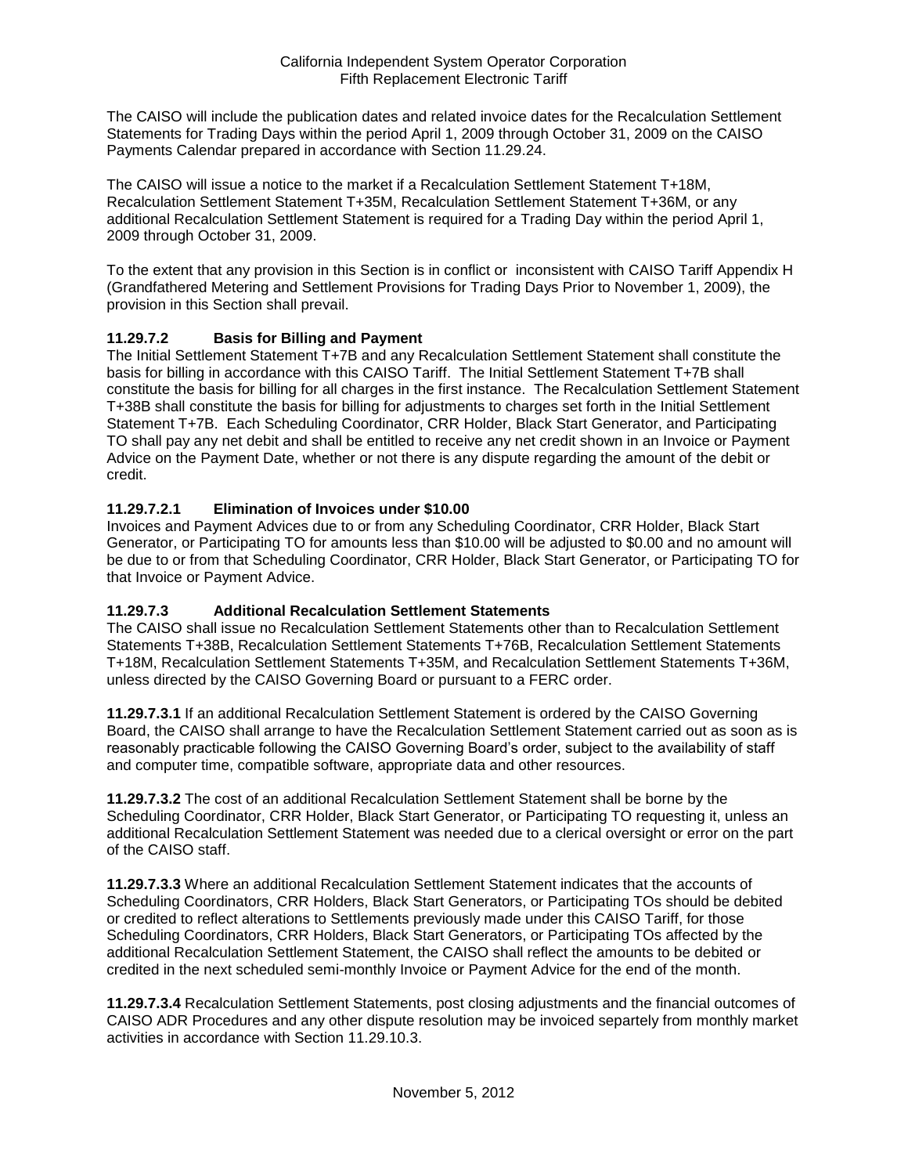The CAISO will include the publication dates and related invoice dates for the Recalculation Settlement Statements for Trading Days within the period April 1, 2009 through October 31, 2009 on the CAISO Payments Calendar prepared in accordance with Section 11.29.24.

The CAISO will issue a notice to the market if a Recalculation Settlement Statement T+18M, Recalculation Settlement Statement T+35M, Recalculation Settlement Statement T+36M, or any additional Recalculation Settlement Statement is required for a Trading Day within the period April 1, 2009 through October 31, 2009.

To the extent that any provision in this Section is in conflict or inconsistent with CAISO Tariff Appendix H (Grandfathered Metering and Settlement Provisions for Trading Days Prior to November 1, 2009), the provision in this Section shall prevail.

## **11.29.7.2 Basis for Billing and Payment**

The Initial Settlement Statement T+7B and any Recalculation Settlement Statement shall constitute the basis for billing in accordance with this CAISO Tariff. The Initial Settlement Statement T+7B shall constitute the basis for billing for all charges in the first instance. The Recalculation Settlement Statement T+38B shall constitute the basis for billing for adjustments to charges set forth in the Initial Settlement Statement T+7B. Each Scheduling Coordinator, CRR Holder, Black Start Generator, and Participating TO shall pay any net debit and shall be entitled to receive any net credit shown in an Invoice or Payment Advice on the Payment Date, whether or not there is any dispute regarding the amount of the debit or credit.

## **11.29.7.2.1 Elimination of Invoices under \$10.00**

Invoices and Payment Advices due to or from any Scheduling Coordinator, CRR Holder, Black Start Generator, or Participating TO for amounts less than \$10.00 will be adjusted to \$0.00 and no amount will be due to or from that Scheduling Coordinator, CRR Holder, Black Start Generator, or Participating TO for that Invoice or Payment Advice.

### **11.29.7.3 Additional Recalculation Settlement Statements**

The CAISO shall issue no Recalculation Settlement Statements other than to Recalculation Settlement Statements T+38B, Recalculation Settlement Statements T+76B, Recalculation Settlement Statements T+18M, Recalculation Settlement Statements T+35M, and Recalculation Settlement Statements T+36M, unless directed by the CAISO Governing Board or pursuant to a FERC order.

**11.29.7.3.1** If an additional Recalculation Settlement Statement is ordered by the CAISO Governing Board, the CAISO shall arrange to have the Recalculation Settlement Statement carried out as soon as is reasonably practicable following the CAISO Governing Board's order, subject to the availability of staff and computer time, compatible software, appropriate data and other resources.

**11.29.7.3.2** The cost of an additional Recalculation Settlement Statement shall be borne by the Scheduling Coordinator, CRR Holder, Black Start Generator, or Participating TO requesting it, unless an additional Recalculation Settlement Statement was needed due to a clerical oversight or error on the part of the CAISO staff.

**11.29.7.3.3** Where an additional Recalculation Settlement Statement indicates that the accounts of Scheduling Coordinators, CRR Holders, Black Start Generators, or Participating TOs should be debited or credited to reflect alterations to Settlements previously made under this CAISO Tariff, for those Scheduling Coordinators, CRR Holders, Black Start Generators, or Participating TOs affected by the additional Recalculation Settlement Statement, the CAISO shall reflect the amounts to be debited or credited in the next scheduled semi-monthly Invoice or Payment Advice for the end of the month.

**11.29.7.3.4** Recalculation Settlement Statements, post closing adjustments and the financial outcomes of CAISO ADR Procedures and any other dispute resolution may be invoiced separtely from monthly market activities in accordance with Section 11.29.10.3.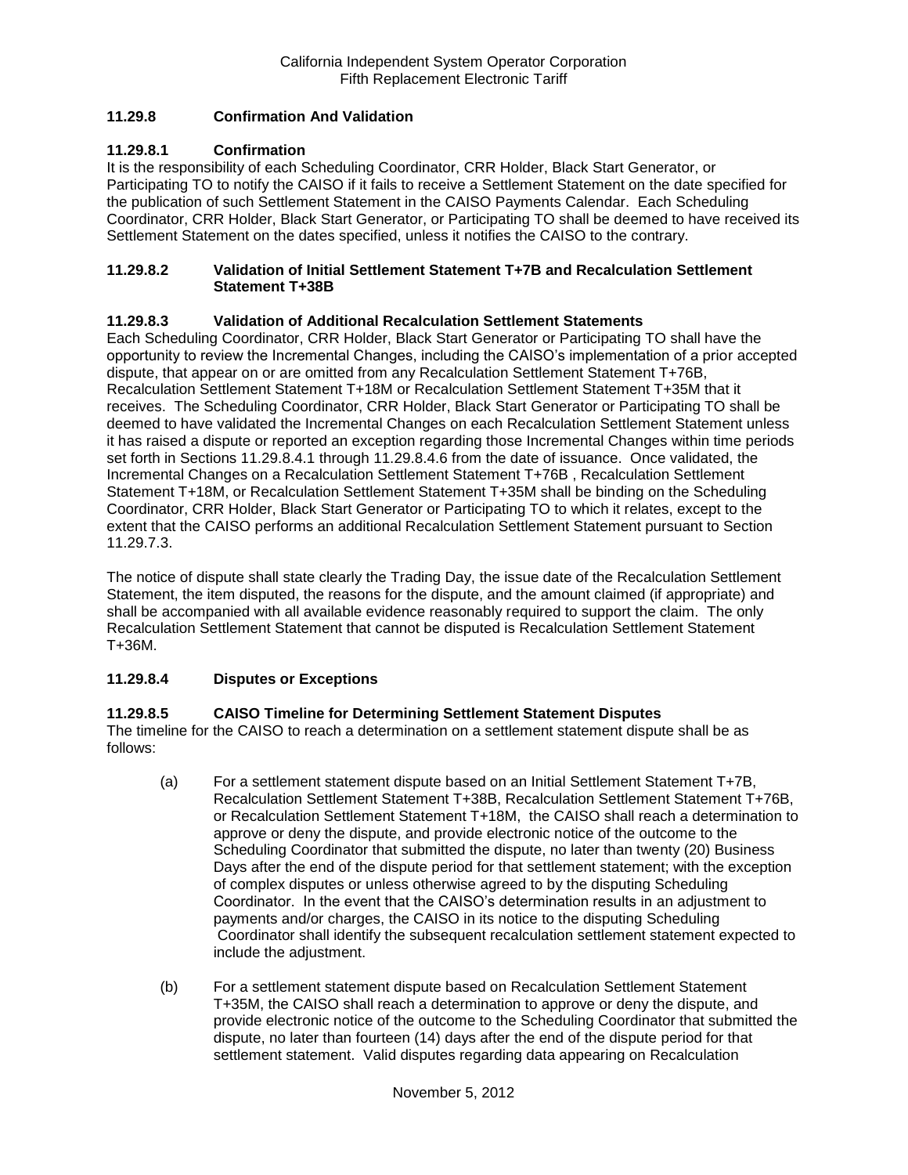## **11.29.8 Confirmation And Validation**

### **11.29.8.1 Confirmation**

It is the responsibility of each Scheduling Coordinator, CRR Holder, Black Start Generator, or Participating TO to notify the CAISO if it fails to receive a Settlement Statement on the date specified for the publication of such Settlement Statement in the CAISO Payments Calendar. Each Scheduling Coordinator, CRR Holder, Black Start Generator, or Participating TO shall be deemed to have received its Settlement Statement on the dates specified, unless it notifies the CAISO to the contrary.

#### **11.29.8.2 Validation of Initial Settlement Statement T+7B and Recalculation Settlement Statement T+38B**

### **11.29.8.3 Validation of Additional Recalculation Settlement Statements**

Each Scheduling Coordinator, CRR Holder, Black Start Generator or Participating TO shall have the opportunity to review the Incremental Changes, including the CAISO's implementation of a prior accepted dispute, that appear on or are omitted from any Recalculation Settlement Statement T+76B, Recalculation Settlement Statement T+18M or Recalculation Settlement Statement T+35M that it receives. The Scheduling Coordinator, CRR Holder, Black Start Generator or Participating TO shall be deemed to have validated the Incremental Changes on each Recalculation Settlement Statement unless it has raised a dispute or reported an exception regarding those Incremental Changes within time periods set forth in Sections 11.29.8.4.1 through 11.29.8.4.6 from the date of issuance. Once validated, the Incremental Changes on a Recalculation Settlement Statement T+76B , Recalculation Settlement Statement T+18M, or Recalculation Settlement Statement T+35M shall be binding on the Scheduling Coordinator, CRR Holder, Black Start Generator or Participating TO to which it relates, except to the extent that the CAISO performs an additional Recalculation Settlement Statement pursuant to Section 11.29.7.3.

The notice of dispute shall state clearly the Trading Day, the issue date of the Recalculation Settlement Statement, the item disputed, the reasons for the dispute, and the amount claimed (if appropriate) and shall be accompanied with all available evidence reasonably required to support the claim. The only Recalculation Settlement Statement that cannot be disputed is Recalculation Settlement Statement T+36M.

## **11.29.8.4 Disputes or Exceptions**

### **11.29.8.5 CAISO Timeline for Determining Settlement Statement Disputes**

The timeline for the CAISO to reach a determination on a settlement statement dispute shall be as follows:

- (a) For a settlement statement dispute based on an Initial Settlement Statement T+7B, Recalculation Settlement Statement T+38B, Recalculation Settlement Statement T+76B, or Recalculation Settlement Statement T+18M, the CAISO shall reach a determination to approve or deny the dispute, and provide electronic notice of the outcome to the Scheduling Coordinator that submitted the dispute, no later than twenty (20) Business Days after the end of the dispute period for that settlement statement; with the exception of complex disputes or unless otherwise agreed to by the disputing Scheduling Coordinator. In the event that the CAISO's determination results in an adjustment to payments and/or charges, the CAISO in its notice to the disputing Scheduling Coordinator shall identify the subsequent recalculation settlement statement expected to include the adjustment.
- (b) For a settlement statement dispute based on Recalculation Settlement Statement T+35M, the CAISO shall reach a determination to approve or deny the dispute, and provide electronic notice of the outcome to the Scheduling Coordinator that submitted the dispute, no later than fourteen (14) days after the end of the dispute period for that settlement statement. Valid disputes regarding data appearing on Recalculation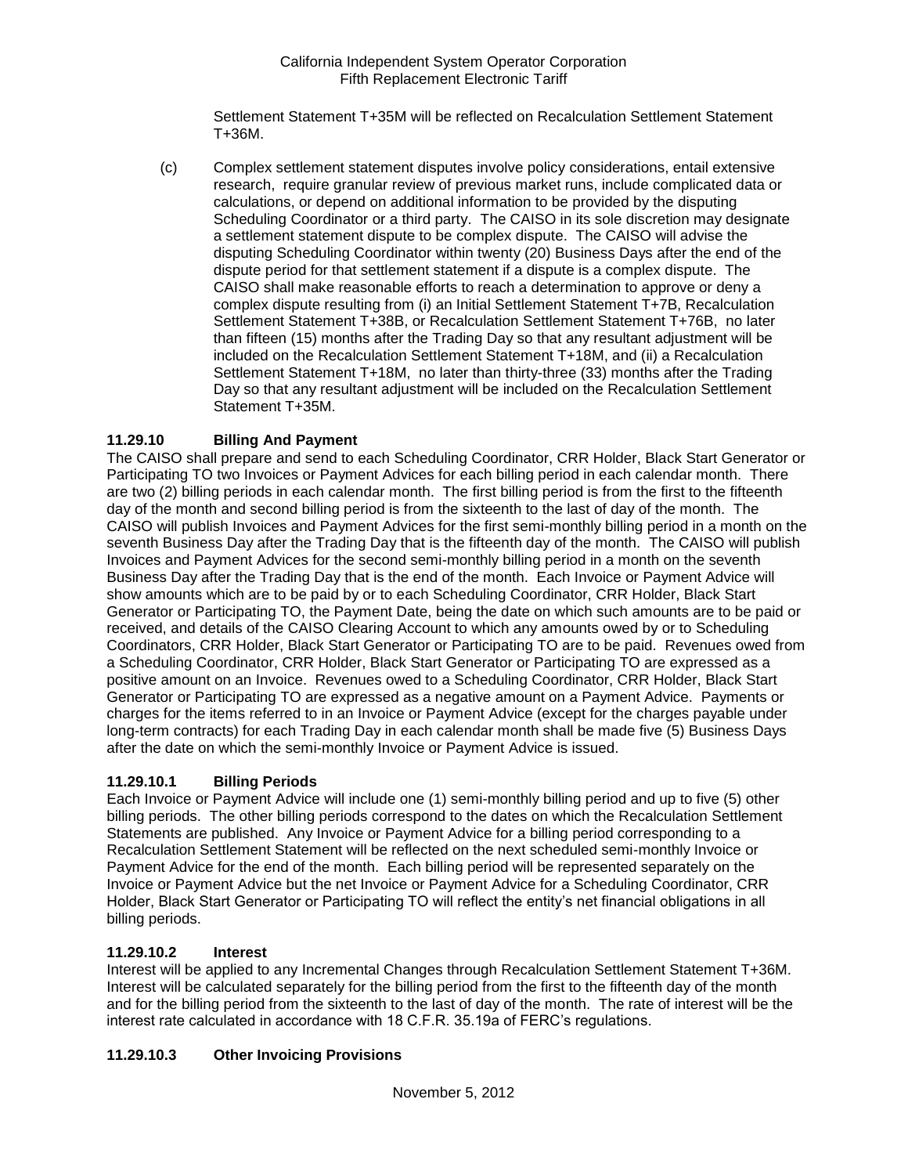Settlement Statement T+35M will be reflected on Recalculation Settlement Statement T+36M.

(c) Complex settlement statement disputes involve policy considerations, entail extensive research, require granular review of previous market runs, include complicated data or calculations, or depend on additional information to be provided by the disputing Scheduling Coordinator or a third party. The CAISO in its sole discretion may designate a settlement statement dispute to be complex dispute. The CAISO will advise the disputing Scheduling Coordinator within twenty (20) Business Days after the end of the dispute period for that settlement statement if a dispute is a complex dispute. The CAISO shall make reasonable efforts to reach a determination to approve or deny a complex dispute resulting from (i) an Initial Settlement Statement T+7B, Recalculation Settlement Statement T+38B, or Recalculation Settlement Statement T+76B, no later than fifteen (15) months after the Trading Day so that any resultant adjustment will be included on the Recalculation Settlement Statement T+18M, and (ii) a Recalculation Settlement Statement T+18M, no later than thirty-three (33) months after the Trading Day so that any resultant adjustment will be included on the Recalculation Settlement Statement T+35M.

# **11.29.10 Billing And Payment**

The CAISO shall prepare and send to each Scheduling Coordinator, CRR Holder, Black Start Generator or Participating TO two Invoices or Payment Advices for each billing period in each calendar month. There are two (2) billing periods in each calendar month. The first billing period is from the first to the fifteenth day of the month and second billing period is from the sixteenth to the last of day of the month. The CAISO will publish Invoices and Payment Advices for the first semi-monthly billing period in a month on the seventh Business Day after the Trading Day that is the fifteenth day of the month. The CAISO will publish Invoices and Payment Advices for the second semi-monthly billing period in a month on the seventh Business Day after the Trading Day that is the end of the month. Each Invoice or Payment Advice will show amounts which are to be paid by or to each Scheduling Coordinator, CRR Holder, Black Start Generator or Participating TO, the Payment Date, being the date on which such amounts are to be paid or received, and details of the CAISO Clearing Account to which any amounts owed by or to Scheduling Coordinators, CRR Holder, Black Start Generator or Participating TO are to be paid. Revenues owed from a Scheduling Coordinator, CRR Holder, Black Start Generator or Participating TO are expressed as a positive amount on an Invoice. Revenues owed to a Scheduling Coordinator, CRR Holder, Black Start Generator or Participating TO are expressed as a negative amount on a Payment Advice. Payments or charges for the items referred to in an Invoice or Payment Advice (except for the charges payable under long-term contracts) for each Trading Day in each calendar month shall be made five (5) Business Days after the date on which the semi-monthly Invoice or Payment Advice is issued.

# **11.29.10.1 Billing Periods**

Each Invoice or Payment Advice will include one (1) semi-monthly billing period and up to five (5) other billing periods. The other billing periods correspond to the dates on which the Recalculation Settlement Statements are published. Any Invoice or Payment Advice for a billing period corresponding to a Recalculation Settlement Statement will be reflected on the next scheduled semi-monthly Invoice or Payment Advice for the end of the month. Each billing period will be represented separately on the Invoice or Payment Advice but the net Invoice or Payment Advice for a Scheduling Coordinator, CRR Holder, Black Start Generator or Participating TO will reflect the entity's net financial obligations in all billing periods.

### **11.29.10.2 Interest**

Interest will be applied to any Incremental Changes through Recalculation Settlement Statement T+36M. Interest will be calculated separately for the billing period from the first to the fifteenth day of the month and for the billing period from the sixteenth to the last of day of the month. The rate of interest will be the interest rate calculated in accordance with 18 C.F.R. 35.19a of FERC's regulations.

# **11.29.10.3 Other Invoicing Provisions**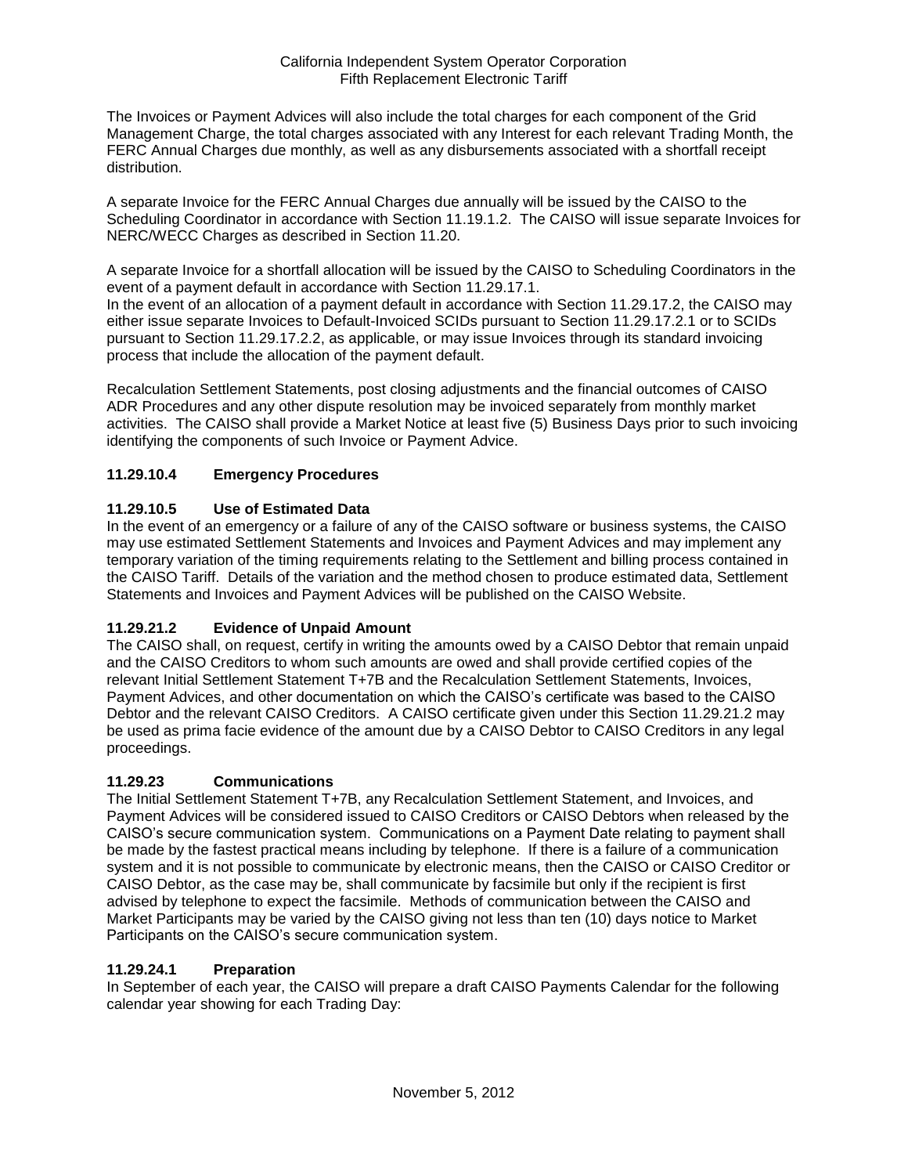The Invoices or Payment Advices will also include the total charges for each component of the Grid Management Charge, the total charges associated with any Interest for each relevant Trading Month, the FERC Annual Charges due monthly, as well as any disbursements associated with a shortfall receipt distribution.

A separate Invoice for the FERC Annual Charges due annually will be issued by the CAISO to the Scheduling Coordinator in accordance with Section 11.19.1.2. The CAISO will issue separate Invoices for NERC/WECC Charges as described in Section 11.20.

A separate Invoice for a shortfall allocation will be issued by the CAISO to Scheduling Coordinators in the event of a payment default in accordance with Section 11.29.17.1.

In the event of an allocation of a payment default in accordance with Section 11.29.17.2, the CAISO mav either issue separate Invoices to Default-Invoiced SCIDs pursuant to Section 11.29.17.2.1 or to SCIDs pursuant to Section 11.29.17.2.2, as applicable, or may issue Invoices through its standard invoicing process that include the allocation of the payment default.

Recalculation Settlement Statements, post closing adjustments and the financial outcomes of CAISO ADR Procedures and any other dispute resolution may be invoiced separately from monthly market activities. The CAISO shall provide a Market Notice at least five (5) Business Days prior to such invoicing identifying the components of such Invoice or Payment Advice.

# **11.29.10.4 Emergency Procedures**

## **11.29.10.5 Use of Estimated Data**

In the event of an emergency or a failure of any of the CAISO software or business systems, the CAISO may use estimated Settlement Statements and Invoices and Payment Advices and may implement any temporary variation of the timing requirements relating to the Settlement and billing process contained in the CAISO Tariff. Details of the variation and the method chosen to produce estimated data, Settlement Statements and Invoices and Payment Advices will be published on the CAISO Website.

# **11.29.21.2 Evidence of Unpaid Amount**

The CAISO shall, on request, certify in writing the amounts owed by a CAISO Debtor that remain unpaid and the CAISO Creditors to whom such amounts are owed and shall provide certified copies of the relevant Initial Settlement Statement T+7B and the Recalculation Settlement Statements, Invoices, Payment Advices, and other documentation on which the CAISO's certificate was based to the CAISO Debtor and the relevant CAISO Creditors. A CAISO certificate given under this Section 11.29.21.2 may be used as prima facie evidence of the amount due by a CAISO Debtor to CAISO Creditors in any legal proceedings.

### **11.29.23 Communications**

The Initial Settlement Statement T+7B, any Recalculation Settlement Statement, and Invoices, and Payment Advices will be considered issued to CAISO Creditors or CAISO Debtors when released by the CAISO's secure communication system. Communications on a Payment Date relating to payment shall be made by the fastest practical means including by telephone. If there is a failure of a communication system and it is not possible to communicate by electronic means, then the CAISO or CAISO Creditor or CAISO Debtor, as the case may be, shall communicate by facsimile but only if the recipient is first advised by telephone to expect the facsimile. Methods of communication between the CAISO and Market Participants may be varied by the CAISO giving not less than ten (10) days notice to Market Participants on the CAISO's secure communication system.

### **11.29.24.1 Preparation**

In September of each year, the CAISO will prepare a draft CAISO Payments Calendar for the following calendar year showing for each Trading Day: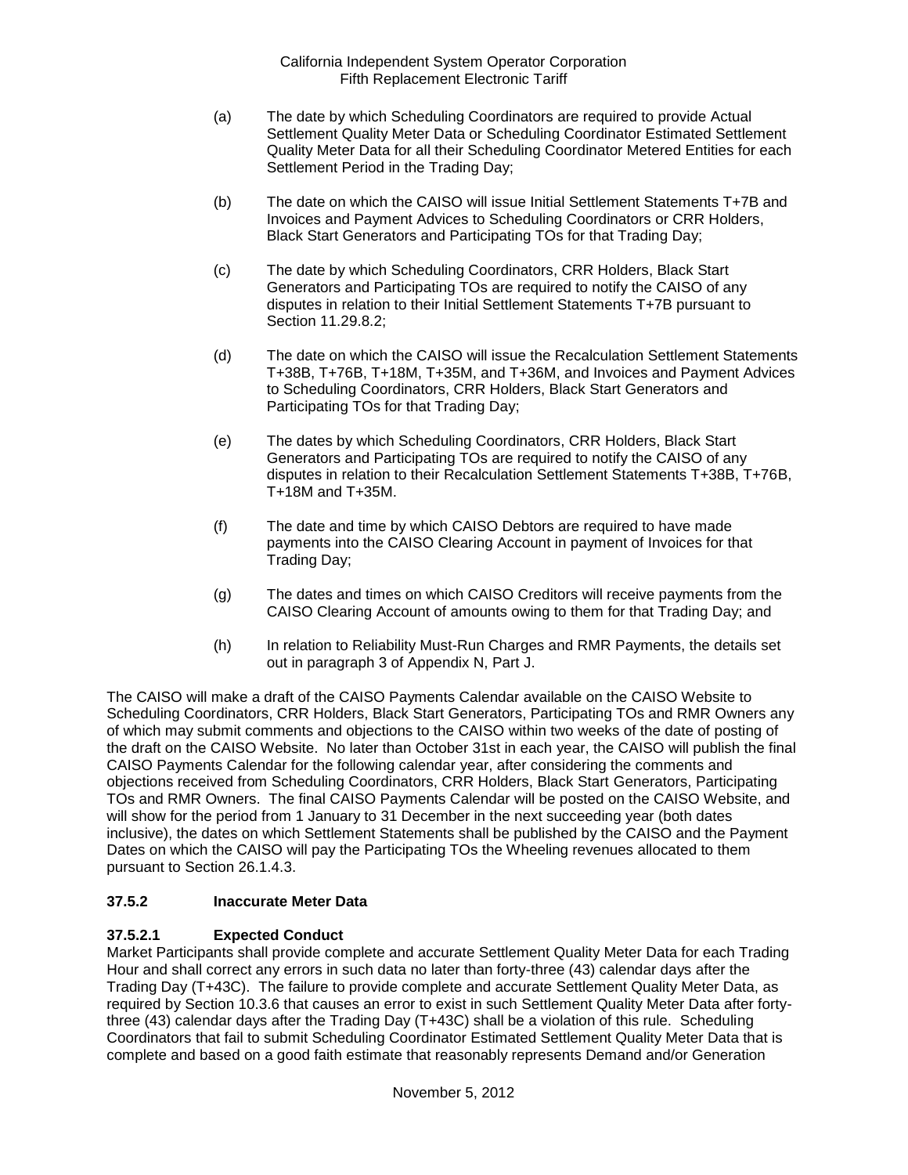- (a) The date by which Scheduling Coordinators are required to provide Actual Settlement Quality Meter Data or Scheduling Coordinator Estimated Settlement Quality Meter Data for all their Scheduling Coordinator Metered Entities for each Settlement Period in the Trading Day;
- (b) The date on which the CAISO will issue Initial Settlement Statements T+7B and Invoices and Payment Advices to Scheduling Coordinators or CRR Holders, Black Start Generators and Participating TOs for that Trading Day;
- (c) The date by which Scheduling Coordinators, CRR Holders, Black Start Generators and Participating TOs are required to notify the CAISO of any disputes in relation to their Initial Settlement Statements T+7B pursuant to Section 11.29.8.2;
- (d) The date on which the CAISO will issue the Recalculation Settlement Statements T+38B, T+76B, T+18M, T+35M, and T+36M, and Invoices and Payment Advices to Scheduling Coordinators, CRR Holders, Black Start Generators and Participating TOs for that Trading Day;
- (e) The dates by which Scheduling Coordinators, CRR Holders, Black Start Generators and Participating TOs are required to notify the CAISO of any disputes in relation to their Recalculation Settlement Statements T+38B, T+76B, T+18M and T+35M.
- (f) The date and time by which CAISO Debtors are required to have made payments into the CAISO Clearing Account in payment of Invoices for that Trading Day;
- (g) The dates and times on which CAISO Creditors will receive payments from the CAISO Clearing Account of amounts owing to them for that Trading Day; and
- (h) In relation to Reliability Must-Run Charges and RMR Payments, the details set out in paragraph 3 of Appendix N, Part J.

The CAISO will make a draft of the CAISO Payments Calendar available on the CAISO Website to Scheduling Coordinators, CRR Holders, Black Start Generators, Participating TOs and RMR Owners any of which may submit comments and objections to the CAISO within two weeks of the date of posting of the draft on the CAISO Website. No later than October 31st in each year, the CAISO will publish the final CAISO Payments Calendar for the following calendar year, after considering the comments and objections received from Scheduling Coordinators, CRR Holders, Black Start Generators, Participating TOs and RMR Owners. The final CAISO Payments Calendar will be posted on the CAISO Website, and will show for the period from 1 January to 31 December in the next succeeding year (both dates inclusive), the dates on which Settlement Statements shall be published by the CAISO and the Payment Dates on which the CAISO will pay the Participating TOs the Wheeling revenues allocated to them pursuant to Section 26.1.4.3.

# **37.5.2 Inaccurate Meter Data**

# **37.5.2.1 Expected Conduct**

Market Participants shall provide complete and accurate Settlement Quality Meter Data for each Trading Hour and shall correct any errors in such data no later than forty-three (43) calendar days after the Trading Day (T+43C). The failure to provide complete and accurate Settlement Quality Meter Data, as required by Section 10.3.6 that causes an error to exist in such Settlement Quality Meter Data after fortythree (43) calendar days after the Trading Day (T+43C) shall be a violation of this rule. Scheduling Coordinators that fail to submit Scheduling Coordinator Estimated Settlement Quality Meter Data that is complete and based on a good faith estimate that reasonably represents Demand and/or Generation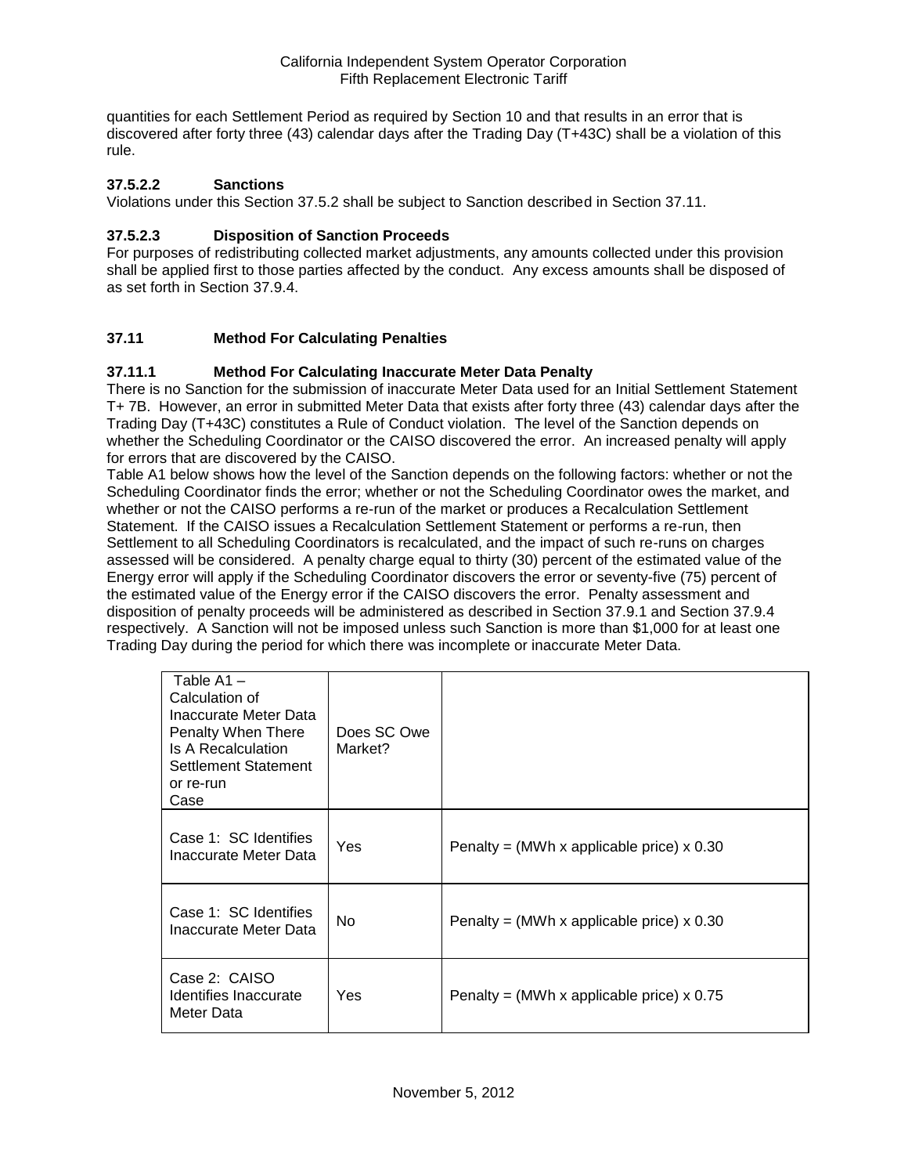quantities for each Settlement Period as required by Section 10 and that results in an error that is discovered after forty three (43) calendar days after the Trading Day (T+43C) shall be a violation of this rule.

## **37.5.2.2 Sanctions**

Violations under this Section 37.5.2 shall be subject to Sanction described in Section 37.11.

## **37.5.2.3 Disposition of Sanction Proceeds**

For purposes of redistributing collected market adjustments, any amounts collected under this provision shall be applied first to those parties affected by the conduct. Any excess amounts shall be disposed of as set forth in Section 37.9.4.

## **37.11 Method For Calculating Penalties**

### **37.11.1 Method For Calculating Inaccurate Meter Data Penalty**

There is no Sanction for the submission of inaccurate Meter Data used for an Initial Settlement Statement T+ 7B. However, an error in submitted Meter Data that exists after forty three (43) calendar days after the Trading Day (T+43C) constitutes a Rule of Conduct violation. The level of the Sanction depends on whether the Scheduling Coordinator or the CAISO discovered the error. An increased penalty will apply for errors that are discovered by the CAISO.

Table A1 below shows how the level of the Sanction depends on the following factors: whether or not the Scheduling Coordinator finds the error; whether or not the Scheduling Coordinator owes the market, and whether or not the CAISO performs a re-run of the market or produces a Recalculation Settlement Statement. If the CAISO issues a Recalculation Settlement Statement or performs a re-run, then Settlement to all Scheduling Coordinators is recalculated, and the impact of such re-runs on charges assessed will be considered. A penalty charge equal to thirty (30) percent of the estimated value of the Energy error will apply if the Scheduling Coordinator discovers the error or seventy-five (75) percent of the estimated value of the Energy error if the CAISO discovers the error. Penalty assessment and disposition of penalty proceeds will be administered as described in Section 37.9.1 and Section 37.9.4 respectively. A Sanction will not be imposed unless such Sanction is more than \$1,000 for at least one Trading Day during the period for which there was incomplete or inaccurate Meter Data.

| Table $A1 -$<br>Calculation of<br>Inaccurate Meter Data<br>Penalty When There<br>Is A Recalculation<br>Settlement Statement<br>or re-run<br>Case | Does SC Owe<br>Market? |                                             |
|--------------------------------------------------------------------------------------------------------------------------------------------------|------------------------|---------------------------------------------|
| Case 1: SC Identifies<br>Inaccurate Meter Data                                                                                                   | Yes                    | Penalty = (MWh x applicable price) $x$ 0.30 |
| Case 1: SC Identifies<br>Inaccurate Meter Data                                                                                                   | No.                    | Penalty = (MWh x applicable price) $x$ 0.30 |
| Case 2: CAISO<br>Identifies Inaccurate<br>Meter Data                                                                                             | Yes                    | Penalty = (MWh x applicable price) $x$ 0.75 |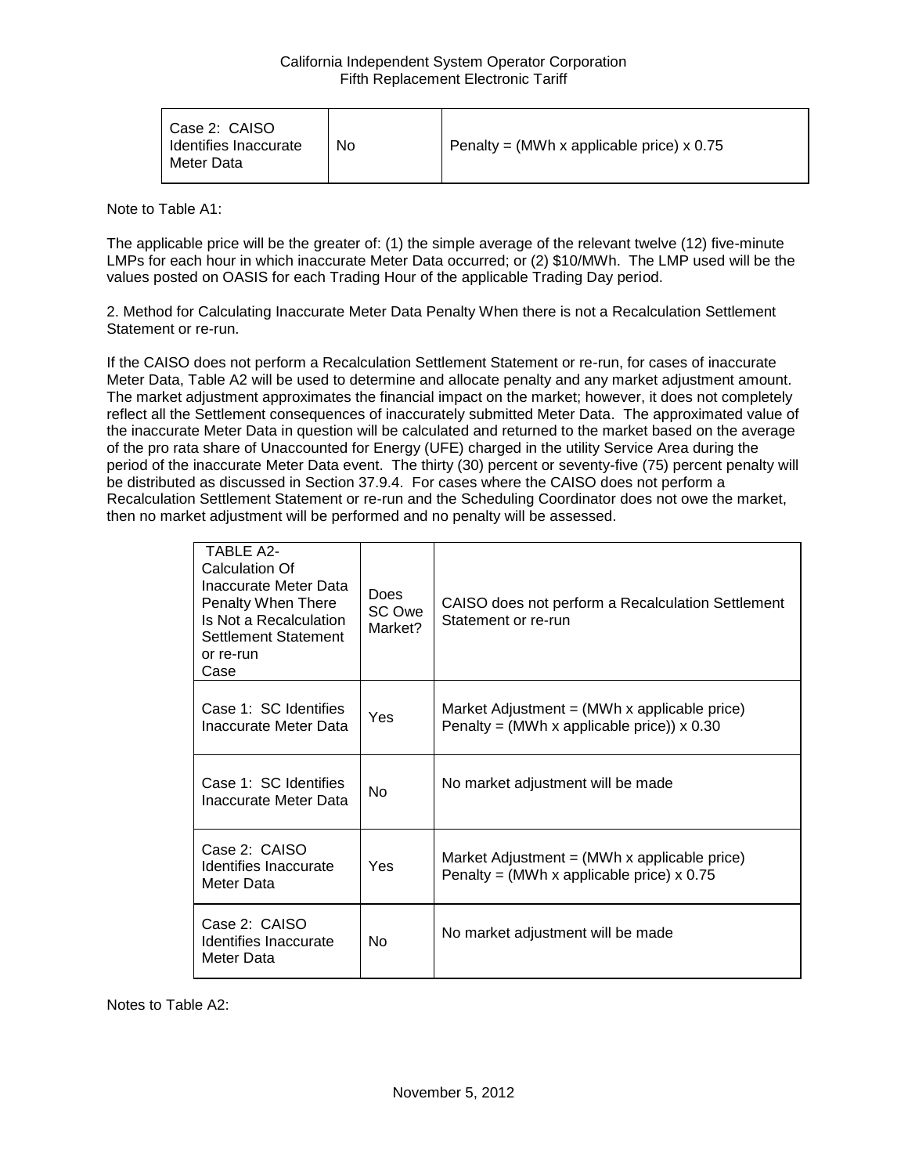Note to Table A1:

The applicable price will be the greater of: (1) the simple average of the relevant twelve (12) five-minute LMPs for each hour in which inaccurate Meter Data occurred; or (2) \$10/MWh. The LMP used will be the values posted on OASIS for each Trading Hour of the applicable Trading Day period.

2. Method for Calculating Inaccurate Meter Data Penalty When there is not a Recalculation Settlement Statement or re-run.

If the CAISO does not perform a Recalculation Settlement Statement or re-run, for cases of inaccurate Meter Data, Table A2 will be used to determine and allocate penalty and any market adjustment amount. The market adjustment approximates the financial impact on the market; however, it does not completely reflect all the Settlement consequences of inaccurately submitted Meter Data. The approximated value of the inaccurate Meter Data in question will be calculated and returned to the market based on the average of the pro rata share of Unaccounted for Energy (UFE) charged in the utility Service Area during the period of the inaccurate Meter Data event. The thirty (30) percent or seventy-five (75) percent penalty will be distributed as discussed in Section 37.9.4. For cases where the CAISO does not perform a Recalculation Settlement Statement or re-run and the Scheduling Coordinator does not owe the market, then no market adjustment will be performed and no penalty will be assessed.

| <b>TABLE A2-</b><br>Calculation Of<br>Inaccurate Meter Data<br>Penalty When There<br>Is Not a Recalculation<br>Settlement Statement<br>or re-run<br>Case | <b>Does</b><br>SC Owe<br>Market? | CAISO does not perform a Recalculation Settlement<br>Statement or re-run                                        |
|----------------------------------------------------------------------------------------------------------------------------------------------------------|----------------------------------|-----------------------------------------------------------------------------------------------------------------|
| Case 1: SC Identifies<br>Inaccurate Meter Data                                                                                                           | Yes                              | Market Adjustment = $(MWh \times \text{applicable price})$<br>Penalty = (MWh x applicable price)) $\times$ 0.30 |
| Case 1: SC Identifies<br>Inaccurate Meter Data                                                                                                           | <b>No</b>                        | No market adjustment will be made                                                                               |
| Case 2: CAISO<br>Identifies Inaccurate<br>Meter Data                                                                                                     | Yes                              | Market Adjustment $=$ (MWh x applicable price)<br>Penalty = (MWh x applicable price) $x$ 0.75                   |
| Case 2: CAISO<br>Identifies Inaccurate<br>Meter Data                                                                                                     | No                               | No market adjustment will be made                                                                               |

Notes to Table A2: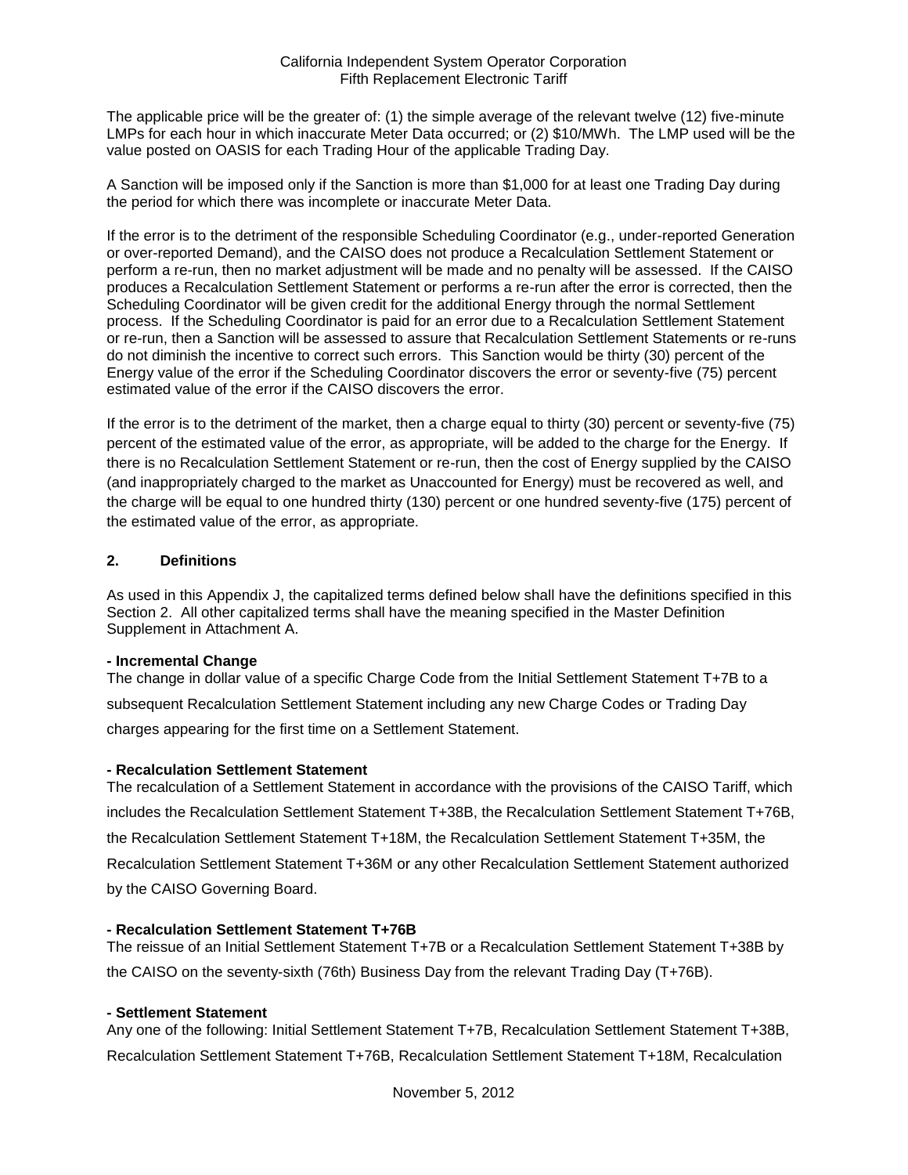The applicable price will be the greater of: (1) the simple average of the relevant twelve (12) five-minute LMPs for each hour in which inaccurate Meter Data occurred; or (2) \$10/MWh. The LMP used will be the value posted on OASIS for each Trading Hour of the applicable Trading Day.

A Sanction will be imposed only if the Sanction is more than \$1,000 for at least one Trading Day during the period for which there was incomplete or inaccurate Meter Data.

If the error is to the detriment of the responsible Scheduling Coordinator (e.g., under-reported Generation or over-reported Demand), and the CAISO does not produce a Recalculation Settlement Statement or perform a re-run, then no market adjustment will be made and no penalty will be assessed. If the CAISO produces a Recalculation Settlement Statement or performs a re-run after the error is corrected, then the Scheduling Coordinator will be given credit for the additional Energy through the normal Settlement process. If the Scheduling Coordinator is paid for an error due to a Recalculation Settlement Statement or re-run, then a Sanction will be assessed to assure that Recalculation Settlement Statements or re-runs do not diminish the incentive to correct such errors. This Sanction would be thirty (30) percent of the Energy value of the error if the Scheduling Coordinator discovers the error or seventy-five (75) percent estimated value of the error if the CAISO discovers the error.

If the error is to the detriment of the market, then a charge equal to thirty (30) percent or seventy-five (75) percent of the estimated value of the error, as appropriate, will be added to the charge for the Energy. If there is no Recalculation Settlement Statement or re-run, then the cost of Energy supplied by the CAISO (and inappropriately charged to the market as Unaccounted for Energy) must be recovered as well, and the charge will be equal to one hundred thirty (130) percent or one hundred seventy-five (175) percent of the estimated value of the error, as appropriate.

### **2. Definitions**

As used in this Appendix J, the capitalized terms defined below shall have the definitions specified in this Section 2. All other capitalized terms shall have the meaning specified in the Master Definition Supplement in Attachment A.

#### **- Incremental Change**

The change in dollar value of a specific Charge Code from the Initial Settlement Statement T+7B to a subsequent Recalculation Settlement Statement including any new Charge Codes or Trading Day charges appearing for the first time on a Settlement Statement.

### **- Recalculation Settlement Statement**

The recalculation of a Settlement Statement in accordance with the provisions of the CAISO Tariff, which includes the Recalculation Settlement Statement T+38B, the Recalculation Settlement Statement T+76B, the Recalculation Settlement Statement T+18M, the Recalculation Settlement Statement T+35M, the Recalculation Settlement Statement T+36M or any other Recalculation Settlement Statement authorized by the CAISO Governing Board.

### **- Recalculation Settlement Statement T+76B**

The reissue of an Initial Settlement Statement T+7B or a Recalculation Settlement Statement T+38B by the CAISO on the seventy-sixth (76th) Business Day from the relevant Trading Day (T+76B).

#### **- Settlement Statement**

Any one of the following: Initial Settlement Statement T+7B, Recalculation Settlement Statement T+38B, Recalculation Settlement Statement T+76B, Recalculation Settlement Statement T+18M, Recalculation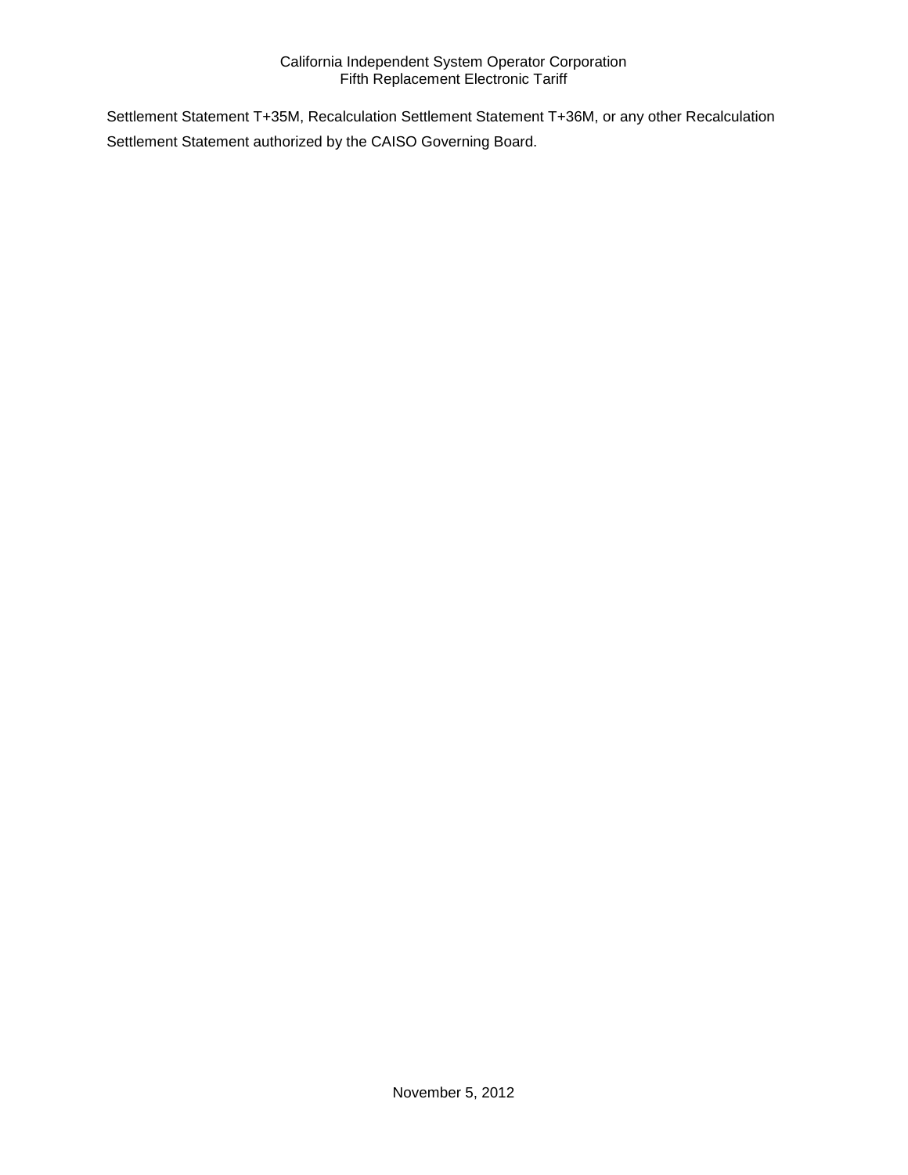Settlement Statement T+35M, Recalculation Settlement Statement T+36M, or any other Recalculation Settlement Statement authorized by the CAISO Governing Board.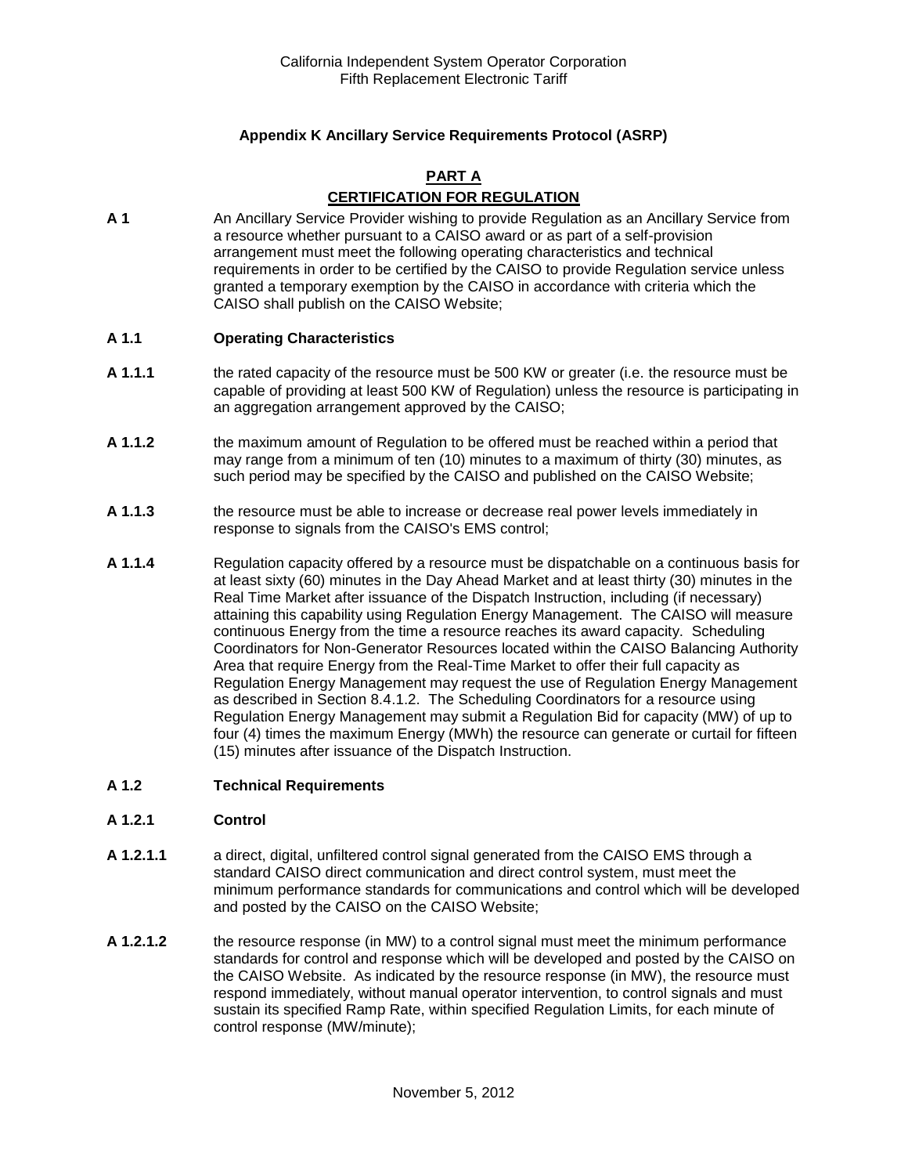## **Appendix K Ancillary Service Requirements Protocol (ASRP)**

## **PART A CERTIFICATION FOR REGULATION**

**A 1** An Ancillary Service Provider wishing to provide Regulation as an Ancillary Service from a resource whether pursuant to a CAISO award or as part of a self-provision arrangement must meet the following operating characteristics and technical requirements in order to be certified by the CAISO to provide Regulation service unless granted a temporary exemption by the CAISO in accordance with criteria which the CAISO shall publish on the CAISO Website;

#### **A 1.1 Operating Characteristics**

- **A 1.1.1** the rated capacity of the resource must be 500 KW or greater (i.e. the resource must be capable of providing at least 500 KW of Regulation) unless the resource is participating in an aggregation arrangement approved by the CAISO;
- **A 1.1.2** the maximum amount of Regulation to be offered must be reached within a period that may range from a minimum of ten (10) minutes to a maximum of thirty (30) minutes, as such period may be specified by the CAISO and published on the CAISO Website;
- **A 1.1.3** the resource must be able to increase or decrease real power levels immediately in response to signals from the CAISO's EMS control;
- **A 1.1.4** Regulation capacity offered by a resource must be dispatchable on a continuous basis for at least sixty (60) minutes in the Day Ahead Market and at least thirty (30) minutes in the Real Time Market after issuance of the Dispatch Instruction, including (if necessary) attaining this capability using Regulation Energy Management. The CAISO will measure continuous Energy from the time a resource reaches its award capacity. Scheduling Coordinators for Non-Generator Resources located within the CAISO Balancing Authority Area that require Energy from the Real-Time Market to offer their full capacity as Regulation Energy Management may request the use of Regulation Energy Management as described in Section 8.4.1.2. The Scheduling Coordinators for a resource using Regulation Energy Management may submit a Regulation Bid for capacity (MW) of up to four (4) times the maximum Energy (MWh) the resource can generate or curtail for fifteen (15) minutes after issuance of the Dispatch Instruction.

#### **A 1.2 Technical Requirements**

#### **A 1.2.1 Control**

- **A 1.2.1.1** a direct, digital, unfiltered control signal generated from the CAISO EMS through a standard CAISO direct communication and direct control system, must meet the minimum performance standards for communications and control which will be developed and posted by the CAISO on the CAISO Website;
- **A 1.2.1.2** the resource response (in MW) to a control signal must meet the minimum performance standards for control and response which will be developed and posted by the CAISO on the CAISO Website. As indicated by the resource response (in MW), the resource must respond immediately, without manual operator intervention, to control signals and must sustain its specified Ramp Rate, within specified Regulation Limits, for each minute of control response (MW/minute);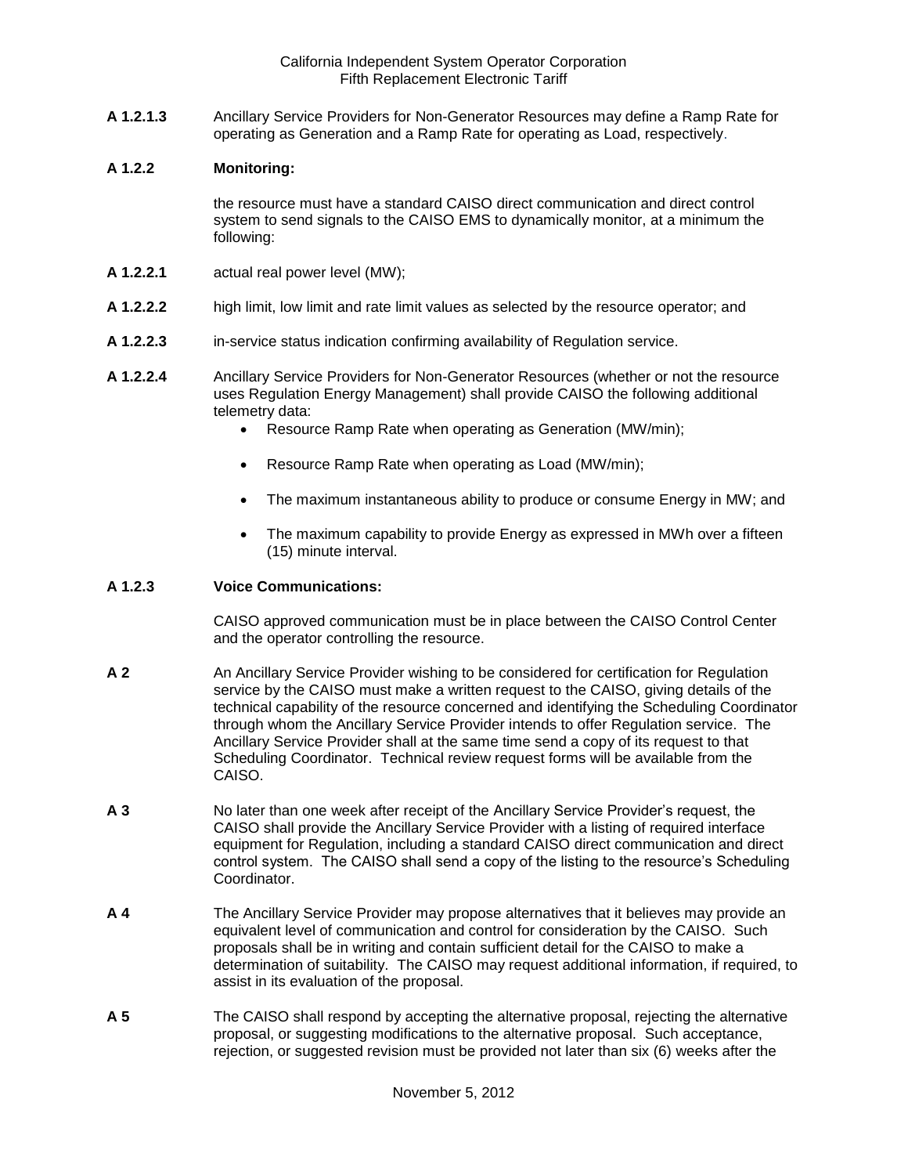**A 1.2.1.3** Ancillary Service Providers for Non-Generator Resources may define a Ramp Rate for operating as Generation and a Ramp Rate for operating as Load, respectively.

#### **A 1.2.2 Monitoring:**

the resource must have a standard CAISO direct communication and direct control system to send signals to the CAISO EMS to dynamically monitor, at a minimum the following:

- **A 1.2.2.1** actual real power level (MW);
- **A 1.2.2.2** high limit, low limit and rate limit values as selected by the resource operator; and
- **A 1.2.2.3** in-service status indication confirming availability of Regulation service.
- **A 1.2.2.4** Ancillary Service Providers for Non-Generator Resources (whether or not the resource uses Regulation Energy Management) shall provide CAISO the following additional telemetry data:
	- Resource Ramp Rate when operating as Generation (MW/min);
	- Resource Ramp Rate when operating as Load (MW/min);
	- The maximum instantaneous ability to produce or consume Energy in MW; and
	- The maximum capability to provide Energy as expressed in MWh over a fifteen (15) minute interval.

## **A 1.2.3 Voice Communications:**

CAISO approved communication must be in place between the CAISO Control Center and the operator controlling the resource.

- **A 2** An Ancillary Service Provider wishing to be considered for certification for Regulation service by the CAISO must make a written request to the CAISO, giving details of the technical capability of the resource concerned and identifying the Scheduling Coordinator through whom the Ancillary Service Provider intends to offer Regulation service. The Ancillary Service Provider shall at the same time send a copy of its request to that Scheduling Coordinator. Technical review request forms will be available from the CAISO.
- **A 3** No later than one week after receipt of the Ancillary Service Provider's request, the CAISO shall provide the Ancillary Service Provider with a listing of required interface equipment for Regulation, including a standard CAISO direct communication and direct control system. The CAISO shall send a copy of the listing to the resource's Scheduling **Coordinator**
- **A 4** The Ancillary Service Provider may propose alternatives that it believes may provide an equivalent level of communication and control for consideration by the CAISO. Such proposals shall be in writing and contain sufficient detail for the CAISO to make a determination of suitability. The CAISO may request additional information, if required, to assist in its evaluation of the proposal.
- **A 5** The CAISO shall respond by accepting the alternative proposal, rejecting the alternative proposal, or suggesting modifications to the alternative proposal. Such acceptance, rejection, or suggested revision must be provided not later than six (6) weeks after the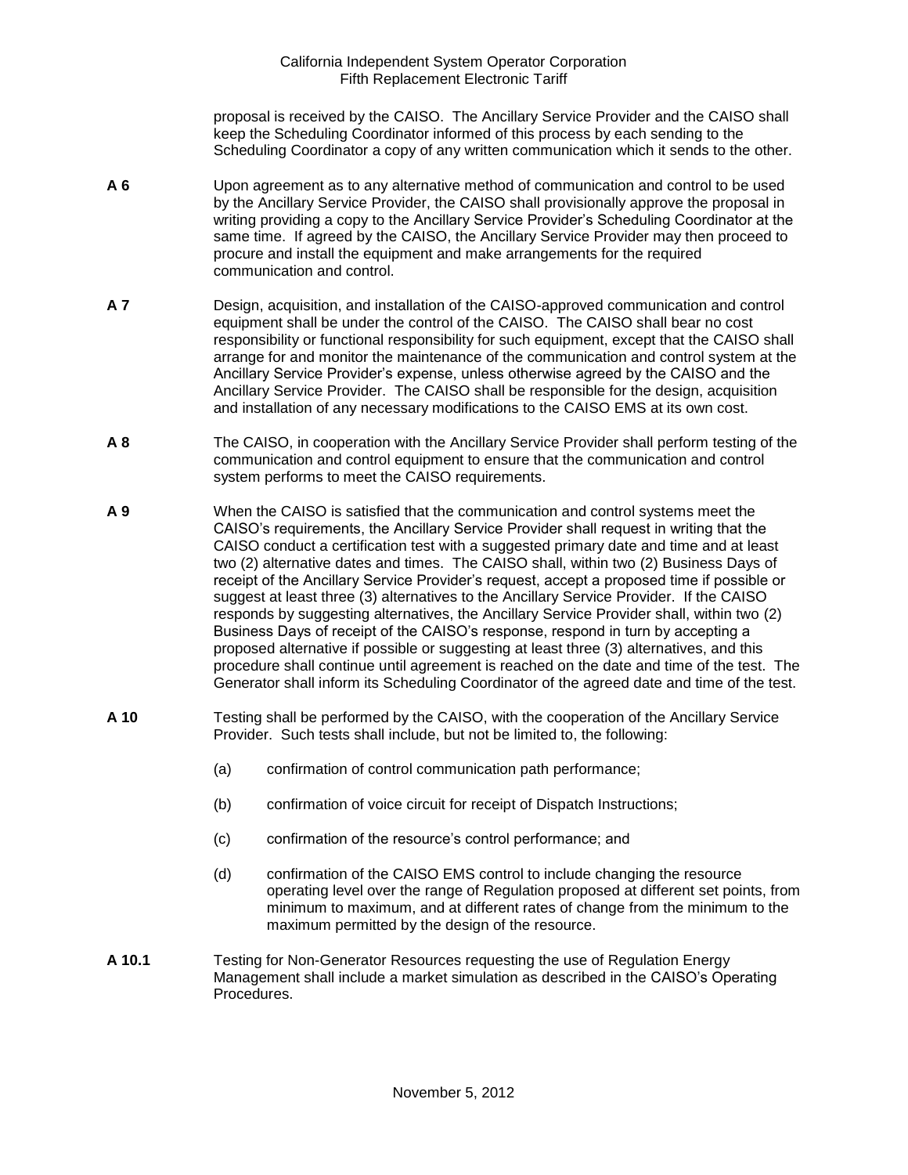proposal is received by the CAISO. The Ancillary Service Provider and the CAISO shall keep the Scheduling Coordinator informed of this process by each sending to the Scheduling Coordinator a copy of any written communication which it sends to the other.

- **A 6** Upon agreement as to any alternative method of communication and control to be used by the Ancillary Service Provider, the CAISO shall provisionally approve the proposal in writing providing a copy to the Ancillary Service Provider's Scheduling Coordinator at the same time. If agreed by the CAISO, the Ancillary Service Provider may then proceed to procure and install the equipment and make arrangements for the required communication and control.
- **A 7** Design, acquisition, and installation of the CAISO-approved communication and control equipment shall be under the control of the CAISO. The CAISO shall bear no cost responsibility or functional responsibility for such equipment, except that the CAISO shall arrange for and monitor the maintenance of the communication and control system at the Ancillary Service Provider's expense, unless otherwise agreed by the CAISO and the Ancillary Service Provider. The CAISO shall be responsible for the design, acquisition and installation of any necessary modifications to the CAISO EMS at its own cost.
- **A 8** The CAISO, in cooperation with the Ancillary Service Provider shall perform testing of the communication and control equipment to ensure that the communication and control system performs to meet the CAISO requirements.
- **A 9** When the CAISO is satisfied that the communication and control systems meet the CAISO's requirements, the Ancillary Service Provider shall request in writing that the CAISO conduct a certification test with a suggested primary date and time and at least two (2) alternative dates and times. The CAISO shall, within two (2) Business Days of receipt of the Ancillary Service Provider's request, accept a proposed time if possible or suggest at least three (3) alternatives to the Ancillary Service Provider. If the CAISO responds by suggesting alternatives, the Ancillary Service Provider shall, within two (2) Business Days of receipt of the CAISO's response, respond in turn by accepting a proposed alternative if possible or suggesting at least three (3) alternatives, and this procedure shall continue until agreement is reached on the date and time of the test. The Generator shall inform its Scheduling Coordinator of the agreed date and time of the test.
- **A 10** Testing shall be performed by the CAISO, with the cooperation of the Ancillary Service Provider. Such tests shall include, but not be limited to, the following:
	- (a) confirmation of control communication path performance;
	- (b) confirmation of voice circuit for receipt of Dispatch Instructions;
	- (c) confirmation of the resource's control performance; and
	- (d) confirmation of the CAISO EMS control to include changing the resource operating level over the range of Regulation proposed at different set points, from minimum to maximum, and at different rates of change from the minimum to the maximum permitted by the design of the resource.
- **A 10.1** Testing for Non-Generator Resources requesting the use of Regulation Energy Management shall include a market simulation as described in the CAISO's Operating Procedures.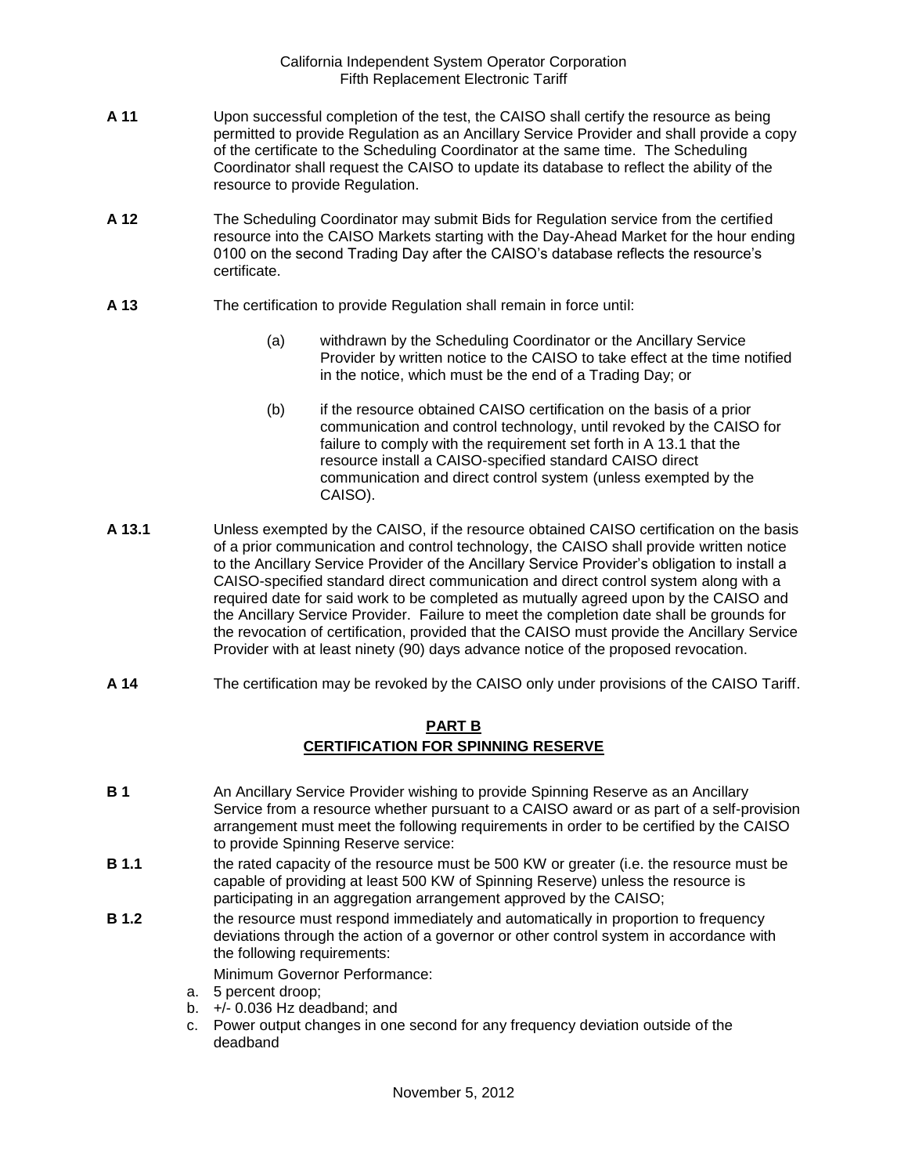- **A 11** Upon successful completion of the test, the CAISO shall certify the resource as being permitted to provide Regulation as an Ancillary Service Provider and shall provide a copy of the certificate to the Scheduling Coordinator at the same time. The Scheduling Coordinator shall request the CAISO to update its database to reflect the ability of the resource to provide Regulation.
- **A 12** The Scheduling Coordinator may submit Bids for Regulation service from the certified resource into the CAISO Markets starting with the Day-Ahead Market for the hour ending 0100 on the second Trading Day after the CAISO's database reflects the resource's certificate.
- **A 13** The certification to provide Regulation shall remain in force until:
	- (a) withdrawn by the Scheduling Coordinator or the Ancillary Service Provider by written notice to the CAISO to take effect at the time notified in the notice, which must be the end of a Trading Day; or
	- (b) if the resource obtained CAISO certification on the basis of a prior communication and control technology, until revoked by the CAISO for failure to comply with the requirement set forth in A 13.1 that the resource install a CAISO-specified standard CAISO direct communication and direct control system (unless exempted by the CAISO).
- **A 13.1** Unless exempted by the CAISO, if the resource obtained CAISO certification on the basis of a prior communication and control technology, the CAISO shall provide written notice to the Ancillary Service Provider of the Ancillary Service Provider's obligation to install a CAISO-specified standard direct communication and direct control system along with a required date for said work to be completed as mutually agreed upon by the CAISO and the Ancillary Service Provider. Failure to meet the completion date shall be grounds for the revocation of certification, provided that the CAISO must provide the Ancillary Service Provider with at least ninety (90) days advance notice of the proposed revocation.
- **A 14** The certification may be revoked by the CAISO only under provisions of the CAISO Tariff.

# **PART B CERTIFICATION FOR SPINNING RESERVE**

- **B 1** An Ancillary Service Provider wishing to provide Spinning Reserve as an Ancillary Service from a resource whether pursuant to a CAISO award or as part of a self-provision arrangement must meet the following requirements in order to be certified by the CAISO to provide Spinning Reserve service:
- **B 1.1** the rated capacity of the resource must be 500 KW or greater (i.e. the resource must be capable of providing at least 500 KW of Spinning Reserve) unless the resource is participating in an aggregation arrangement approved by the CAISO;
- **B 1.2** the resource must respond immediately and automatically in proportion to frequency deviations through the action of a governor or other control system in accordance with the following requirements:

Minimum Governor Performance:

- a. 5 percent droop;
- b.  $+/- 0.036$  Hz deadband; and
- c. Power output changes in one second for any frequency deviation outside of the deadband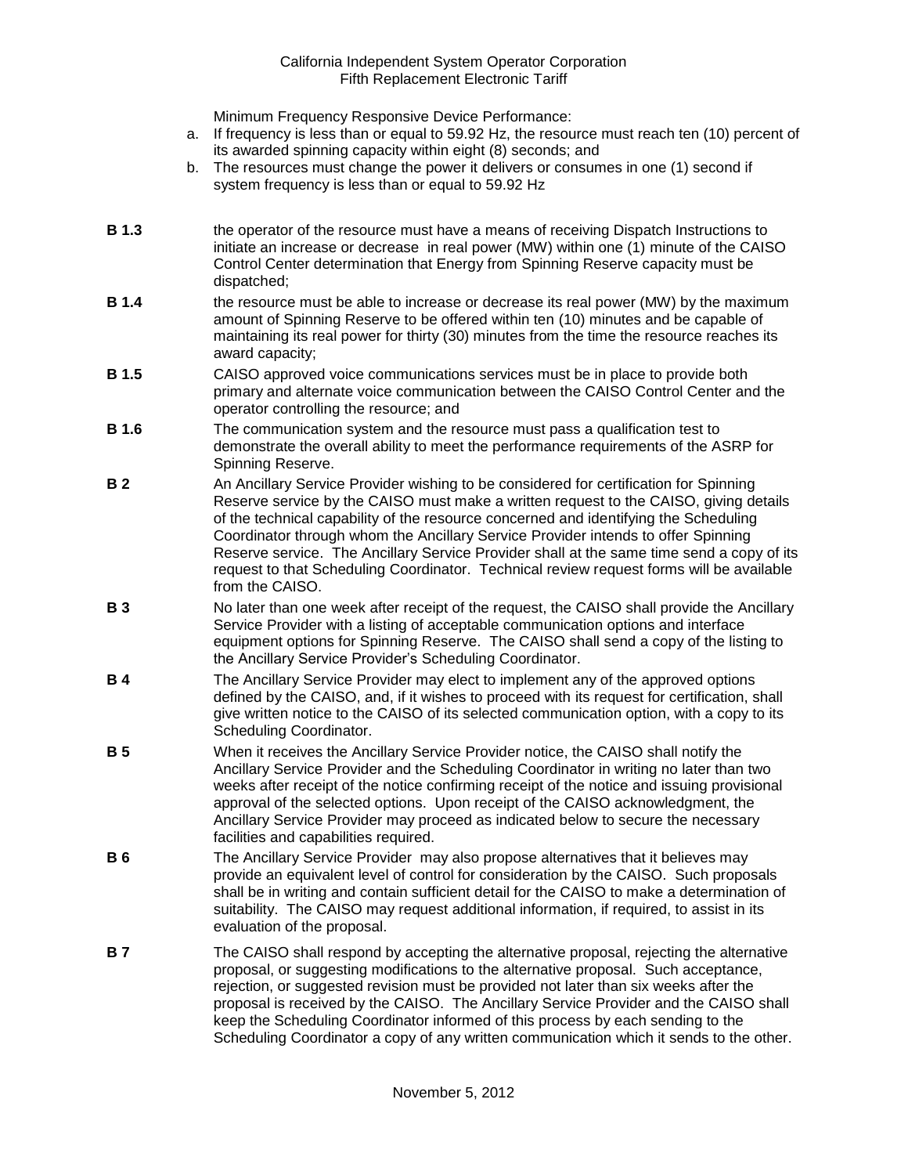Minimum Frequency Responsive Device Performance:

- a. If frequency is less than or equal to 59.92 Hz, the resource must reach ten (10) percent of its awarded spinning capacity within eight (8) seconds; and
- b. The resources must change the power it delivers or consumes in one (1) second if system frequency is less than or equal to 59.92 Hz
- **B 1.3** the operator of the resource must have a means of receiving Dispatch Instructions to initiate an increase or decrease in real power (MW) within one (1) minute of the CAISO Control Center determination that Energy from Spinning Reserve capacity must be dispatched;
- **B 1.4** the resource must be able to increase or decrease its real power (MW) by the maximum amount of Spinning Reserve to be offered within ten (10) minutes and be capable of maintaining its real power for thirty (30) minutes from the time the resource reaches its award capacity;
- **B 1.5** CAISO approved voice communications services must be in place to provide both primary and alternate voice communication between the CAISO Control Center and the operator controlling the resource; and
- **B 1.6** The communication system and the resource must pass a qualification test to demonstrate the overall ability to meet the performance requirements of the ASRP for Spinning Reserve.
- **B 2** An Ancillary Service Provider wishing to be considered for certification for Spinning Reserve service by the CAISO must make a written request to the CAISO, giving details of the technical capability of the resource concerned and identifying the Scheduling Coordinator through whom the Ancillary Service Provider intends to offer Spinning Reserve service. The Ancillary Service Provider shall at the same time send a copy of its request to that Scheduling Coordinator. Technical review request forms will be available from the CAISO.
- **B 3** No later than one week after receipt of the request, the CAISO shall provide the Ancillary Service Provider with a listing of acceptable communication options and interface equipment options for Spinning Reserve. The CAISO shall send a copy of the listing to the Ancillary Service Provider's Scheduling Coordinator.
- **B 4** The Ancillary Service Provider may elect to implement any of the approved options defined by the CAISO, and, if it wishes to proceed with its request for certification, shall give written notice to the CAISO of its selected communication option, with a copy to its Scheduling Coordinator.
- **B 5** When it receives the Ancillary Service Provider notice, the CAISO shall notify the Ancillary Service Provider and the Scheduling Coordinator in writing no later than two weeks after receipt of the notice confirming receipt of the notice and issuing provisional approval of the selected options. Upon receipt of the CAISO acknowledgment, the Ancillary Service Provider may proceed as indicated below to secure the necessary facilities and capabilities required.
- **B 6** The Ancillary Service Provider may also propose alternatives that it believes may provide an equivalent level of control for consideration by the CAISO. Such proposals shall be in writing and contain sufficient detail for the CAISO to make a determination of suitability. The CAISO may request additional information, if required, to assist in its evaluation of the proposal.
- **B 7** The CAISO shall respond by accepting the alternative proposal, rejecting the alternative proposal, or suggesting modifications to the alternative proposal. Such acceptance, rejection, or suggested revision must be provided not later than six weeks after the proposal is received by the CAISO. The Ancillary Service Provider and the CAISO shall keep the Scheduling Coordinator informed of this process by each sending to the Scheduling Coordinator a copy of any written communication which it sends to the other.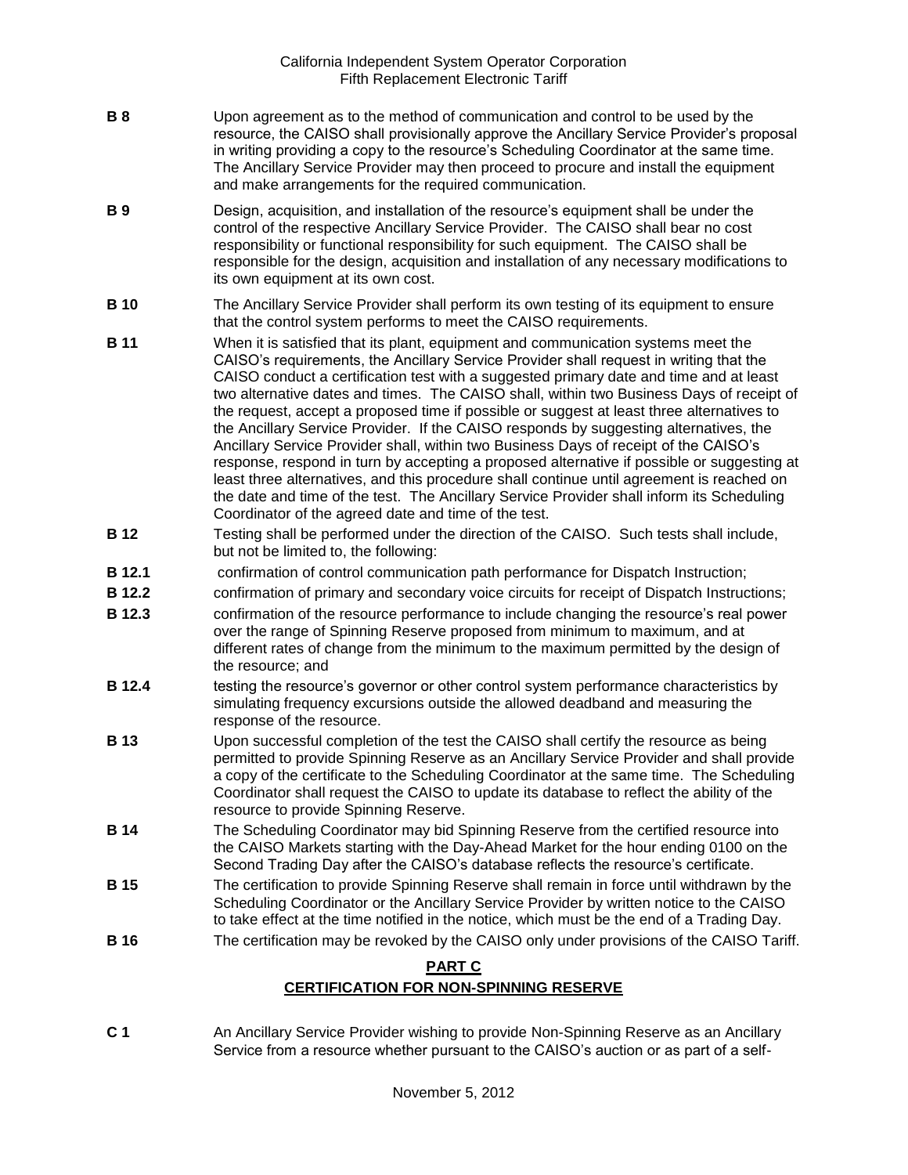- **B 8** Upon agreement as to the method of communication and control to be used by the resource, the CAISO shall provisionally approve the Ancillary Service Provider's proposal in writing providing a copy to the resource's Scheduling Coordinator at the same time. The Ancillary Service Provider may then proceed to procure and install the equipment and make arrangements for the required communication.
- **B 9** Design, acquisition, and installation of the resource's equipment shall be under the control of the respective Ancillary Service Provider. The CAISO shall bear no cost responsibility or functional responsibility for such equipment. The CAISO shall be responsible for the design, acquisition and installation of any necessary modifications to its own equipment at its own cost.
- **B 10** The Ancillary Service Provider shall perform its own testing of its equipment to ensure that the control system performs to meet the CAISO requirements.
- **B 11** When it is satisfied that its plant, equipment and communication systems meet the CAISO's requirements, the Ancillary Service Provider shall request in writing that the CAISO conduct a certification test with a suggested primary date and time and at least two alternative dates and times. The CAISO shall, within two Business Days of receipt of the request, accept a proposed time if possible or suggest at least three alternatives to the Ancillary Service Provider. If the CAISO responds by suggesting alternatives, the Ancillary Service Provider shall, within two Business Days of receipt of the CAISO's response, respond in turn by accepting a proposed alternative if possible or suggesting at least three alternatives, and this procedure shall continue until agreement is reached on the date and time of the test. The Ancillary Service Provider shall inform its Scheduling Coordinator of the agreed date and time of the test.
- **B 12** Testing shall be performed under the direction of the CAISO. Such tests shall include, but not be limited to, the following:
- **B 12.1** confirmation of control communication path performance for Dispatch Instruction;
- **B 12.2** confirmation of primary and secondary voice circuits for receipt of Dispatch Instructions;
- **B 12.3** confirmation of the resource performance to include changing the resource's real power over the range of Spinning Reserve proposed from minimum to maximum, and at different rates of change from the minimum to the maximum permitted by the design of the resource; and
- **B 12.4** testing the resource's governor or other control system performance characteristics by simulating frequency excursions outside the allowed deadband and measuring the response of the resource.
- **B 13** Upon successful completion of the test the CAISO shall certify the resource as being permitted to provide Spinning Reserve as an Ancillary Service Provider and shall provide a copy of the certificate to the Scheduling Coordinator at the same time. The Scheduling Coordinator shall request the CAISO to update its database to reflect the ability of the resource to provide Spinning Reserve.
- **B 14** The Scheduling Coordinator may bid Spinning Reserve from the certified resource into the CAISO Markets starting with the Day-Ahead Market for the hour ending 0100 on the Second Trading Day after the CAISO's database reflects the resource's certificate.
- **B 15** The certification to provide Spinning Reserve shall remain in force until withdrawn by the Scheduling Coordinator or the Ancillary Service Provider by written notice to the CAISO to take effect at the time notified in the notice, which must be the end of a Trading Day.
- **B 16** The certification may be revoked by the CAISO only under provisions of the CAISO Tariff.

## **PART C**

### **CERTIFICATION FOR NON-SPINNING RESERVE**

**C 1** An Ancillary Service Provider wishing to provide Non-Spinning Reserve as an Ancillary Service from a resource whether pursuant to the CAISO's auction or as part of a self-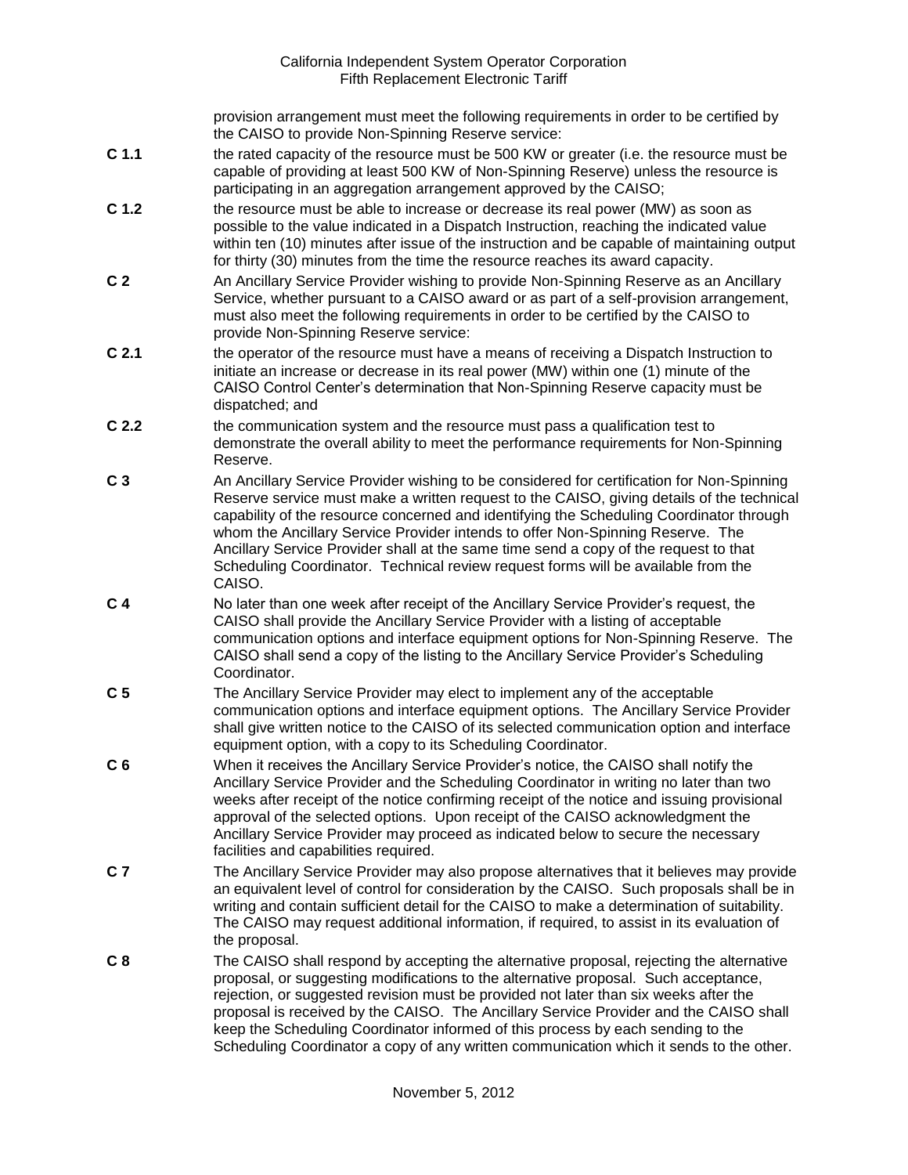provision arrangement must meet the following requirements in order to be certified by the CAISO to provide Non-Spinning Reserve service:

- **C 1.1** the rated capacity of the resource must be 500 KW or greater (i.e. the resource must be capable of providing at least 500 KW of Non-Spinning Reserve) unless the resource is participating in an aggregation arrangement approved by the CAISO;
- **C 1.2** the resource must be able to increase or decrease its real power (MW) as soon as possible to the value indicated in a Dispatch Instruction, reaching the indicated value within ten (10) minutes after issue of the instruction and be capable of maintaining output for thirty (30) minutes from the time the resource reaches its award capacity.
- **C 2** An Ancillary Service Provider wishing to provide Non-Spinning Reserve as an Ancillary Service, whether pursuant to a CAISO award or as part of a self-provision arrangement, must also meet the following requirements in order to be certified by the CAISO to provide Non-Spinning Reserve service:
- **C 2.1** the operator of the resource must have a means of receiving a Dispatch Instruction to initiate an increase or decrease in its real power (MW) within one (1) minute of the CAISO Control Center's determination that Non-Spinning Reserve capacity must be dispatched; and
- **C 2.2** the communication system and the resource must pass a qualification test to demonstrate the overall ability to meet the performance requirements for Non-Spinning Reserve.
- **C 3** An Ancillary Service Provider wishing to be considered for certification for Non-Spinning Reserve service must make a written request to the CAISO, giving details of the technical capability of the resource concerned and identifying the Scheduling Coordinator through whom the Ancillary Service Provider intends to offer Non-Spinning Reserve. The Ancillary Service Provider shall at the same time send a copy of the request to that Scheduling Coordinator. Technical review request forms will be available from the CAISO.
- **C 4** No later than one week after receipt of the Ancillary Service Provider's request, the CAISO shall provide the Ancillary Service Provider with a listing of acceptable communication options and interface equipment options for Non-Spinning Reserve. The CAISO shall send a copy of the listing to the Ancillary Service Provider's Scheduling Coordinator.
- **C 5** The Ancillary Service Provider may elect to implement any of the acceptable communication options and interface equipment options. The Ancillary Service Provider shall give written notice to the CAISO of its selected communication option and interface equipment option, with a copy to its Scheduling Coordinator.
- **C 6** When it receives the Ancillary Service Provider's notice, the CAISO shall notify the Ancillary Service Provider and the Scheduling Coordinator in writing no later than two weeks after receipt of the notice confirming receipt of the notice and issuing provisional approval of the selected options. Upon receipt of the CAISO acknowledgment the Ancillary Service Provider may proceed as indicated below to secure the necessary facilities and capabilities required.
- **C 7** The Ancillary Service Provider may also propose alternatives that it believes may provide an equivalent level of control for consideration by the CAISO. Such proposals shall be in writing and contain sufficient detail for the CAISO to make a determination of suitability. The CAISO may request additional information, if required, to assist in its evaluation of the proposal.
- **C 8** The CAISO shall respond by accepting the alternative proposal, rejecting the alternative proposal, or suggesting modifications to the alternative proposal. Such acceptance, rejection, or suggested revision must be provided not later than six weeks after the proposal is received by the CAISO. The Ancillary Service Provider and the CAISO shall keep the Scheduling Coordinator informed of this process by each sending to the Scheduling Coordinator a copy of any written communication which it sends to the other.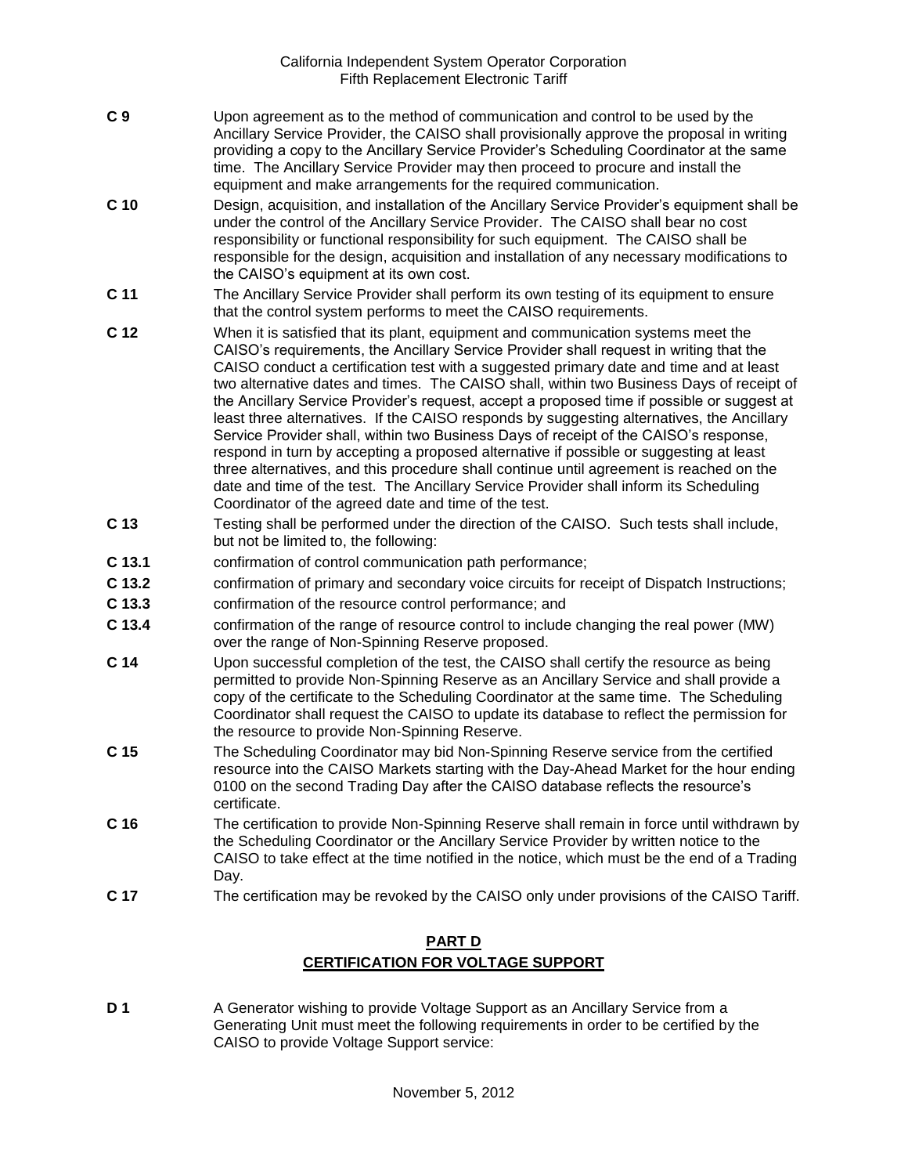- **C 9** Upon agreement as to the method of communication and control to be used by the Ancillary Service Provider, the CAISO shall provisionally approve the proposal in writing providing a copy to the Ancillary Service Provider's Scheduling Coordinator at the same time. The Ancillary Service Provider may then proceed to procure and install the equipment and make arrangements for the required communication.
- **C 10** Design, acquisition, and installation of the Ancillary Service Provider's equipment shall be under the control of the Ancillary Service Provider. The CAISO shall bear no cost responsibility or functional responsibility for such equipment. The CAISO shall be responsible for the design, acquisition and installation of any necessary modifications to the CAISO's equipment at its own cost.
- **C 11** The Ancillary Service Provider shall perform its own testing of its equipment to ensure that the control system performs to meet the CAISO requirements.
- **C 12** When it is satisfied that its plant, equipment and communication systems meet the CAISO's requirements, the Ancillary Service Provider shall request in writing that the CAISO conduct a certification test with a suggested primary date and time and at least two alternative dates and times. The CAISO shall, within two Business Days of receipt of the Ancillary Service Provider's request, accept a proposed time if possible or suggest at least three alternatives. If the CAISO responds by suggesting alternatives, the Ancillary Service Provider shall, within two Business Days of receipt of the CAISO's response, respond in turn by accepting a proposed alternative if possible or suggesting at least three alternatives, and this procedure shall continue until agreement is reached on the date and time of the test. The Ancillary Service Provider shall inform its Scheduling Coordinator of the agreed date and time of the test.
- **C 13** Testing shall be performed under the direction of the CAISO. Such tests shall include, but not be limited to, the following:
- **C 13.1** confirmation of control communication path performance;
- **C 13.2** confirmation of primary and secondary voice circuits for receipt of Dispatch Instructions;
- **C 13.3** confirmation of the resource control performance; and
- **C 13.4** confirmation of the range of resource control to include changing the real power (MW) over the range of Non-Spinning Reserve proposed.
- **C 14** Upon successful completion of the test, the CAISO shall certify the resource as being permitted to provide Non-Spinning Reserve as an Ancillary Service and shall provide a copy of the certificate to the Scheduling Coordinator at the same time. The Scheduling Coordinator shall request the CAISO to update its database to reflect the permission for the resource to provide Non-Spinning Reserve.
- **C 15** The Scheduling Coordinator may bid Non-Spinning Reserve service from the certified resource into the CAISO Markets starting with the Day-Ahead Market for the hour ending 0100 on the second Trading Day after the CAISO database reflects the resource's certificate.
- **C 16** The certification to provide Non-Spinning Reserve shall remain in force until withdrawn by the Scheduling Coordinator or the Ancillary Service Provider by written notice to the CAISO to take effect at the time notified in the notice, which must be the end of a Trading Day.
- **C 17** The certification may be revoked by the CAISO only under provisions of the CAISO Tariff.

# **PART D CERTIFICATION FOR VOLTAGE SUPPORT**

**D 1** A Generator wishing to provide Voltage Support as an Ancillary Service from a Generating Unit must meet the following requirements in order to be certified by the CAISO to provide Voltage Support service: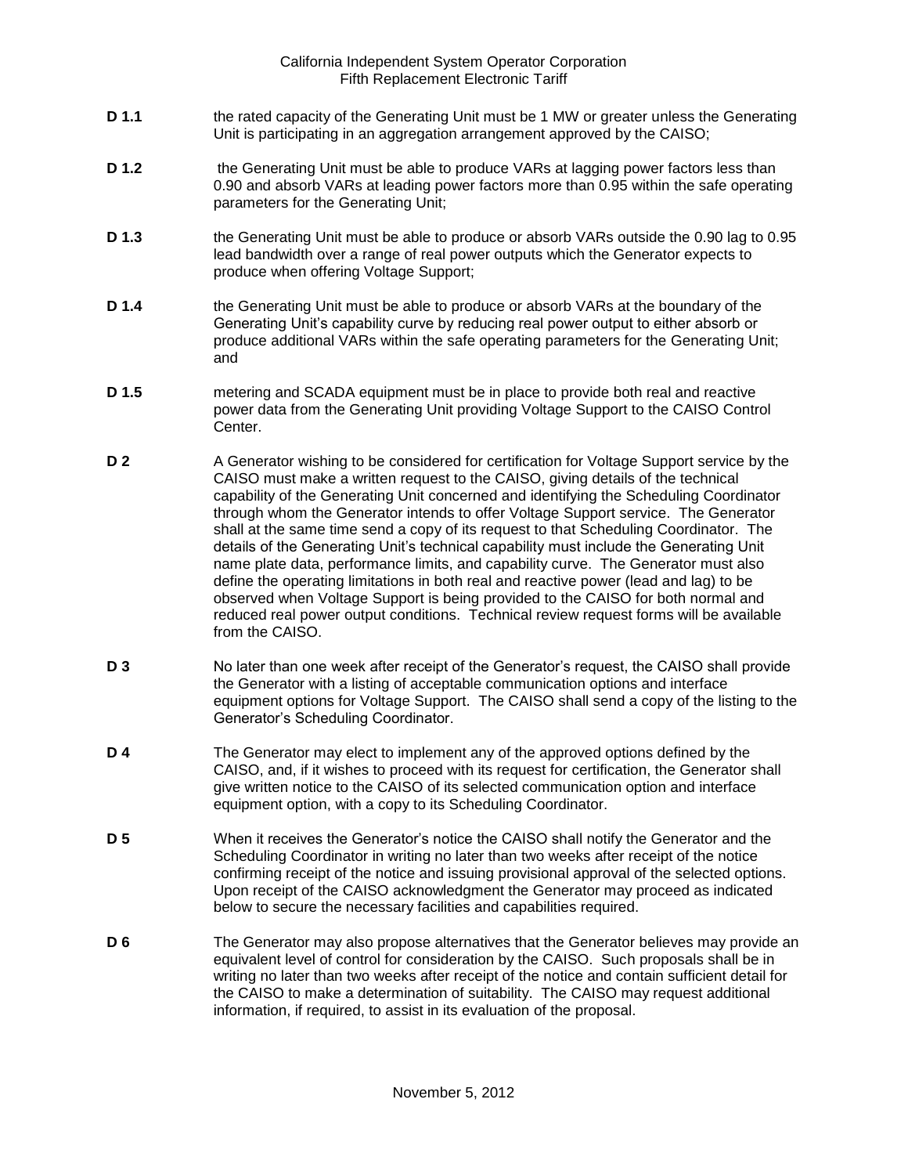- **D 1.1** the rated capacity of the Generating Unit must be 1 MW or greater unless the Generating Unit is participating in an aggregation arrangement approved by the CAISO;
- **D 1.2** the Generating Unit must be able to produce VARs at lagging power factors less than 0.90 and absorb VARs at leading power factors more than 0.95 within the safe operating parameters for the Generating Unit;
- **D 1.3** the Generating Unit must be able to produce or absorb VARs outside the 0.90 lag to 0.95 lead bandwidth over a range of real power outputs which the Generator expects to produce when offering Voltage Support;
- **D 1.4** the Generating Unit must be able to produce or absorb VARs at the boundary of the Generating Unit's capability curve by reducing real power output to either absorb or produce additional VARs within the safe operating parameters for the Generating Unit; and
- **D 1.5** metering and SCADA equipment must be in place to provide both real and reactive power data from the Generating Unit providing Voltage Support to the CAISO Control Center.
- **D 2** A Generator wishing to be considered for certification for Voltage Support service by the CAISO must make a written request to the CAISO, giving details of the technical capability of the Generating Unit concerned and identifying the Scheduling Coordinator through whom the Generator intends to offer Voltage Support service. The Generator shall at the same time send a copy of its request to that Scheduling Coordinator. The details of the Generating Unit's technical capability must include the Generating Unit name plate data, performance limits, and capability curve. The Generator must also define the operating limitations in both real and reactive power (lead and lag) to be observed when Voltage Support is being provided to the CAISO for both normal and reduced real power output conditions. Technical review request forms will be available from the CAISO.
- **D 3** No later than one week after receipt of the Generator's request, the CAISO shall provide the Generator with a listing of acceptable communication options and interface equipment options for Voltage Support. The CAISO shall send a copy of the listing to the Generator's Scheduling Coordinator.
- **D 4** The Generator may elect to implement any of the approved options defined by the CAISO, and, if it wishes to proceed with its request for certification, the Generator shall give written notice to the CAISO of its selected communication option and interface equipment option, with a copy to its Scheduling Coordinator.
- **D 5** When it receives the Generator's notice the CAISO shall notify the Generator and the Scheduling Coordinator in writing no later than two weeks after receipt of the notice confirming receipt of the notice and issuing provisional approval of the selected options. Upon receipt of the CAISO acknowledgment the Generator may proceed as indicated below to secure the necessary facilities and capabilities required.
- **D 6** The Generator may also propose alternatives that the Generator believes may provide an equivalent level of control for consideration by the CAISO. Such proposals shall be in writing no later than two weeks after receipt of the notice and contain sufficient detail for the CAISO to make a determination of suitability. The CAISO may request additional information, if required, to assist in its evaluation of the proposal.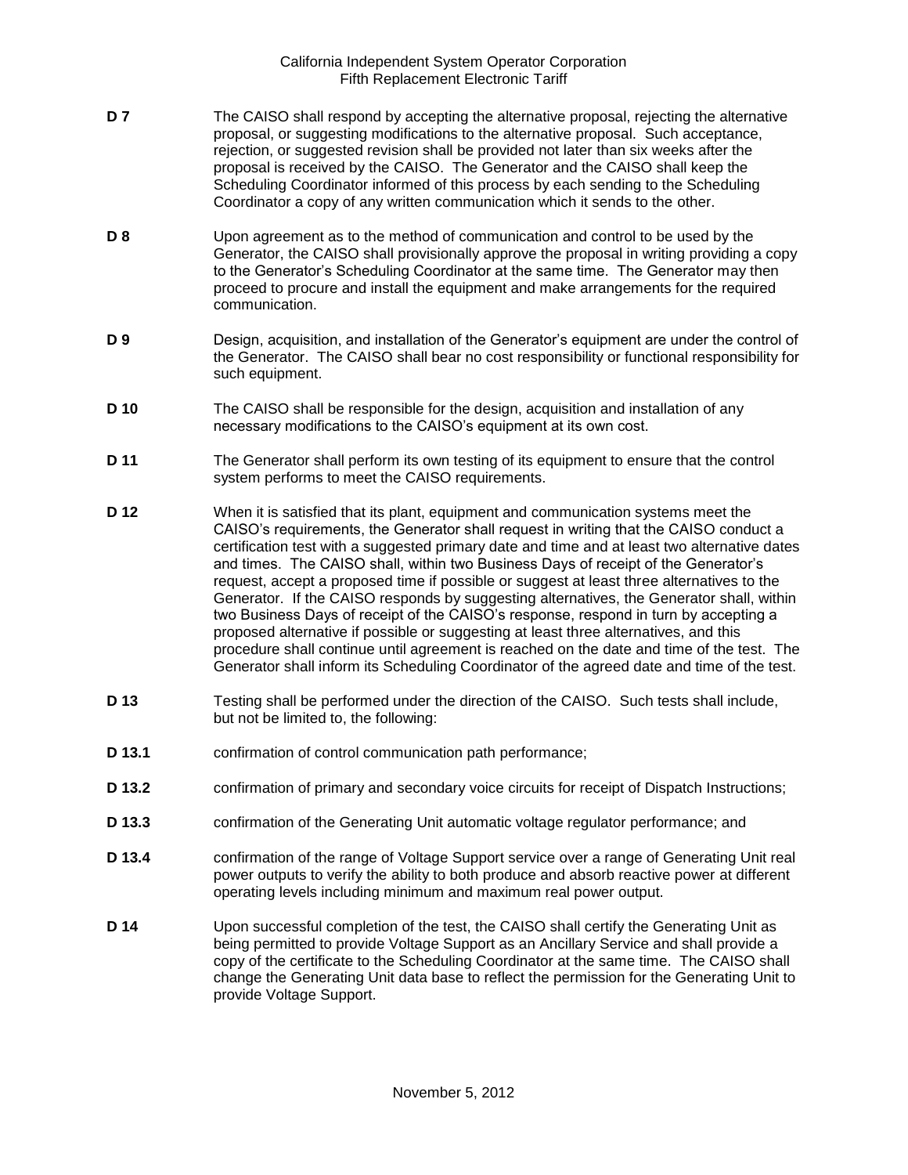- **D 7** The CAISO shall respond by accepting the alternative proposal, rejecting the alternative proposal, or suggesting modifications to the alternative proposal. Such acceptance, rejection, or suggested revision shall be provided not later than six weeks after the proposal is received by the CAISO. The Generator and the CAISO shall keep the Scheduling Coordinator informed of this process by each sending to the Scheduling Coordinator a copy of any written communication which it sends to the other.
- **D 8** Upon agreement as to the method of communication and control to be used by the Generator, the CAISO shall provisionally approve the proposal in writing providing a copy to the Generator's Scheduling Coordinator at the same time. The Generator may then proceed to procure and install the equipment and make arrangements for the required communication.
- **D 9** Design, acquisition, and installation of the Generator's equipment are under the control of the Generator. The CAISO shall bear no cost responsibility or functional responsibility for such equipment.
- **D 10** The CAISO shall be responsible for the design, acquisition and installation of any necessary modifications to the CAISO's equipment at its own cost.
- **D 11** The Generator shall perform its own testing of its equipment to ensure that the control system performs to meet the CAISO requirements.
- **D 12** When it is satisfied that its plant, equipment and communication systems meet the CAISO's requirements, the Generator shall request in writing that the CAISO conduct a certification test with a suggested primary date and time and at least two alternative dates and times. The CAISO shall, within two Business Days of receipt of the Generator's request, accept a proposed time if possible or suggest at least three alternatives to the Generator. If the CAISO responds by suggesting alternatives, the Generator shall, within two Business Days of receipt of the CAISO's response, respond in turn by accepting a proposed alternative if possible or suggesting at least three alternatives, and this procedure shall continue until agreement is reached on the date and time of the test. The Generator shall inform its Scheduling Coordinator of the agreed date and time of the test.
- **D 13** Testing shall be performed under the direction of the CAISO. Such tests shall include, but not be limited to, the following:
- **D 13.1** confirmation of control communication path performance;
- **D 13.2** confirmation of primary and secondary voice circuits for receipt of Dispatch Instructions;
- **D 13.3** confirmation of the Generating Unit automatic voltage regulator performance; and
- **D 13.4** confirmation of the range of Voltage Support service over a range of Generating Unit real power outputs to verify the ability to both produce and absorb reactive power at different operating levels including minimum and maximum real power output.
- **D 14** Upon successful completion of the test, the CAISO shall certify the Generating Unit as being permitted to provide Voltage Support as an Ancillary Service and shall provide a copy of the certificate to the Scheduling Coordinator at the same time. The CAISO shall change the Generating Unit data base to reflect the permission for the Generating Unit to provide Voltage Support.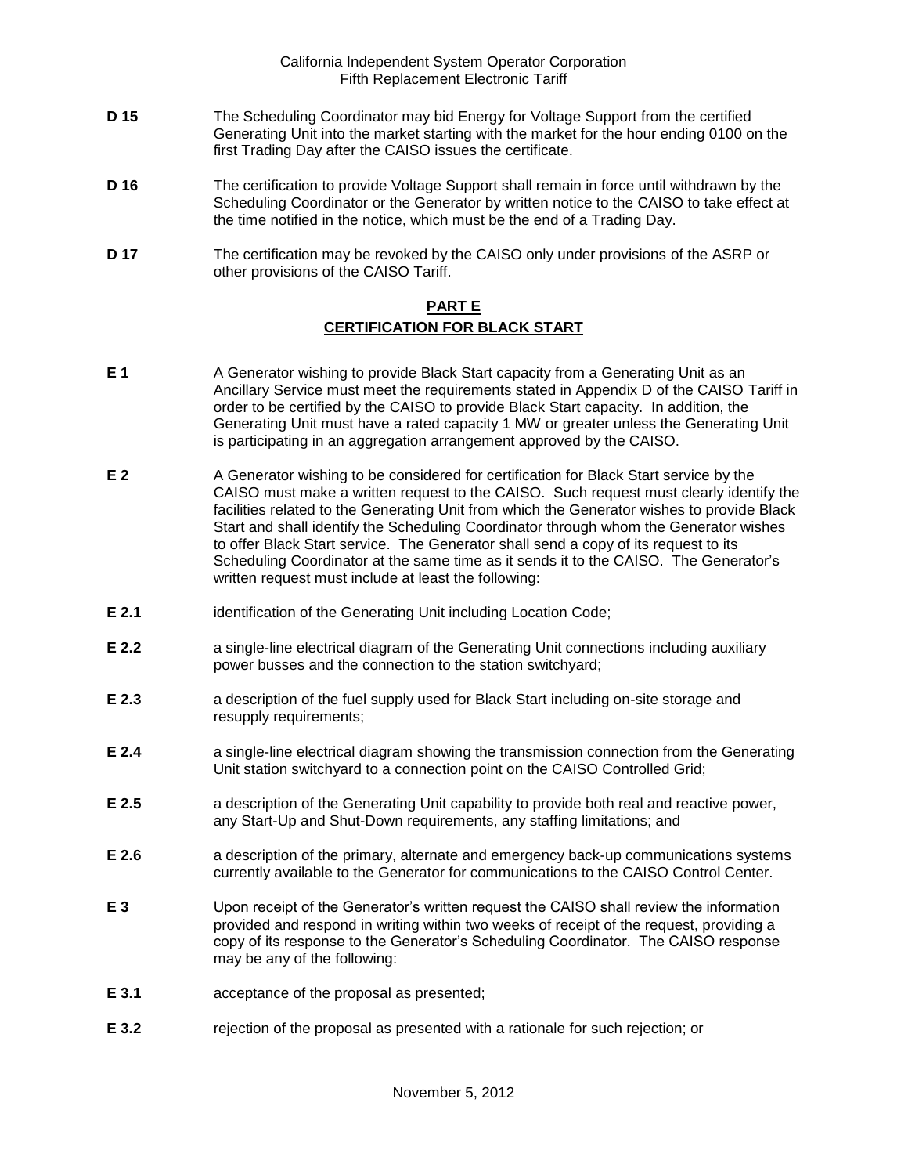- **D 15** The Scheduling Coordinator may bid Energy for Voltage Support from the certified Generating Unit into the market starting with the market for the hour ending 0100 on the first Trading Day after the CAISO issues the certificate.
- **D 16** The certification to provide Voltage Support shall remain in force until withdrawn by the Scheduling Coordinator or the Generator by written notice to the CAISO to take effect at the time notified in the notice, which must be the end of a Trading Day.
- **D 17** The certification may be revoked by the CAISO only under provisions of the ASRP or other provisions of the CAISO Tariff.

## **PART E CERTIFICATION FOR BLACK START**

- **E 1** A Generator wishing to provide Black Start capacity from a Generating Unit as an Ancillary Service must meet the requirements stated in Appendix D of the CAISO Tariff in order to be certified by the CAISO to provide Black Start capacity. In addition, the Generating Unit must have a rated capacity 1 MW or greater unless the Generating Unit is participating in an aggregation arrangement approved by the CAISO.
- **E 2** A Generator wishing to be considered for certification for Black Start service by the CAISO must make a written request to the CAISO. Such request must clearly identify the facilities related to the Generating Unit from which the Generator wishes to provide Black Start and shall identify the Scheduling Coordinator through whom the Generator wishes to offer Black Start service. The Generator shall send a copy of its request to its Scheduling Coordinator at the same time as it sends it to the CAISO. The Generator's written request must include at least the following:
- **E 2.1** identification of the Generating Unit including Location Code;
- **E 2.2 a** single-line electrical diagram of the Generating Unit connections including auxiliary power busses and the connection to the station switchyard;
- **E 2.3** a description of the fuel supply used for Black Start including on-site storage and resupply requirements;
- **E 2.4** a single-line electrical diagram showing the transmission connection from the Generating Unit station switchyard to a connection point on the CAISO Controlled Grid;
- **E 2.5** a description of the Generating Unit capability to provide both real and reactive power, any Start-Up and Shut-Down requirements, any staffing limitations; and
- **E 2.6** a description of the primary, alternate and emergency back-up communications systems currently available to the Generator for communications to the CAISO Control Center.
- **E 3** Upon receipt of the Generator's written request the CAISO shall review the information provided and respond in writing within two weeks of receipt of the request, providing a copy of its response to the Generator's Scheduling Coordinator. The CAISO response may be any of the following:
- **E 3.1** acceptance of the proposal as presented;
- **E 3.2** rejection of the proposal as presented with a rationale for such rejection; or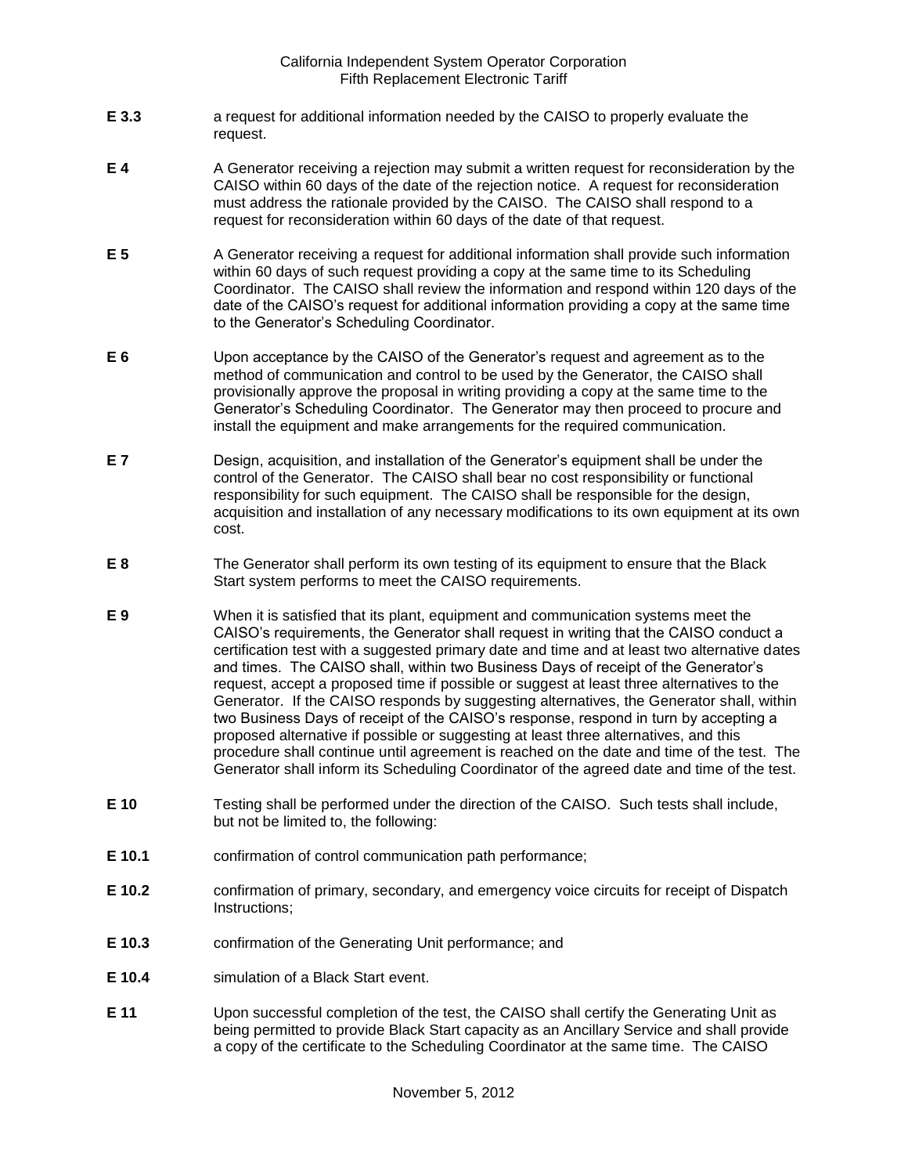- **E 3.3** a request for additional information needed by the CAISO to properly evaluate the request.
- **E 4** A Generator receiving a rejection may submit a written request for reconsideration by the CAISO within 60 days of the date of the rejection notice. A request for reconsideration must address the rationale provided by the CAISO. The CAISO shall respond to a request for reconsideration within 60 days of the date of that request.
- **E 5** A Generator receiving a request for additional information shall provide such information within 60 days of such request providing a copy at the same time to its Scheduling Coordinator. The CAISO shall review the information and respond within 120 days of the date of the CAISO's request for additional information providing a copy at the same time to the Generator's Scheduling Coordinator.
- **E 6** Upon acceptance by the CAISO of the Generator's request and agreement as to the method of communication and control to be used by the Generator, the CAISO shall provisionally approve the proposal in writing providing a copy at the same time to the Generator's Scheduling Coordinator. The Generator may then proceed to procure and install the equipment and make arrangements for the required communication.
- **E 7** Design, acquisition, and installation of the Generator's equipment shall be under the control of the Generator. The CAISO shall bear no cost responsibility or functional responsibility for such equipment. The CAISO shall be responsible for the design, acquisition and installation of any necessary modifications to its own equipment at its own cost.
- **E 8** The Generator shall perform its own testing of its equipment to ensure that the Black Start system performs to meet the CAISO requirements.
- **E 9** When it is satisfied that its plant, equipment and communication systems meet the CAISO's requirements, the Generator shall request in writing that the CAISO conduct a certification test with a suggested primary date and time and at least two alternative dates and times. The CAISO shall, within two Business Days of receipt of the Generator's request, accept a proposed time if possible or suggest at least three alternatives to the Generator. If the CAISO responds by suggesting alternatives, the Generator shall, within two Business Days of receipt of the CAISO's response, respond in turn by accepting a proposed alternative if possible or suggesting at least three alternatives, and this procedure shall continue until agreement is reached on the date and time of the test. The Generator shall inform its Scheduling Coordinator of the agreed date and time of the test.
- **E 10** Testing shall be performed under the direction of the CAISO. Such tests shall include, but not be limited to, the following:
- **E 10.1** confirmation of control communication path performance;
- **E 10.2** confirmation of primary, secondary, and emergency voice circuits for receipt of Dispatch Instructions;
- **E 10.3** confirmation of the Generating Unit performance; and
- **E 10.4** simulation of a Black Start event.
- **E 11** Upon successful completion of the test, the CAISO shall certify the Generating Unit as being permitted to provide Black Start capacity as an Ancillary Service and shall provide a copy of the certificate to the Scheduling Coordinator at the same time. The CAISO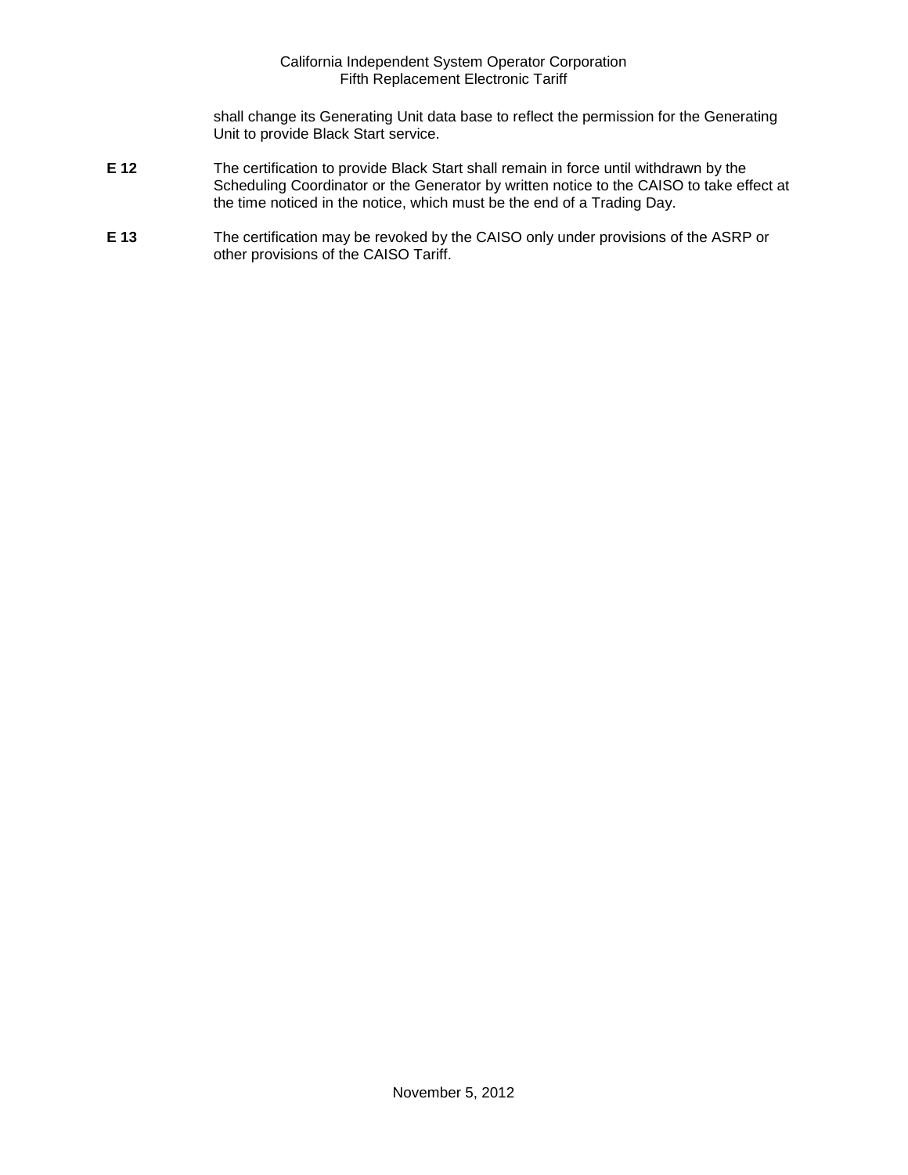shall change its Generating Unit data base to reflect the permission for the Generating Unit to provide Black Start service.

- **E 12** The certification to provide Black Start shall remain in force until withdrawn by the Scheduling Coordinator or the Generator by written notice to the CAISO to take effect at the time noticed in the notice, which must be the end of a Trading Day.
- **E 13** The certification may be revoked by the CAISO only under provisions of the ASRP or other provisions of the CAISO Tariff.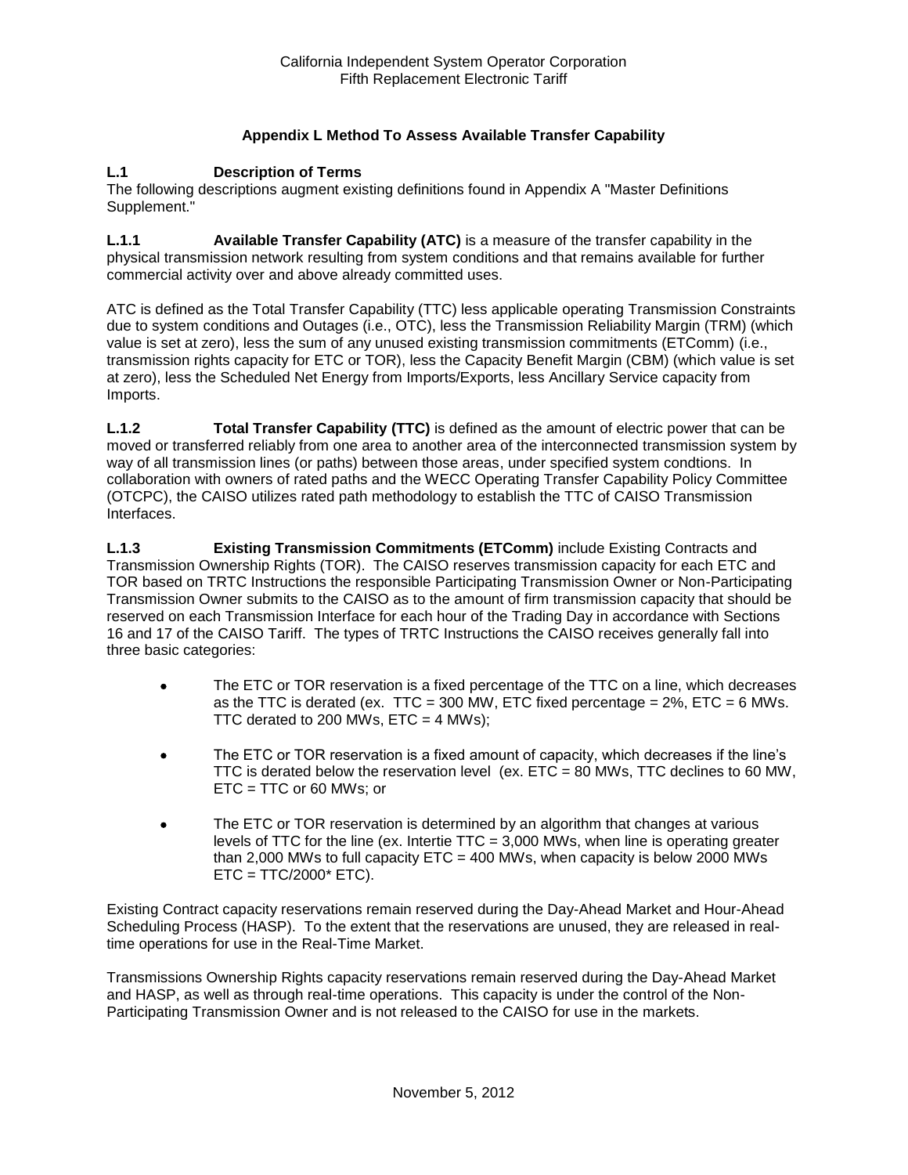## **Appendix L Method To Assess Available Transfer Capability**

#### **L.1 Description of Terms**

The following descriptions augment existing definitions found in Appendix A "Master Definitions Supplement."

**L.1.1 Available Transfer Capability (ATC)** is a measure of the transfer capability in the physical transmission network resulting from system conditions and that remains available for further commercial activity over and above already committed uses.

ATC is defined as the Total Transfer Capability (TTC) less applicable operating Transmission Constraints due to system conditions and Outages (i.e., OTC), less the Transmission Reliability Margin (TRM) (which value is set at zero), less the sum of any unused existing transmission commitments (ETComm) (i.e., transmission rights capacity for ETC or TOR), less the Capacity Benefit Margin (CBM) (which value is set at zero), less the Scheduled Net Energy from Imports/Exports, less Ancillary Service capacity from Imports.

**L.1.2 Total Transfer Capability (TTC)** is defined as the amount of electric power that can be moved or transferred reliably from one area to another area of the interconnected transmission system by way of all transmission lines (or paths) between those areas, under specified system condtions. In collaboration with owners of rated paths and the WECC Operating Transfer Capability Policy Committee (OTCPC), the CAISO utilizes rated path methodology to establish the TTC of CAISO Transmission Interfaces.

**L.1.3 Existing Transmission Commitments (ETComm)** include Existing Contracts and Transmission Ownership Rights (TOR). The CAISO reserves transmission capacity for each ETC and TOR based on TRTC Instructions the responsible Participating Transmission Owner or Non-Participating Transmission Owner submits to the CAISO as to the amount of firm transmission capacity that should be reserved on each Transmission Interface for each hour of the Trading Day in accordance with Sections 16 and 17 of the CAISO Tariff. The types of TRTC Instructions the CAISO receives generally fall into three basic categories:

- The ETC or TOR reservation is a fixed percentage of the TTC on a line, which decreases as the TTC is derated (ex. TTC = 300 MW, ETC fixed percentage =  $2\%$ , ETC = 6 MWs. TTC derated to 200 MWs,  $ETC = 4$  MWs);
- The ETC or TOR reservation is a fixed amount of capacity, which decreases if the line's TTC is derated below the reservation level (ex.  $ETC = 80$  MWs, TTC declines to 60 MW, ETC = TTC or 60 MWs; or
- The ETC or TOR reservation is determined by an algorithm that changes at various levels of TTC for the line (ex. Intertie TTC = 3,000 MWs, when line is operating greater than 2,000 MWs to full capacity  $ETC = 400$  MWs, when capacity is below 2000 MWs  $ETC = TTC/2000* ETC$ ).

Existing Contract capacity reservations remain reserved during the Day-Ahead Market and Hour-Ahead Scheduling Process (HASP). To the extent that the reservations are unused, they are released in realtime operations for use in the Real-Time Market.

Transmissions Ownership Rights capacity reservations remain reserved during the Day-Ahead Market and HASP, as well as through real-time operations. This capacity is under the control of the Non-Participating Transmission Owner and is not released to the CAISO for use in the markets.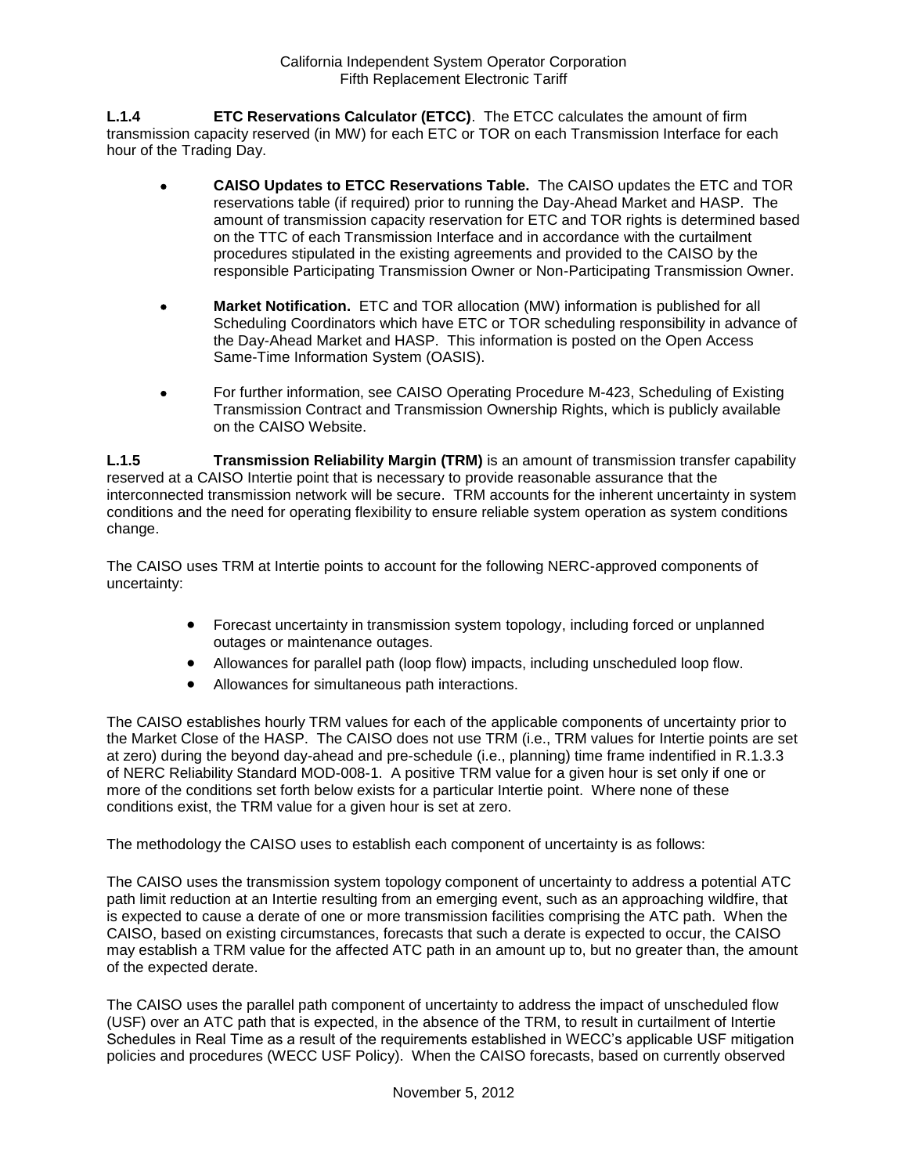**L.1.4 ETC Reservations Calculator (ETCC)**. The ETCC calculates the amount of firm transmission capacity reserved (in MW) for each ETC or TOR on each Transmission Interface for each hour of the Trading Day.

- **CAISO Updates to ETCC Reservations Table.** The CAISO updates the ETC and TOR reservations table (if required) prior to running the Day-Ahead Market and HASP. The amount of transmission capacity reservation for ETC and TOR rights is determined based on the TTC of each Transmission Interface and in accordance with the curtailment procedures stipulated in the existing agreements and provided to the CAISO by the responsible Participating Transmission Owner or Non-Participating Transmission Owner.
- **Market Notification.** ETC and TOR allocation (MW) information is published for all Scheduling Coordinators which have ETC or TOR scheduling responsibility in advance of the Day-Ahead Market and HASP. This information is posted on the Open Access Same-Time Information System (OASIS).
- For further information, see CAISO Operating Procedure M-423, Scheduling of Existing Transmission Contract and Transmission Ownership Rights, which is publicly available on the CAISO Website.

**L.1.5 Transmission Reliability Margin (TRM)** is an amount of transmission transfer capability reserved at a CAISO Intertie point that is necessary to provide reasonable assurance that the interconnected transmission network will be secure. TRM accounts for the inherent uncertainty in system conditions and the need for operating flexibility to ensure reliable system operation as system conditions change.

The CAISO uses TRM at Intertie points to account for the following NERC-approved components of uncertainty:

- Forecast uncertainty in transmission system topology, including forced or unplanned outages or maintenance outages.
- Allowances for parallel path (loop flow) impacts, including unscheduled loop flow.
- Allowances for simultaneous path interactions.

The CAISO establishes hourly TRM values for each of the applicable components of uncertainty prior to the Market Close of the HASP. The CAISO does not use TRM (i.e., TRM values for Intertie points are set at zero) during the beyond day-ahead and pre-schedule (i.e., planning) time frame indentified in R.1.3.3 of NERC Reliability Standard MOD-008-1. A positive TRM value for a given hour is set only if one or more of the conditions set forth below exists for a particular Intertie point. Where none of these conditions exist, the TRM value for a given hour is set at zero.

The methodology the CAISO uses to establish each component of uncertainty is as follows:

The CAISO uses the transmission system topology component of uncertainty to address a potential ATC path limit reduction at an Intertie resulting from an emerging event, such as an approaching wildfire, that is expected to cause a derate of one or more transmission facilities comprising the ATC path. When the CAISO, based on existing circumstances, forecasts that such a derate is expected to occur, the CAISO may establish a TRM value for the affected ATC path in an amount up to, but no greater than, the amount of the expected derate.

The CAISO uses the parallel path component of uncertainty to address the impact of unscheduled flow (USF) over an ATC path that is expected, in the absence of the TRM, to result in curtailment of Intertie Schedules in Real Time as a result of the requirements established in WECC's applicable USF mitigation policies and procedures (WECC USF Policy). When the CAISO forecasts, based on currently observed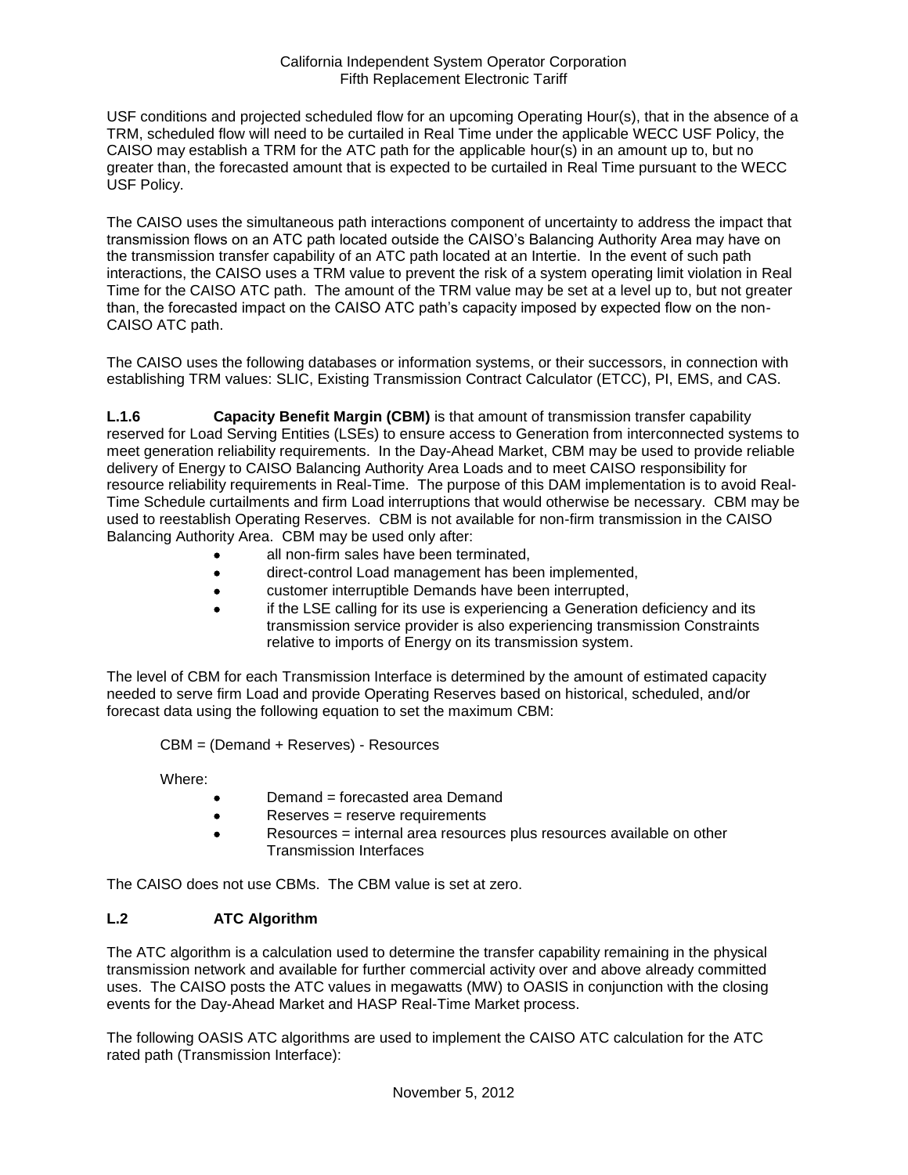USF conditions and projected scheduled flow for an upcoming Operating Hour(s), that in the absence of a TRM, scheduled flow will need to be curtailed in Real Time under the applicable WECC USF Policy, the CAISO may establish a TRM for the ATC path for the applicable hour(s) in an amount up to, but no greater than, the forecasted amount that is expected to be curtailed in Real Time pursuant to the WECC USF Policy.

The CAISO uses the simultaneous path interactions component of uncertainty to address the impact that transmission flows on an ATC path located outside the CAISO's Balancing Authority Area may have on the transmission transfer capability of an ATC path located at an Intertie. In the event of such path interactions, the CAISO uses a TRM value to prevent the risk of a system operating limit violation in Real Time for the CAISO ATC path. The amount of the TRM value may be set at a level up to, but not greater than, the forecasted impact on the CAISO ATC path's capacity imposed by expected flow on the non-CAISO ATC path.

The CAISO uses the following databases or information systems, or their successors, in connection with establishing TRM values: SLIC, Existing Transmission Contract Calculator (ETCC), PI, EMS, and CAS.

**L.1.6 Capacity Benefit Margin (CBM)** is that amount of transmission transfer capability reserved for Load Serving Entities (LSEs) to ensure access to Generation from interconnected systems to meet generation reliability requirements. In the Day-Ahead Market, CBM may be used to provide reliable delivery of Energy to CAISO Balancing Authority Area Loads and to meet CAISO responsibility for resource reliability requirements in Real-Time. The purpose of this DAM implementation is to avoid Real-Time Schedule curtailments and firm Load interruptions that would otherwise be necessary. CBM may be used to reestablish Operating Reserves. CBM is not available for non-firm transmission in the CAISO Balancing Authority Area. CBM may be used only after:

- all non-firm sales have been terminated,
- direct-control Load management has been implemented,
- customer interruptible Demands have been interrupted,
- if the LSE calling for its use is experiencing a Generation deficiency and its transmission service provider is also experiencing transmission Constraints relative to imports of Energy on its transmission system.

The level of CBM for each Transmission Interface is determined by the amount of estimated capacity needed to serve firm Load and provide Operating Reserves based on historical, scheduled, and/or forecast data using the following equation to set the maximum CBM:

CBM = (Demand + Reserves) - Resources

Where:

- Demand = forecasted area Demand
- Reserves = reserve requirements
- Resources = internal area resources plus resources available on other Transmission Interfaces

The CAISO does not use CBMs. The CBM value is set at zero.

### **L.2 ATC Algorithm**

The ATC algorithm is a calculation used to determine the transfer capability remaining in the physical transmission network and available for further commercial activity over and above already committed uses. The CAISO posts the ATC values in megawatts (MW) to OASIS in conjunction with the closing events for the Day-Ahead Market and HASP Real-Time Market process.

The following OASIS ATC algorithms are used to implement the CAISO ATC calculation for the ATC rated path (Transmission Interface):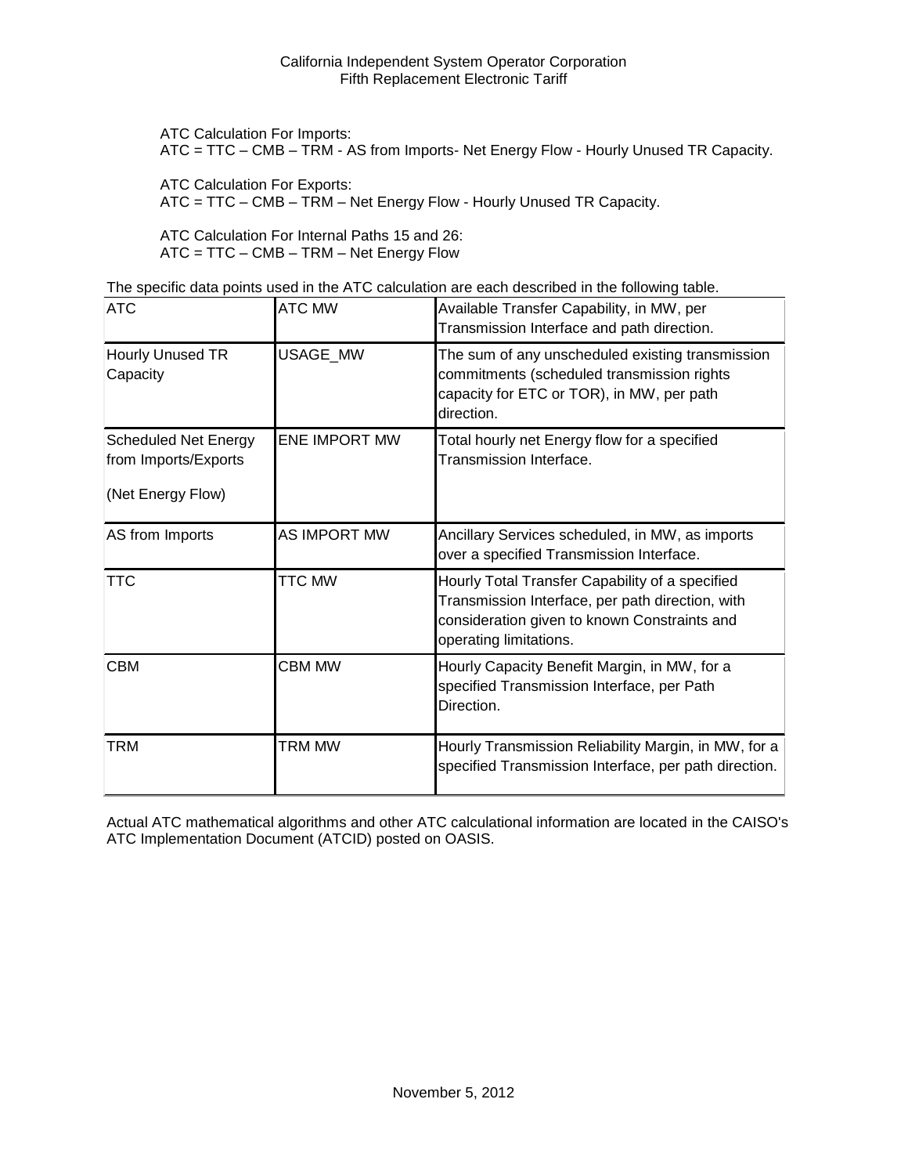ATC Calculation For Imports:

ATC = TTC – CMB – TRM - AS from Imports- Net Energy Flow - Hourly Unused TR Capacity.

ATC Calculation For Exports:

ATC = TTC – CMB – TRM – Net Energy Flow - Hourly Unused TR Capacity.

ATC Calculation For Internal Paths 15 and 26: ATC = TTC – CMB – TRM – Net Energy Flow

The specific data points used in the ATC calculation are each described in the following table.

| <b>ATC</b>                                                               | <b>ATC MW</b>        | Available Transfer Capability, in MW, per<br>Transmission Interface and path direction.                                                                                       |
|--------------------------------------------------------------------------|----------------------|-------------------------------------------------------------------------------------------------------------------------------------------------------------------------------|
| Hourly Unused TR<br>Capacity                                             | USAGE_MW             | The sum of any unscheduled existing transmission<br>commitments (scheduled transmission rights<br>capacity for ETC or TOR), in MW, per path<br>direction.                     |
| <b>Scheduled Net Energy</b><br>from Imports/Exports<br>(Net Energy Flow) | <b>ENE IMPORT MW</b> | Total hourly net Energy flow for a specified<br>Transmission Interface.                                                                                                       |
| AS from Imports                                                          | AS IMPORT MW         | Ancillary Services scheduled, in MW, as imports<br>over a specified Transmission Interface.                                                                                   |
| <b>TTC</b>                                                               | TTC MW               | Hourly Total Transfer Capability of a specified<br>Transmission Interface, per path direction, with<br>consideration given to known Constraints and<br>operating limitations. |
| <b>CBM</b>                                                               | <b>CBM MW</b>        | Hourly Capacity Benefit Margin, in MW, for a<br>specified Transmission Interface, per Path<br>Direction.                                                                      |
| TRM                                                                      | <b>TRM MW</b>        | Hourly Transmission Reliability Margin, in MW, for a<br>specified Transmission Interface, per path direction.                                                                 |

Actual ATC mathematical algorithms and other ATC calculational information are located in the CAISO's ATC Implementation Document (ATCID) posted on OASIS.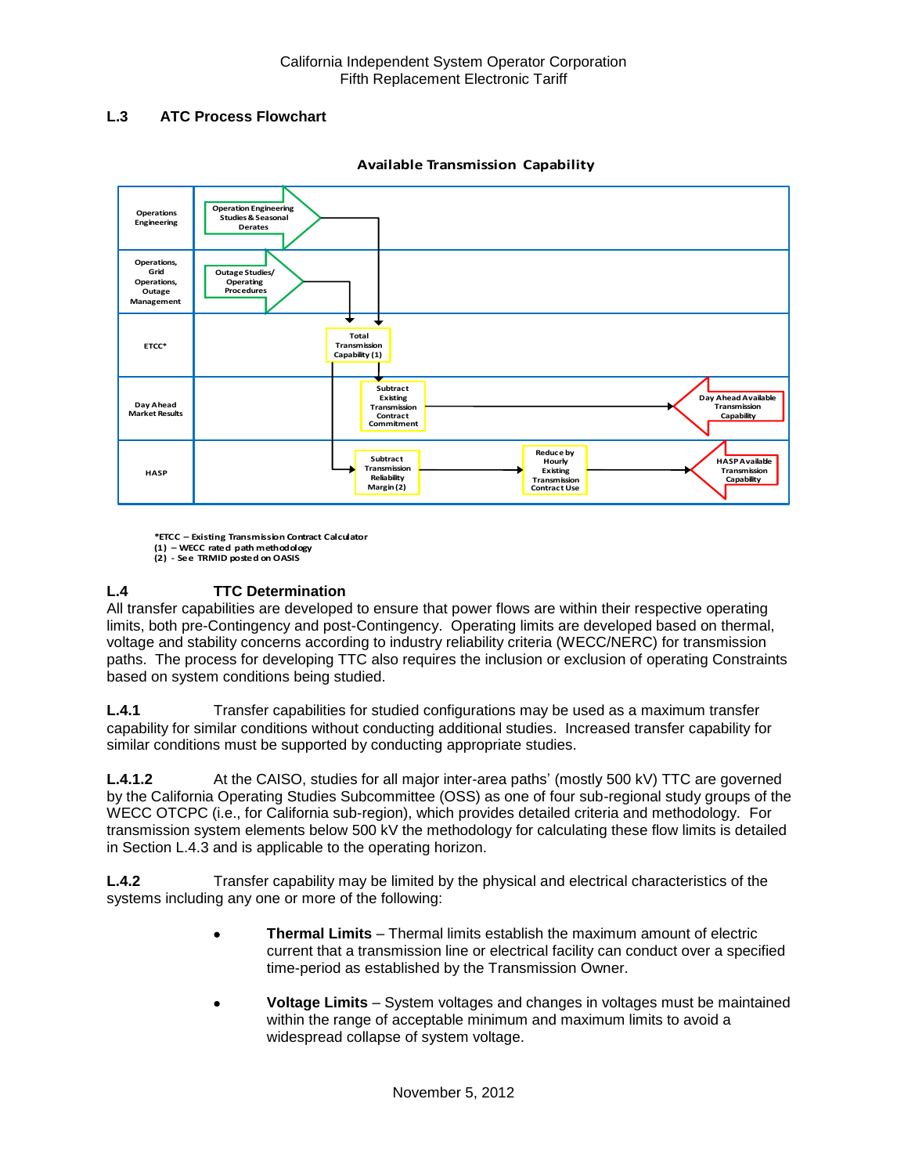# **L.3 ATC Process Flowchart**



**Available Transmission Capability**

**\*ETCC – Existing Transmission Contract Calculator (1) – WECC rated path methodology**

**(2) - See TRMID posted on OASIS**

# **L.4 TTC Determination**

All transfer capabilities are developed to ensure that power flows are within their respective operating limits, both pre-Contingency and post-Contingency. Operating limits are developed based on thermal, voltage and stability concerns according to industry reliability criteria (WECC/NERC) for transmission paths. The process for developing TTC also requires the inclusion or exclusion of operating Constraints based on system conditions being studied.

**L.4.1** Transfer capabilities for studied configurations may be used as a maximum transfer capability for similar conditions without conducting additional studies. Increased transfer capability for similar conditions must be supported by conducting appropriate studies.

**L.4.1.2** At the CAISO, studies for all major inter-area paths' (mostly 500 kV) TTC are governed by the California Operating Studies Subcommittee (OSS) as one of four sub-regional study groups of the WECC OTCPC (i.e., for California sub-region), which provides detailed criteria and methodology. For transmission system elements below 500 kV the methodology for calculating these flow limits is detailed in Section L.4.3 and is applicable to the operating horizon.

**L.4.2** Transfer capability may be limited by the physical and electrical characteristics of the systems including any one or more of the following:

- **Thermal Limits** Thermal limits establish the maximum amount of electric current that a transmission line or electrical facility can conduct over a specified time-period as established by the Transmission Owner.
- **Voltage Limits** System voltages and changes in voltages must be maintained within the range of acceptable minimum and maximum limits to avoid a widespread collapse of system voltage.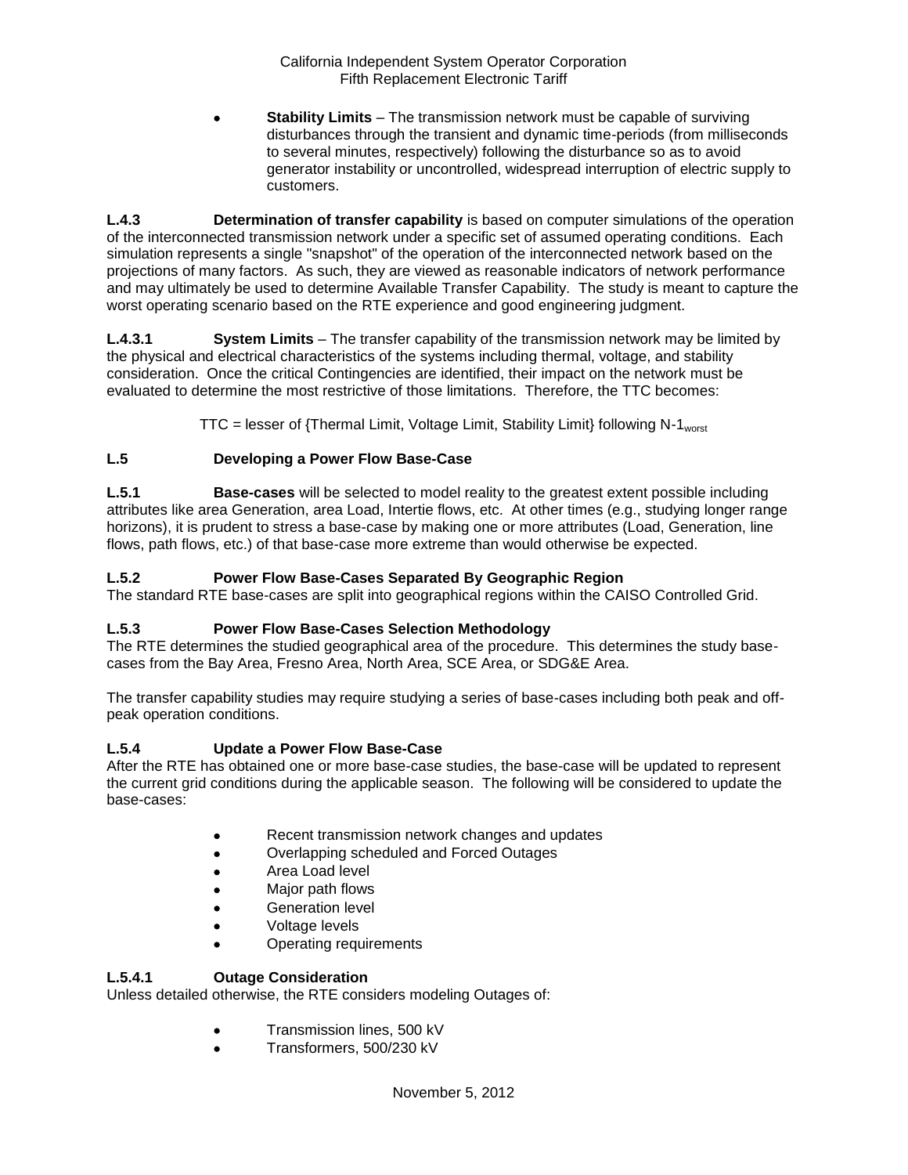**Stability Limits** – The transmission network must be capable of surviving disturbances through the transient and dynamic time-periods (from milliseconds to several minutes, respectively) following the disturbance so as to avoid generator instability or uncontrolled, widespread interruption of electric supply to customers.

**L.4.3 Determination of transfer capability** is based on computer simulations of the operation of the interconnected transmission network under a specific set of assumed operating conditions. Each simulation represents a single "snapshot" of the operation of the interconnected network based on the projections of many factors. As such, they are viewed as reasonable indicators of network performance and may ultimately be used to determine Available Transfer Capability. The study is meant to capture the worst operating scenario based on the RTE experience and good engineering judgment.

**L.4.3.1 System Limits** – The transfer capability of the transmission network may be limited by the physical and electrical characteristics of the systems including thermal, voltage, and stability consideration. Once the critical Contingencies are identified, their impact on the network must be evaluated to determine the most restrictive of those limitations. Therefore, the TTC becomes:

TTC = lesser of {Thermal Limit, Voltage Limit, Stability Limit} following N-1 $_{worst}$ 

# **L.5 Developing a Power Flow Base-Case**

**L.5.1 Base-cases** will be selected to model reality to the greatest extent possible including attributes like area Generation, area Load, Intertie flows, etc. At other times (e.g., studying longer range horizons), it is prudent to stress a base-case by making one or more attributes (Load, Generation, line flows, path flows, etc.) of that base-case more extreme than would otherwise be expected.

## **L.5.2 Power Flow Base-Cases Separated By Geographic Region**

The standard RTE base-cases are split into geographical regions within the CAISO Controlled Grid.

### **L.5.3 Power Flow Base-Cases Selection Methodology**

The RTE determines the studied geographical area of the procedure. This determines the study basecases from the Bay Area, Fresno Area, North Area, SCE Area, or SDG&E Area.

The transfer capability studies may require studying a series of base-cases including both peak and offpeak operation conditions.

### **L.5.4 Update a Power Flow Base-Case**

After the RTE has obtained one or more base-case studies, the base-case will be updated to represent the current grid conditions during the applicable season. The following will be considered to update the base-cases:

- Recent transmission network changes and updates
- Overlapping scheduled and Forced Outages
- Area Load level
- Major path flows
- Generation level
- Voltage levels
- Operating requirements

### **L.5.4.1 Outage Consideration**

Unless detailed otherwise, the RTE considers modeling Outages of:

- Transmission lines, 500 kV
- Transformers, 500/230 kV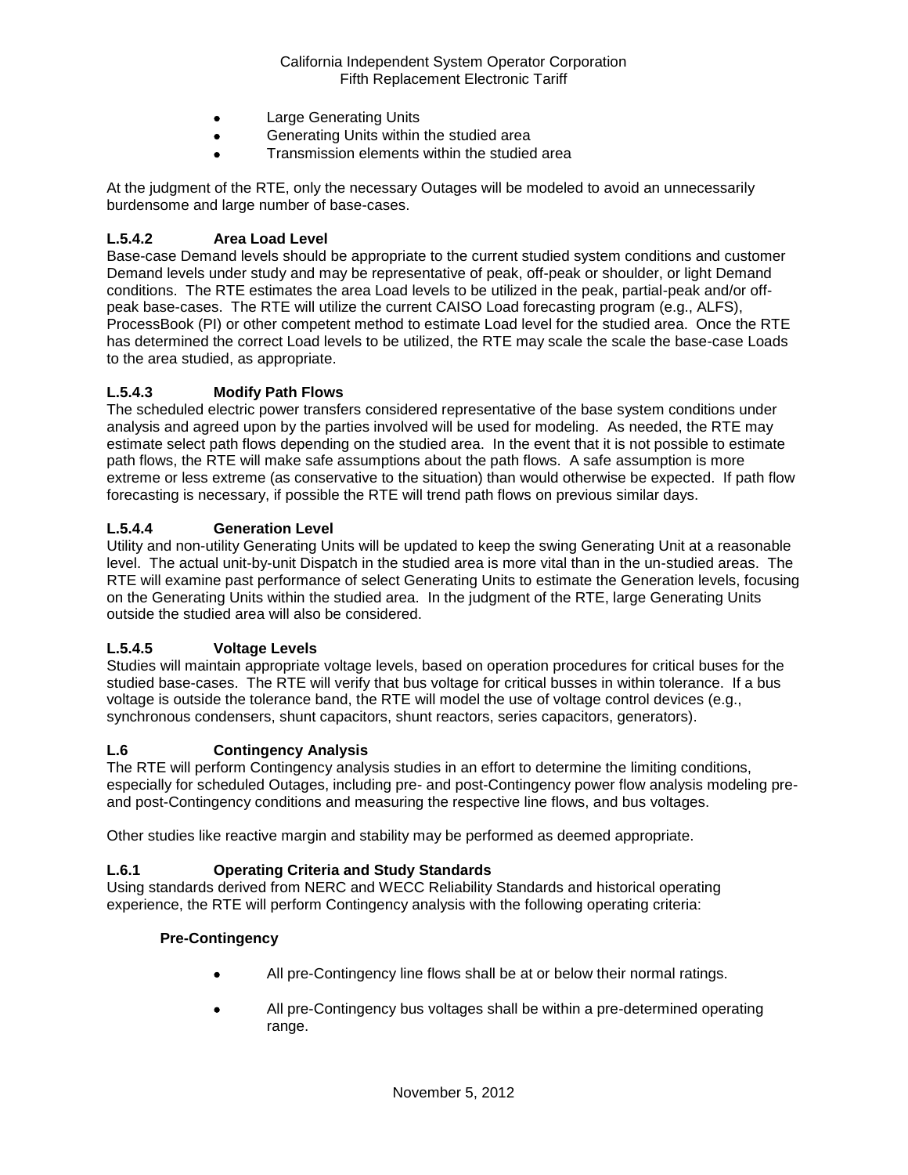- Large Generating Units
- Generating Units within the studied area
- Transmission elements within the studied area

At the judgment of the RTE, only the necessary Outages will be modeled to avoid an unnecessarily burdensome and large number of base-cases.

### **L.5.4.2 Area Load Level**

Base-case Demand levels should be appropriate to the current studied system conditions and customer Demand levels under study and may be representative of peak, off-peak or shoulder, or light Demand conditions. The RTE estimates the area Load levels to be utilized in the peak, partial-peak and/or offpeak base-cases. The RTE will utilize the current CAISO Load forecasting program (e.g., ALFS), ProcessBook (PI) or other competent method to estimate Load level for the studied area. Once the RTE has determined the correct Load levels to be utilized, the RTE may scale the scale the base-case Loads to the area studied, as appropriate.

### **L.5.4.3 Modify Path Flows**

The scheduled electric power transfers considered representative of the base system conditions under analysis and agreed upon by the parties involved will be used for modeling. As needed, the RTE may estimate select path flows depending on the studied area. In the event that it is not possible to estimate path flows, the RTE will make safe assumptions about the path flows. A safe assumption is more extreme or less extreme (as conservative to the situation) than would otherwise be expected. If path flow forecasting is necessary, if possible the RTE will trend path flows on previous similar days.

### **L.5.4.4 Generation Level**

Utility and non-utility Generating Units will be updated to keep the swing Generating Unit at a reasonable level. The actual unit-by-unit Dispatch in the studied area is more vital than in the un-studied areas. The RTE will examine past performance of select Generating Units to estimate the Generation levels, focusing on the Generating Units within the studied area. In the judgment of the RTE, large Generating Units outside the studied area will also be considered.

### **L.5.4.5 Voltage Levels**

Studies will maintain appropriate voltage levels, based on operation procedures for critical buses for the studied base-cases. The RTE will verify that bus voltage for critical busses in within tolerance. If a bus voltage is outside the tolerance band, the RTE will model the use of voltage control devices (e.g., synchronous condensers, shunt capacitors, shunt reactors, series capacitors, generators).

### **L.6 Contingency Analysis**

The RTE will perform Contingency analysis studies in an effort to determine the limiting conditions, especially for scheduled Outages, including pre- and post-Contingency power flow analysis modeling preand post-Contingency conditions and measuring the respective line flows, and bus voltages.

Other studies like reactive margin and stability may be performed as deemed appropriate.

### **L.6.1 Operating Criteria and Study Standards**

Using standards derived from NERC and WECC Reliability Standards and historical operating experience, the RTE will perform Contingency analysis with the following operating criteria:

#### **Pre-Contingency**

- All pre-Contingency line flows shall be at or below their normal ratings.
- All pre-Contingency bus voltages shall be within a pre-determined operating range.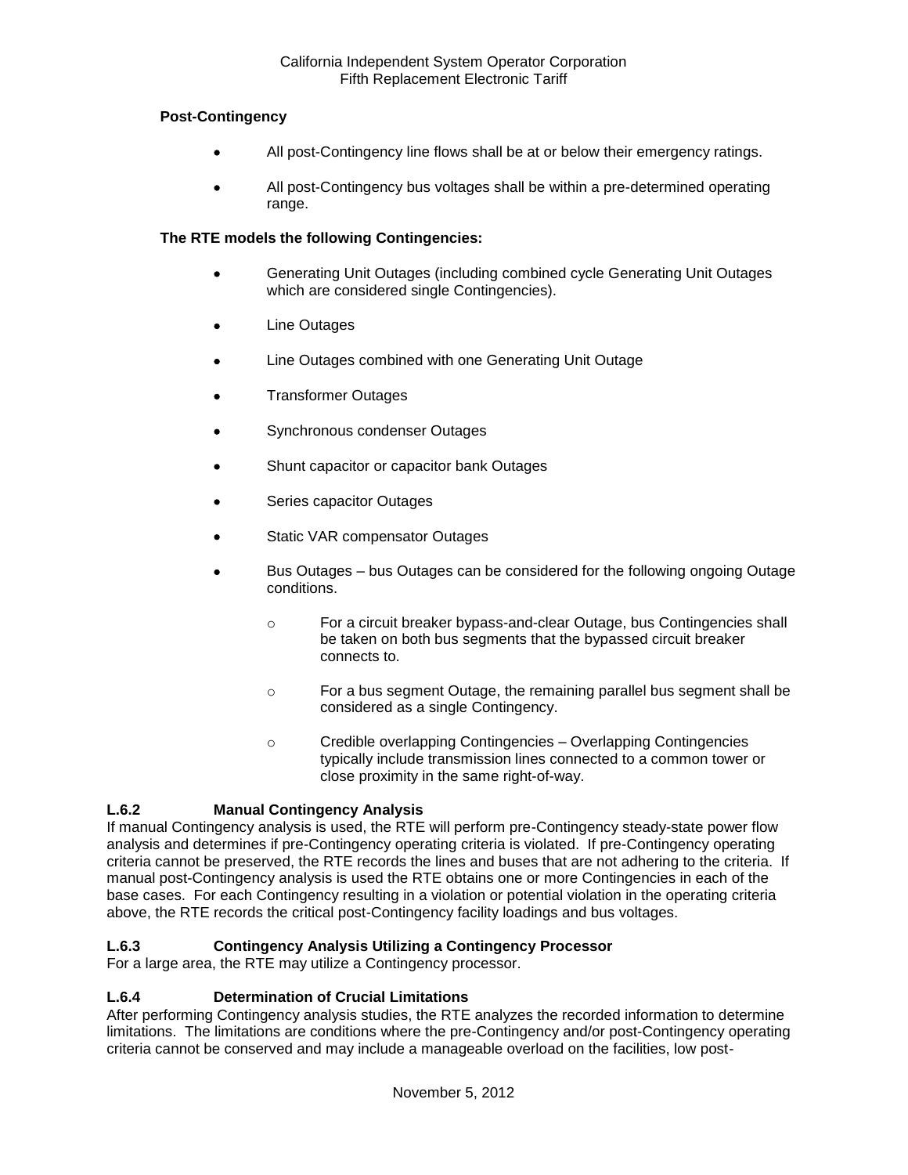## **Post-Contingency**

- All post-Contingency line flows shall be at or below their emergency ratings.
- All post-Contingency bus voltages shall be within a pre-determined operating range.

## **The RTE models the following Contingencies:**

- Generating Unit Outages (including combined cycle Generating Unit Outages which are considered single Contingencies).
- Line Outages
- Line Outages combined with one Generating Unit Outage
- Transformer Outages
- Synchronous condenser Outages
- Shunt capacitor or capacitor bank Outages
- Series capacitor Outages
- Static VAR compensator Outages
- Bus Outages bus Outages can be considered for the following ongoing Outage conditions.
	- o For a circuit breaker bypass-and-clear Outage, bus Contingencies shall be taken on both bus segments that the bypassed circuit breaker connects to.
	- o For a bus segment Outage, the remaining parallel bus segment shall be considered as a single Contingency.
	- o Credible overlapping Contingencies Overlapping Contingencies typically include transmission lines connected to a common tower or close proximity in the same right-of-way.

# **L.6.2 Manual Contingency Analysis**

If manual Contingency analysis is used, the RTE will perform pre-Contingency steady-state power flow analysis and determines if pre-Contingency operating criteria is violated. If pre-Contingency operating criteria cannot be preserved, the RTE records the lines and buses that are not adhering to the criteria. If manual post-Contingency analysis is used the RTE obtains one or more Contingencies in each of the base cases. For each Contingency resulting in a violation or potential violation in the operating criteria above, the RTE records the critical post-Contingency facility loadings and bus voltages.

# **L.6.3 Contingency Analysis Utilizing a Contingency Processor**

For a large area, the RTE may utilize a Contingency processor.

### **L.6.4 Determination of Crucial Limitations**

After performing Contingency analysis studies, the RTE analyzes the recorded information to determine limitations. The limitations are conditions where the pre-Contingency and/or post-Contingency operating criteria cannot be conserved and may include a manageable overload on the facilities, low post